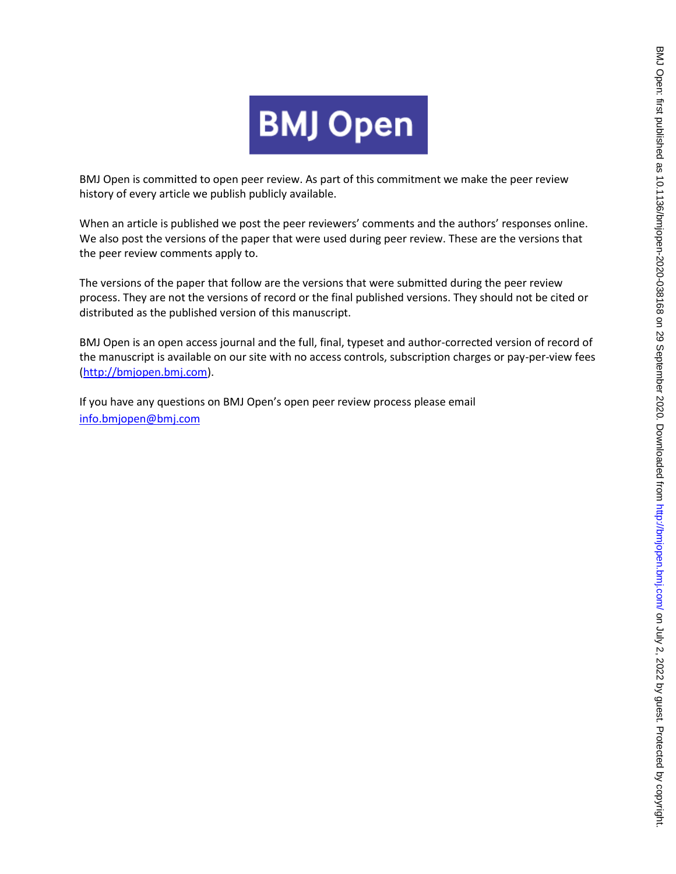

BMJ Open is committed to open peer review. As part of this commitment we make the peer review history of every article we publish publicly available.

When an article is published we post the peer reviewers' comments and the authors' responses online. We also post the versions of the paper that were used during peer review. These are the versions that the peer review comments apply to.

The versions of the paper that follow are the versions that were submitted during the peer review process. They are not the versions of record or the final published versions. They should not be cited or distributed as the published version of this manuscript.

BMJ Open is an open access journal and the full, final, typeset and author-corrected version of record of the manuscript is available on our site with no access controls, subscription charges or pay-per-view fees [\(http://bmjopen.bmj.com\)](http://bmjopen.bmj.com/).

If you have any questions on BMJ Open's open peer review process please email <info.bmjopen@bmj.com>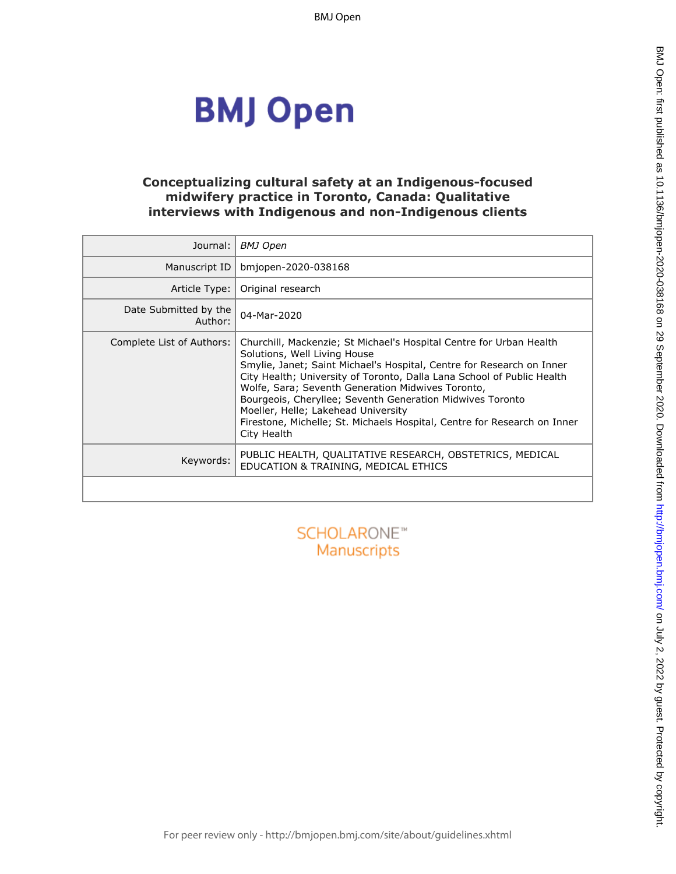#### **Conceptualizing cultural safety at an Indigenous-focused midwifery practice in Toronto, Canada: Qualitative interviews with Indigenous and non-Indigenous clients**

| Journal:                         | <b>BMJ</b> Open                                                                                                                                                                                                                                                                                                                                                                                                                                                                                            |
|----------------------------------|------------------------------------------------------------------------------------------------------------------------------------------------------------------------------------------------------------------------------------------------------------------------------------------------------------------------------------------------------------------------------------------------------------------------------------------------------------------------------------------------------------|
| Manuscript ID                    | bmjopen-2020-038168                                                                                                                                                                                                                                                                                                                                                                                                                                                                                        |
| Article Type:                    | Original research                                                                                                                                                                                                                                                                                                                                                                                                                                                                                          |
| Date Submitted by the<br>Author: | 04-Mar-2020                                                                                                                                                                                                                                                                                                                                                                                                                                                                                                |
| Complete List of Authors:        | Churchill, Mackenzie; St Michael's Hospital Centre for Urban Health<br>Solutions, Well Living House<br>Smylie, Janet; Saint Michael's Hospital, Centre for Research on Inner<br>City Health; University of Toronto, Dalla Lana School of Public Health<br>Wolfe, Sara; Seventh Generation Midwives Toronto,<br>Bourgeois, Cheryllee; Seventh Generation Midwives Toronto<br>Moeller, Helle; Lakehead University<br>Firestone, Michelle; St. Michaels Hospital, Centre for Research on Inner<br>City Health |
| Keywords:                        | PUBLIC HEALTH, QUALITATIVE RESEARCH, OBSTETRICS, MEDICAL<br>EDUCATION & TRAINING, MEDICAL ETHICS                                                                                                                                                                                                                                                                                                                                                                                                           |
|                                  |                                                                                                                                                                                                                                                                                                                                                                                                                                                                                                            |
|                                  | SCHOLARONE <sup>*</sup><br>Manuscripts                                                                                                                                                                                                                                                                                                                                                                                                                                                                     |

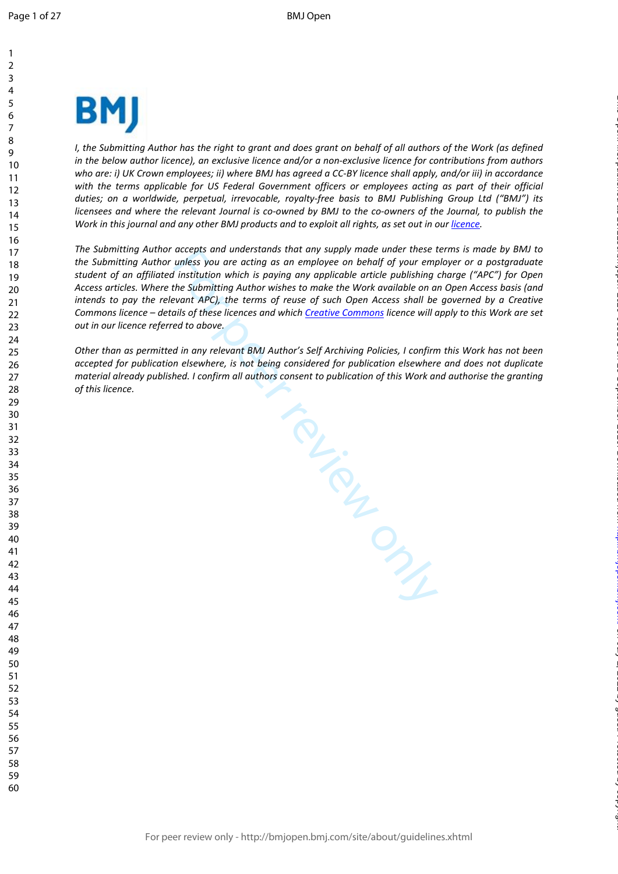

*I*, the Submitting Author has the right to grant and does grant on behalf of all authors of the Work (as defined *in the below author licence), an exclusive licence and/or a non-exclusive licence for contributions from authors who are: i) UK Crown employees; ii) where BMJ has agreed a CC-BY licence shall apply, and/or iii) in accordance with the terms applicable for US Federal Government officers or employees acting as part of their official duties; on a worldwide, perpetual, irrevocable, royalty-free basis to BMJ Publishing Group Ltd ("BMJ") its licensees and where the relevant Journal is co-owned by BMJ to the co-owners of the Journal, to publish the*  Work in this journal and any other BMJ products and to exploit all rights, as set out in our *[licence](https://authors.bmj.com/wp-content/uploads/2018/11/BMJ_Journals_Combined_Author_Licence_2018.pdf)*.

*The Submitting Author accepts and understands that any supply made under these terms is made by BMJ to the Submitting Author unless you are acting as an employee on behalf of your employer or a postgraduate student of an affiliated institution which is paying any applicable article publishing charge ("APC") for Open Access articles. Where the Submitting Author wishes to make the Work available on an Open Access basis (and intends to pay the relevant APC), the terms of reuse of such Open Access shall be governed by a Creative Commons licence – details of these licences and which Creative Commons licence will apply to this Work are set out in our licence referred to above.* 

*Other than as permitted in any relevant BMJ Author's Self Archiving Policies, I confirm this Work has not been accepted for publication elsewhere, is not being considered for publication elsewhere and does not duplicate material already published. I confirm all authors consent to publication of this Work and authorise the granting of this licence.*

For Prince

on July 2, 2022 by guest. Protected by copyright. <http://bmjopen.bmj.com/> BMJ Open: first published as 10.1136/bmjopen-2020-038168 on 29 September 2020. Downloaded from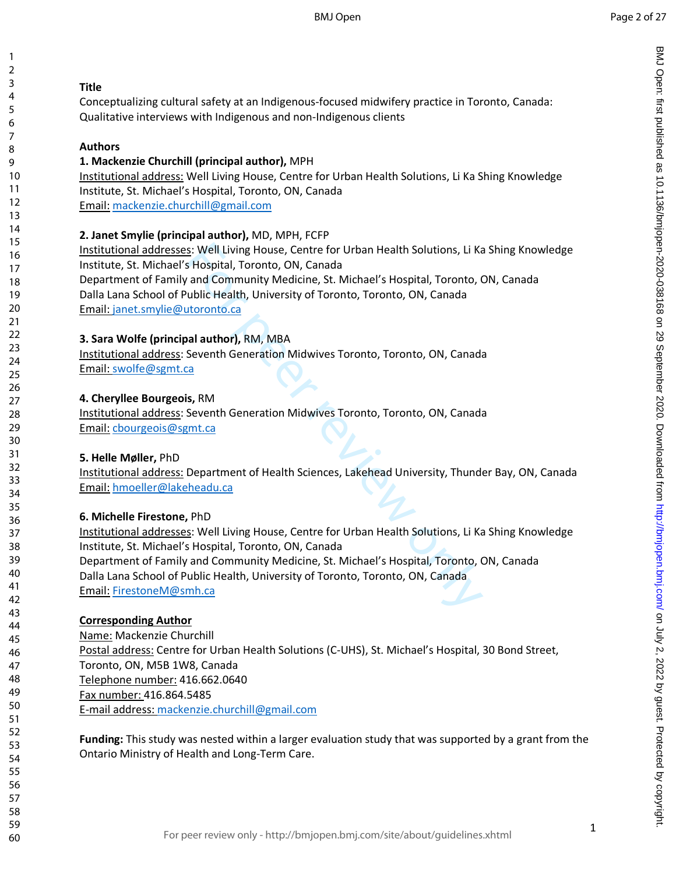#### **Title**

123456789

 $\mathbf{1}$  $\overline{2}$ 3  $\overline{4}$ 5 6  $\overline{7}$ 8 9

Conceptualizing cultural safety at an Indigenous -focused midwifery practice in Toronto, Canada: Qualitative interviews with Indigenous and non -Indigenous clients

#### **Authors**

#### **1. Mackenzie Churchill (principal author),** MPH

Institutional address: Well Living House, Centre for Urban Health Solutions, Li Ka Shing Knowledge Institute, St. Michael's Hospital, Toronto, ON, Canada Email: mackenzie.churchill@gmail.com

#### **2. Janet Smylie (principal author),** MD, MPH, FCFP

Solutions, Like Hospital, Toronto, ON, Canada<br>
Solutions, Like Hospital, Toronto, ON, Canada<br>
and Community Medicine, St. Michael's Hospital, Toronto, C<br>
and Community Medicine, St. Michael's Hospital, Toronto, C<br>
<u>utoront</u> Institutional addresses: Well Living House, Centre for Urban Health Solutions, Li Ka Shing Knowledge Institute, St. Michael's Hospital, Toronto, ON, Canada Department of Family and Community Medicine, St. Michael's Hospital, Toronto, ON, Canada Dalla Lana School of Public Health, University of Toronto, Toronto, ON, Canada Email: janet.smylie@utoronto.ca

#### **3. Sara Wolfe (principal author),** RM, MBA

Institutional address: Seventh Generation Midwives Toronto, Toronto, ON, Canada Email: swolfe@sgmt.ca

#### **4. Cheryllee Bourgeois,** RM

Institutional address: Seventh Generation Midwives Toronto, Toronto, ON, Canada Email: cbourgeois@sgmt.ca

#### **5. Helle Møller,** PhD

Institutional address: Department of Health Sciences, Lakehead University, Thunder Bay, ON, Canada Email: hmoeller@lakeheadu.ca

#### **6. Michelle Firestone,** PhD

Institutional addresses: Well Living House, Centre for Urban Health Solutions, Li Ka Shing Knowledge Institute, St. Michael's Hospital, Toronto, ON, Canada Department of Family and Community Medicine, St. Michael's Hospital, Toronto, ON, Canada Dalla Lana School of Public Health, University of Toronto, Toronto, ON, Canada Email: FirestoneM@smh.ca

#### **Corresponding Author**

Name: Mackenzie Churchill Postal address: Centre for Urban Health Solutions (C-UHS), St. Michael's Hospital, 30 Bond Street, Toronto, ON, M5B 1W8, Canada Telephone number: 416.662.0640 Fax number: 416.864.5485 E-mail address: mackenzie.churchill@gmail.com

**Funding:** This study was nested within a larger evaluation study that was supported by a grant from the Ontario Ministry of Health and Long -Term Care.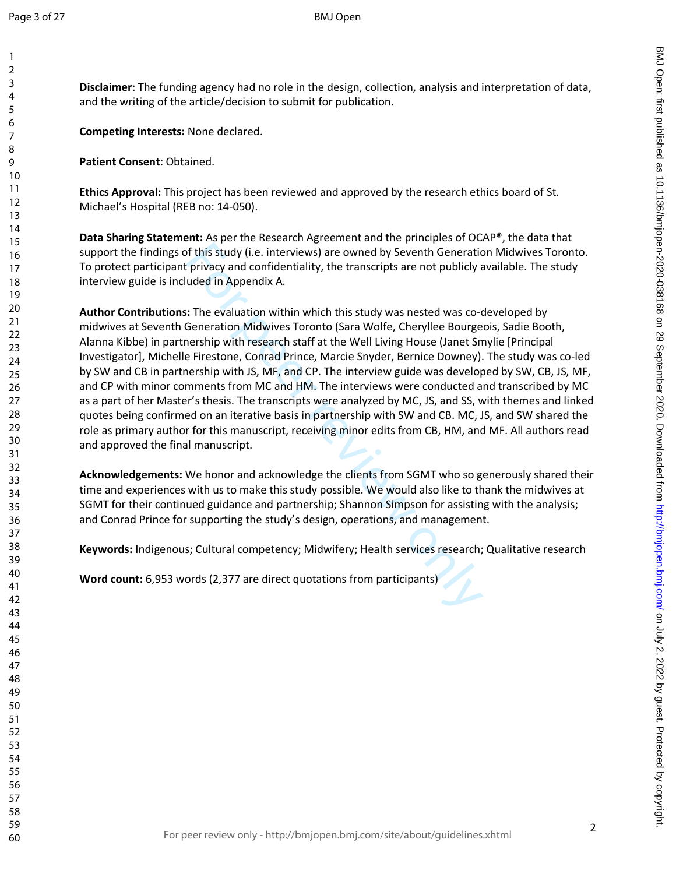**Disclaimer**: The funding agency had no role in the design, collection, analysis and interpretation of data, and the writing of the article/decision to submit for publication.

**Competing Interests:** None declared.

**Patient Consent**: Obtained.

**Ethics Approval:** This project has been reviewed and approved by the research ethics board of St. Michael's Hospital (REB no: 14-050).

Data Sharing Statement: As per the Research Agreement and the principles of OCAP®, the data that support the findings of this study (i.e. interviews) are owned by Seventh Generation Midwives Toronto. To protect participant privacy and confidentiality, the transcripts are not publicly available. The study interview guide is included in Appendix A.

of this study (i.e. interviews) are owned by Seventh Generatic<br>crivacy and confidentiality, the transcripts are not publicly a<br>uded in Appendix A.<br>c: The evaluation within which this study was nested was co-Generation Midw Author Contributions: The evaluation within which this study was nested was co-developed by midwives at Seventh Generation Midwives Toronto (Sara Wolfe, Cheryllee Bourgeois, Sadie Booth, Alanna Kibbe) in partnership with research staff at the Well Living House (Janet Smylie [Principal Investigator], Michelle Firestone, Conrad Prince, Marcie Snyder, Bernice Downey). The study was co -led by SW and CB in partnership with JS, MF, and CP. The interview guide was developed by SW, CB, JS, MF, and CP with minor comments from MC and HM. The interviews were conducted and transcribed by MC as a part of her Master's thesis. The transcripts were analyzed by MC, JS, and SS, with themes and linked quotes being confirmed on an iterative basis in partnership with SW and CB. MC, JS, and SW shared the role as primary author for this manuscript, receiving minor edits from CB, HM, and MF. All authors read and approved the final manuscript.

**Acknowledgements:** We honor and acknowledge the clients from SGMT who so generously shared their time and experiences with us to make this study possible. We would also like to thank the midwives at SGMT for their continued guidance and partnership; Shannon Simpson for assisting with the analysis; and Conrad Prince for supporting the study's design, operations, and management.

**Keywords:** Indigenous; Cultural competency; Midwifery; Health services research; Qualitative research

**Word count:** 6,953 words (2,377 are direct quotations from participants)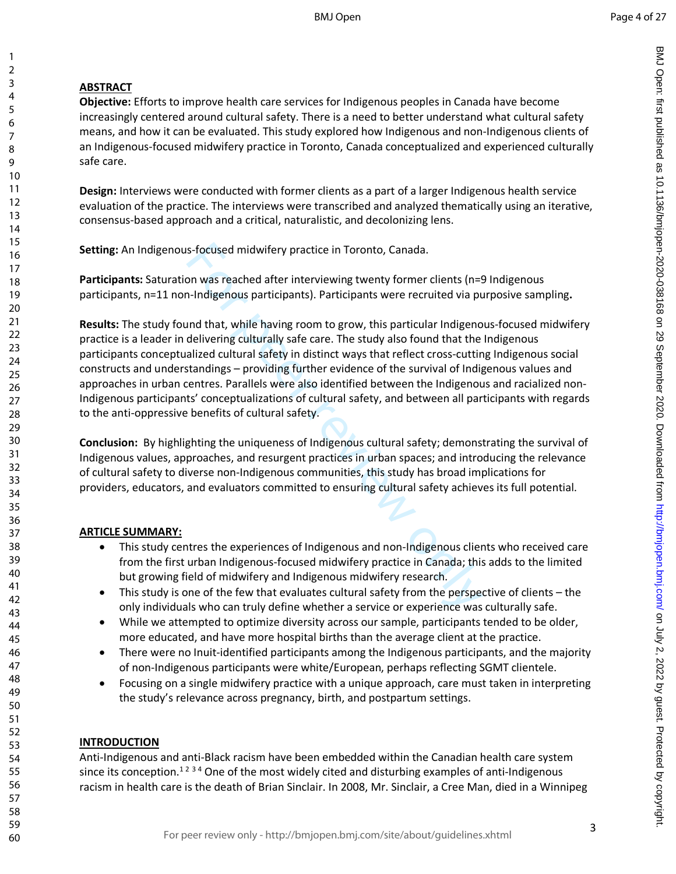#### **ABSTRACT**

123456789

**Objective:** Efforts to improve health care services for Indigenous peoples in Canada have become increasingly centered around cultural safety. There is a need to better understand what cultural safety means, and how it can be evaluated. This study explored how Indigenous and non -Indigenous clients of an Indigenous -focused midwifery practice in Toronto, Canada conceptualized and experienced culturally safe care.

**Design:** Interviews were conducted with former clients as a part of a larger Indigenous health service evaluation of the practice. The interviews were transcribed and analyzed thematically using an iterative, consensus -based approach and a critical, naturalistic, and decolonizing lens.

Setting: An Indigenous-focused midwifery practice in Toronto, Canada.

**Participants:** Saturation was reached after interviewing twenty former clients (n=9 Indigenous participants, n=11 non-Indigenous participants). Participants were recruited via purposive sampling.

is-focused midwifery practice in Toronto, Canada.<br>
on was reached after interviewing twenty former clients (n=5-<br>
n-Indigenous participants). Participants were recruited via pund that, while having room to grow, this parti Results: The study found that, while having room to grow, this particular Indigenous-focused midwifery practice is a leader in delivering culturally safe care. The study also found that the Indigenous participants conceptualized cultural safety in distinct ways that reflect cross -cutting Indigenous social constructs and understandings – providing further evidence of the survival of Indigenous values and approaches in urban centres. Parallels were also identified between the Indigenous and racialized non - Indigenous participants' conceptualizations of cultural safety, and between all participants with regards to the anti -oppressive benefits of cultural safety.

**Conclusion:** By highlighting the uniqueness of Indigenous cultural safety; demonstrating the survival of Indigenous values, approaches, and resurgent practices in urban spaces; and introducing the relevance of cultural safety to diverse non -Indigenous communities, this study has broad implications for providers, educators, and evaluators committed to ensuring cultural safety achieves its full potential.

#### **ARTICLE SUMMARY:**

- This study centres the experiences of Indigenous and non -Indigenous clients who received care from the first urban Indigenous -focused midwifery practice in Canada; this adds to the limited but growing field of midwifery and Indigenous midwifery research.
- This study is one of the few that evaluates cultural safety from the perspective of clients the only individuals who can truly define whether a service or experience was culturally safe.
- While we attempted to optimize diversity across our sample, participants tended to be older, more educated, and have more hospital births than the average client at the practice.
- There were no Inuit-identified participants among the Indigenous participants, and the majority of non -Indigenous participants were white/European, perhaps reflecting SGMT clientele.
- Focusing on a single midwifery practice with a unique approach, care must taken in interpreting the study's relevance across pregnancy, birth, and postpartum settings.

#### **INTRODUCTION**

Anti-Indigenous and anti-Black racism have been embedded within the Canadian health care system since its conception.<sup>1234</sup> One of the most widely cited and disturbing examples of anti-Indigenous racism in health care is the death of Brian Sinclair. In 2008, Mr. Sinclair, a Cree Man, died in a Winnipeg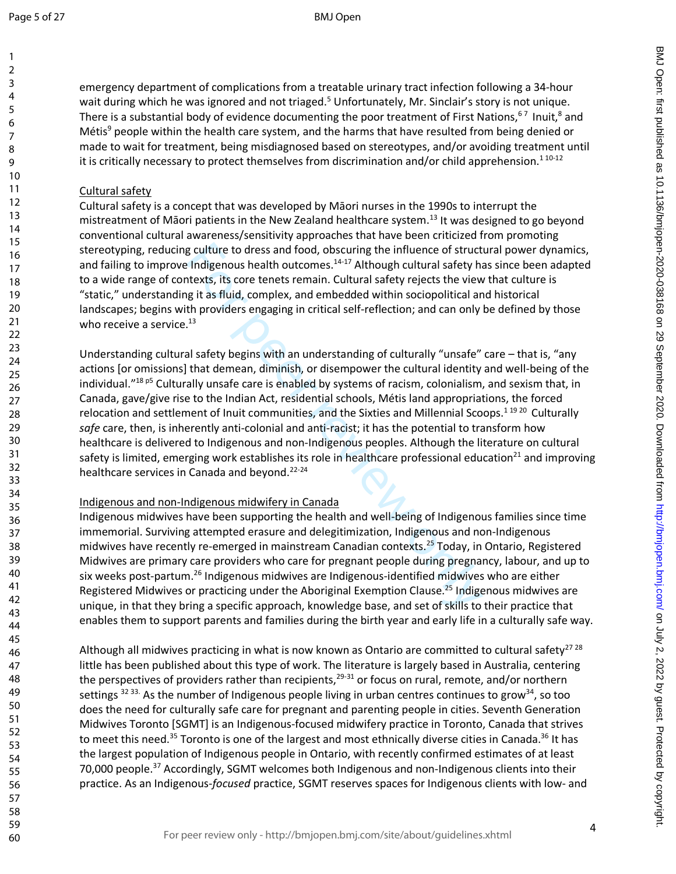#### BMJ Open

emergency department of complications from a treatable urinary tract infection following a 34 -hour wait during which he was ignored and not triaged.<sup>5</sup> Unfortunately, Mr. Sinclair's story is not unique. There is a substantial body of evidence documenting the poor treatment of First Nations,  $67$  Inuit,  $8$  and Métis <sup>9</sup> people within the health care system, and the harms that have resulted from being denied or made to wait for treatment, being misdiagnosed based on stereotypes, and/or avoiding treatment until it is critically necessary to protect themselves from discrimination and/or child apprehension.<sup>110-12</sup>

#### Cultural safety

Cultural safety is a concept that was developed by Māori nurses in the 1990s to interrupt the mistreatment of Māori patients in the New Zealand healthcare system.<sup>13</sup> It was designed to go beyond conventional cultural awareness/sensitivity approaches that have been criticized from promoting stereotyping, reducing culture to dress and food, obscuring the influence of structural power dynamics, and failing to improve Indigenous health outcomes.<sup>14-17</sup> Although cultural safety has since been adapted to a wide range of contexts, its core tenets remain. Cultural safety rejects the view that culture is "static," understanding it as fluid, complex, and embedded within sociopolitical and historical landscapes; begins with providers engaging in critical self -reflection; and can only be defined by those who receive a service.<sup>13</sup>

g culture to dress and food, obscuring the influence of struct<br>
Indigenous health outcomes.<sup>14-17</sup> Although cultural safety hat<br>
texts, its core tenets remain. Cultural safety rejects the view<br>
thexts, its core tenets rema Understanding cultural safety begins with an understanding of culturally "unsafe" care – that is, "any actions [or omissions] that demean, diminish, or disempower the cultural identity and well-being of the individual."18 p5 Culturally unsafe care is enabled by systems of racism, colonialism, and sexism that, in Canada, gave/give rise to the Indian Act, residential schools, Métis land appropriations, the forced relocation and settlement of Inuit communities, and the Sixties and Millennial Scoops.<sup>1 19 20</sup> Culturally safe care, then, is inherently anti-colonial and anti-racist; it has the potential to transform how healthcare is delivered to Indigenous and non -Indigenous peoples. Although the literature on cultural safety is limited, emerging work establishes its role in healthcare professional education<sup>21</sup> and improving healthcare services in Canada and beyond.<sup>22-24</sup>

#### Indigenous and non -Indigenous midwifery in Canada

Indigenous midwives have been supporting the health and well -being of Indigenous families since time immemorial. Surviving attempted erasure and delegitimization, Indigenous and non -Indigenous midwives have recently re-emerged in mainstream Canadian contexts.<sup>25</sup> Today, in Ontario, Registered Midwives are primary care providers who care for pregnant people during pregnancy, labour, and up to six weeks post-partum.<sup>26</sup> Indigenous midwives are Indigenous-identified midwives who are either Registered Midwives or practicing under the Aboriginal Exemption Clause.<sup>25</sup> Indigenous midwives are unique, in that they bring a specific approach, knowledge base, and set of skills to their practice that enables them to support parents and families during the birth year and early life in a culturally safe way.

Although all midwives practicing in what is now known as Ontario are committed to cultural safety<sup>27 28</sup> little has been published about this type of work. The literature is largely based in Australia, centering the perspectives of providers rather than recipients,<sup>29-31</sup> or focus on rural, remote, and/or northern settings  $3233$ . As the number of Indigenous people living in urban centres continues to grow  $34$ , so too does the need for culturally safe care for pregnant and parenting people in cities. Seventh Generation Midwives Toronto [SGMT] is an Indigenous -focused midwifery practice in Toronto, Canada that strives to meet this need.<sup>35</sup> Toronto is one of the largest and most ethnically diverse cities in Canada.<sup>36</sup> It has the largest population of Indigenous people in Ontario, with recently confirmed estimates of at least 70,000 people.<sup>37</sup> Accordingly, SGMT welcomes both Indigenous and non-Indigenous clients into their practice. As an Indigenous -*focused* practice, SGMT reserves spaces for Indigenous clients with low- and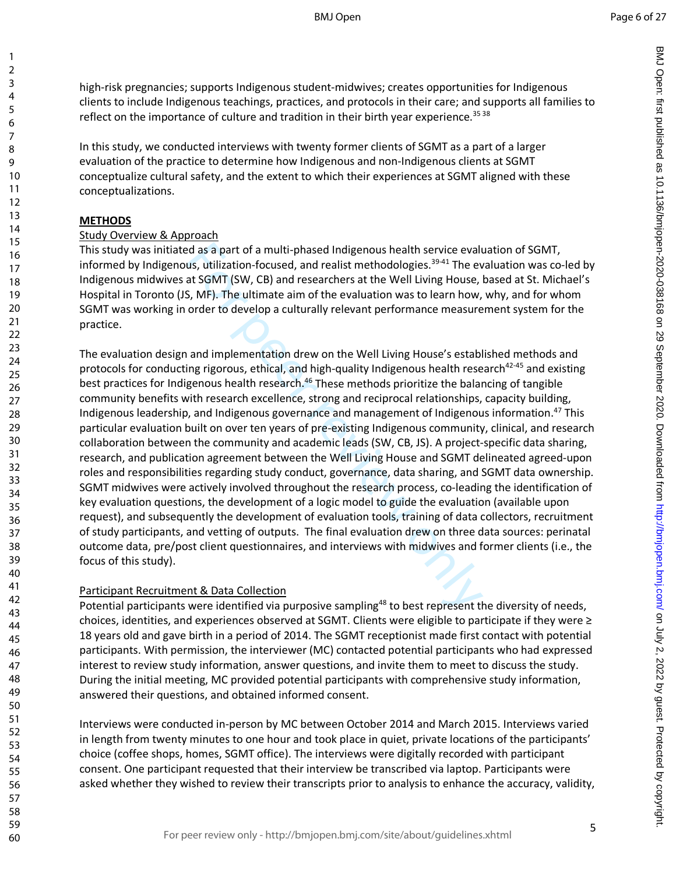high -risk pregnancies; supports Indigenous student -midwives; creates opportunities for Indigenous clients to include Indigenous teachings, practices, and protocols in their care; and supports all families to reflect on the importance of culture and tradition in their birth year experience.<sup>35 38</sup>

In this study, we conducted interviews with twenty former clients of SGMT as a part of a larger evaluation of the practice to determine how Indigenous and non -Indigenous clients at SGMT conceptualize cultural safety, and the extent to which their experiences at SGMT aligned with these conceptualizations.

#### **METHODS**

123456789

 $\mathbf{1}$  $\overline{2}$ 3  $\overline{4}$ 5 6  $\overline{7}$ 8 9

#### Study Overview & Approach

This study was initiated as a part of a multi-phased Indigenous health service evaluation of SGMT, informed by Indigenous, utilization-focused, and realist methodologies.<sup>39-41</sup> The evaluation was co-led by Indigenous midwives at SGMT (SW, CB) and researchers at the Well Living House, based at St. Michael's Hospital in Toronto (JS, MF). The ultimate aim of the evaluation was to learn how, why, and for whom SGMT was working in order to develop a culturally relevant performance measurement system for the practice.

de as a part of a multi-phased Indigenous health service evalus, utilization-focused, and realist methodologies.<sup>39-41</sup> The evaluat SGMT (SW, CB) and researchers at the Well Living House, S, MF). The ultimate aim of the ev The evaluation design and implementation drew on the Well Living House's established methods and protocols for conducting rigorous, ethical, and high-quality Indigenous health research<sup>42-45</sup> and existing best practices for Indigenous health research. $46$  These methods prioritize the balancing of tangible community benefits with research excellence, strong and reciprocal relationships, capacity building, Indigenous leadership, and Indigenous governance and management of Indigenous information.<sup>47</sup> This particular evaluation built on over ten years of pre -existing Indigenous community, clinical, and research collaboration between the community and academic leads (SW, CB, JS). A project -specific data sharing, research, and publication agreement between the Well Living House and SGMT delineated agreed-upon roles and responsibilities regarding study conduct, governance, data sharing, and SGMT data ownership. SGMT midwives were actively involved throughout the research process, co -leading the identification of key evaluation questions, the development of a logic model to guide the evaluation (available upon request), and subsequently the development of evaluation tools, training of data collectors, recruitment of study participants, and vetting of outputs. The final evaluation drew on three data sources: perinatal outcome data, pre/post client questionnaires, and interviews with midwives and former clients (i.e., the focus of this study).

#### Participant Recruitment & Data Collection

Potential participants were identified via purposive sampling<sup>48</sup> to best represent the diversity of needs, choices, identities, and experiences observed at SGMT. Clients were eligible to participate if they were ≥ 18 years old and gave birth in a period of 2014. The SGMT receptionist made first contact with potential participants. With permission, the interviewer (MC) contacted potential participants who had expressed interest to review study information, answer questions, and invite them to meet to discuss the study. During the initial meeting, MC provided potential participants with comprehensive study information, answered their questions, and obtained informed consent.

Interviews were conducted in-person by MC between October 2014 and March 2015. Interviews varied in length from twenty minutes to one hour and took place in quiet, private locations of the participants' choice (coffee shops, homes, SGMT office). The interviews were digitally recorded with participant consent. One participant requested that their interview be transcribed via laptop. Participants were asked whether they wished to review their transcripts prior to analysis to enhance the accuracy, validity,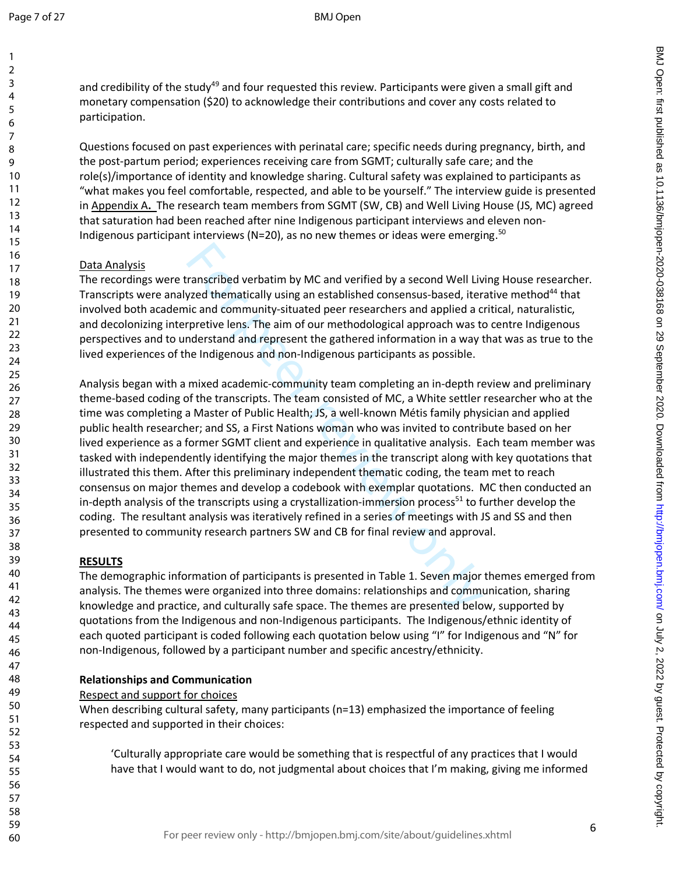#### BMJ Open

and credibility of the study<sup>49</sup> and four requested this review. Participants were given a small gift and monetary compensation (\$20) to acknowledge their contributions and cover any costs related to participation.

Questions focused on past experiences with perinatal care; specific needs during pregnancy, birth, and the post -partum period; experiences receiving care from SGMT; culturally safe care; and the role(s)/importance of identity and knowledge sharing. Cultural safety was explained to participants as "what makes you feel comfortable, respected, and able to be yourself." The interview guide is presented in Appendix A**.** The research team members from SGMT (SW, CB) and Well Living House (JS, MC) agreed that saturation had been reached after nine Indigenous participant interviews and eleven non - Indigenous participant interviews (N=20), as no new themes or ideas were emerging.<sup>50</sup>

#### Data Analysis

The recordings were transcribed verbatim by MC and verified by a second Well Living House researcher. Transcripts were analyzed thematically using an established consensus-based, iterative method<sup>44</sup> that involved both academic and community-situated peer researchers and applied a critical, naturalistic, and decolonizing interpretive lens. The aim of our methodological approach was to centre Indigenous perspectives and to understand and represent the gathered information in a way that was as true to the lived experiences of the Indigenous and non -Indigenous participants as possible .

ranscribed verbatim by MC and verified by a second Well Livyzed thematically using an established consensus-based, iteric and community-situated peer researchers and applied a c<br>pretive lens. The aim of our methodological Analysis began with a mixed academic -community team completing an in -depth review and preliminary theme -based coding of the transcripts. The team consisted of MC, a White settler researcher who at the time was completing a Master of Public Health; JS, a well -known Métis family physician and applied public health researcher; and SS, a First Nations woman who was invited to contribute based on her lived experience as a former SGMT client and experience in qualitative analysis. Each team member was tasked with independently identifying the major themes in the transcript along with key quotations that illustrated this them. After this preliminary independent thematic coding, the team met to reach consensus on major themes and develop a codebook with exemplar quotations. MC then conducted an in-depth analysis of the transcripts using a crystallization-immersion process<sup>51</sup> to further develop the coding. The resultant analysis was iteratively refined in a series of meetings with JS and SS and then presented to community research partners SW and CB for final review and approval.

#### **RESULTS**

The demographic information of participants is presented in Table 1. Seven major themes emerged from analysis. The themes were organized into three domains: relationships and communication, sharing knowledge and practice, and culturally safe space. The themes are presented below, supported by quotations from the Indigenous and non -Indigenous participants. The Indigenous/ethnic identity of each quoted participant is coded following each quotation below using "I" for Indigenous and "N" for non -Indigenous, followed by a participant number and specific ancestry/ethnicity.

#### **Relationships and Communication**

#### Respect and support for choices

When describing cultural safety, many participants (n=13) emphasized the importance of feeling respected and supported in their choices:

'Culturally appropriate care would be something that is respectful of any practices that I would have that I would want to do, not judgmental about choices that I'm making, giving me informed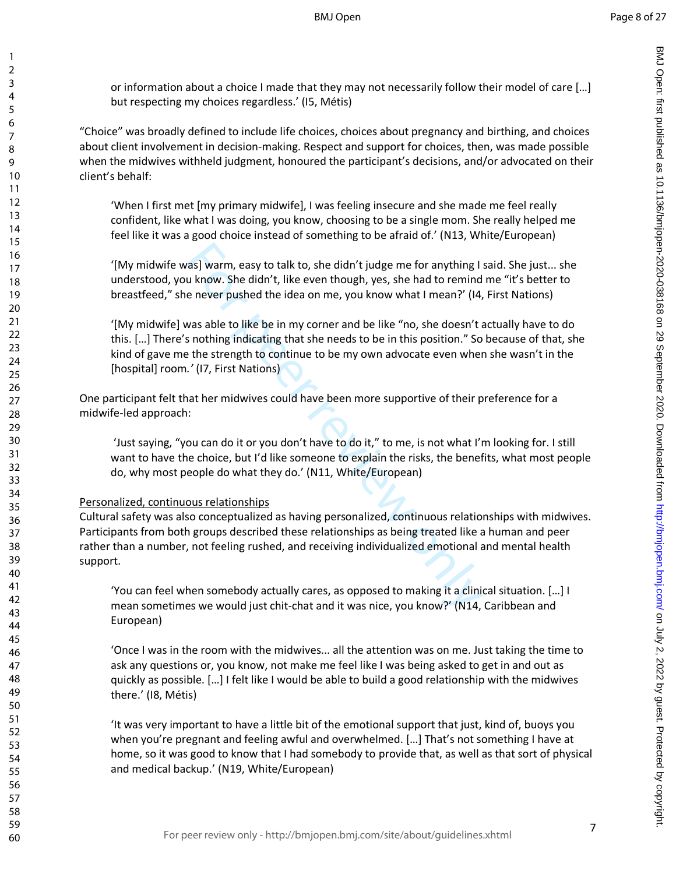or information about a choice I made that they may not necessarily follow their model of care […] but respecting my choices regardless.' (I5, Métis)

"Choice" was broadly defined to include life choices, choices about pregnancy and birthing, and choices about client involvement in decision-making. Respect and support for choices, then, was made possible when the midwives withheld judgment, honoured the participant's decisions, and/or advocated on their client's behalf:

'When I first met [my primary midwife], I was feeling insecure and she made me feel really confident, like what I was doing, you know, choosing to be a single mom. She really helped me feel like it was a good choice instead of something to be afraid of.' (N13, White/European)

'[My midwife was] warm, easy to talk to, she didn't judge me for anything I said. She just... she understood, you know. She didn't, like even though, yes, she had to remind me "it's better to breastfeed," she never pushed the idea on me, you know what I mean?' (I4, First Nations)

ras] warm, easy to talk to, she didn't judge me for anything I<br>u know. She didn't, like even though, yes, she had to remind<br>e never pushed the idea on me, you know what I mean?' (I4,<br>was able to like be in my corner and be '[My midwife] was able to like be in my corner and be like "no, she doesn't actually have to do this. […] There's nothing indicating that she needs to be in this position." So because of that, she kind of gave me the strength to continue to be my own advocate even when she wasn't in the [hospital] room*.'* (I7, First Nations)

One participant felt that her midwives could have been more supportive of their preference for a midwife -led approach:

'Just saying, "you can do it or you don't have to do it," to me, is not what I'm looking for. I still want to have the choice, but I'd like someone to explain the risks, the benefits, what most people do, why most people do what they do.' (N11, White/European)

Personalized, continuous relationships

123456789

Cultural safety was also conceptualized as having personalized, continuous relationships with midwives. Participants from both groups described these relationships as being treated like a human and peer rather than a number, not feeling rushed, and receiving individualized emotional and mental health support.

'You can feel when somebody actually cares, as opposed to making it a clinical situation. […] I mean sometimes we would just chit-chat and it was nice, you know?' (N14, Caribbean and European)

'Once I was in the room with the midwives... all the attention was on me. Just taking the time to ask any questions or, you know, not make me feel like I was being asked to get in and out as quickly as possible. […] I felt like I would be able to build a good relationship with the midwives there.' (I8, Métis)

'It was very important to have a little bit of the emotional support that just, kind of, buoys you when you're pregnant and feeling awful and overwhelmed. […] That's not something I have at home, so it was good to know that I had somebody to provide that, as well as that sort of physical and medical backup.' (N19, White/European)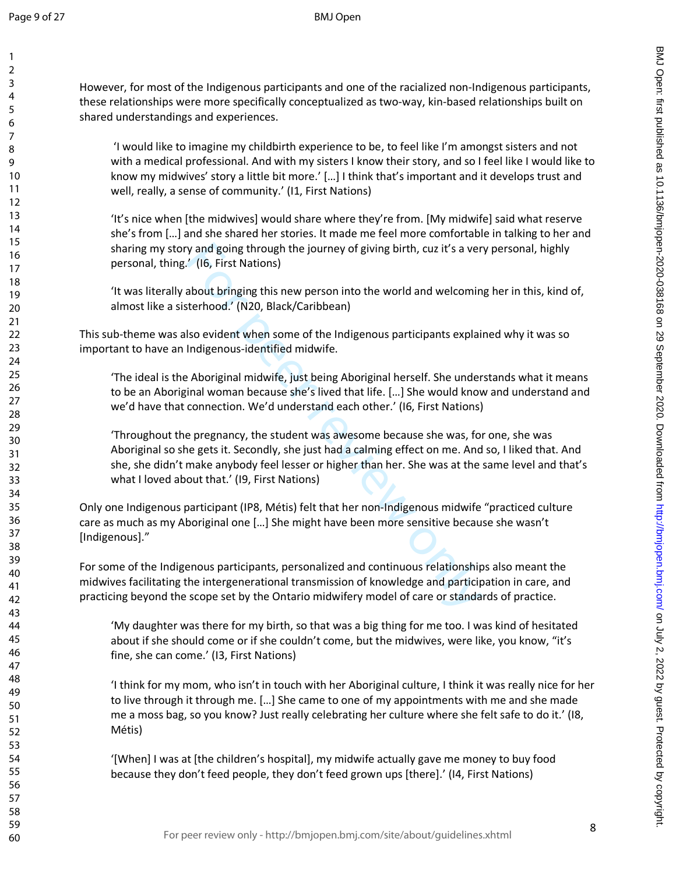BMJ Open

y and going through the journey of giving birth, cuz it's a ver<br>'. (I6, First Nations)<br>about bringing this new person into the world and welcomin<br>terhood.' (N20, Black/Caribbean)<br>Iso evident when some of the Indigenous par However, for most of the Indigenous participants and one of the racialized non -Indigenous participants, these relationships were more specifically conceptualized as two -way, kin -based relationships built on shared understandings and experiences. 'I would like to imagine my childbirth experience to be, to feel like I'm amongst sisters and not with a medical professional. And with my sisters I know their story, and so I feel like I would like to know my midwives' story a little bit more.' […] I think that's important and it develops trust and well, really, a sense of community.' (I1, First Nations) 'It's nice when [the midwives] would share where they're from. [My midwife] said what reserve she's from […] and she shared her stories. It made me feel more comfortable in talking to her and sharing my story and going through the journey of giving birth, cuz it's a very personal, highly personal, thing.' (I6, First Nations) 'It was literally about bringing this new person into the world and welcoming her in this, kind of, almost like a sisterhood.' (N20, Black/Caribbean) This sub -theme was also evident when some of the Indigenous participants explained why it was so important to have an Indigenous -identified midwife. 'The ideal is the Aboriginal midwife, just being Aboriginal herself. She understands what it means to be an Aboriginal woman because she's lived that life. […] She would know and understand and we'd have that connection. We'd understand each other.' (I6, First Nations) 'Throughout the pregnancy, the student was awesome because she was, for one, she was Aboriginal so she gets it. Secondly, she just had a calming effect on me. And so, I liked that. And she, she didn't make anybody feel lesser or higher than her. She was at the same level and that's what I loved about that.' (I9, First Nations) Only one Indigenous participant (IP8, Métis) felt that her non -Indigenous midwife "practiced culture care as much as my Aboriginal one […] She might have been more sensitive because she wasn't [Indigenous]." For some of the Indigenous participants, personalized and continuous relationships also meant the midwives facilitating the intergenerational transmission of knowledge and participation in care, and practicing beyond the scope set by the Ontario midwifery model of care or standards of practice. 'My daughter was there for my birth, so that was a big thing for me too. I was kind of hesitated about if she should come or if she couldn't come, but the midwives, were like, you know, "it's fine, she can come.' (I3, First Nations) 'I think for my mom, who isn't in touch with her Aboriginal culture, I think it was really nice for her to live through it through me. […] She came to one of my appointments with me and she made me a moss bag, so you know? Just really celebrating her culture where she felt safe to do it.' (I8, Métis) '[When] I was at [the children's hospital], my midwife actually gave me money to buy food because they don't feed people, they don't feed grown ups [there].' (I4, First Nations)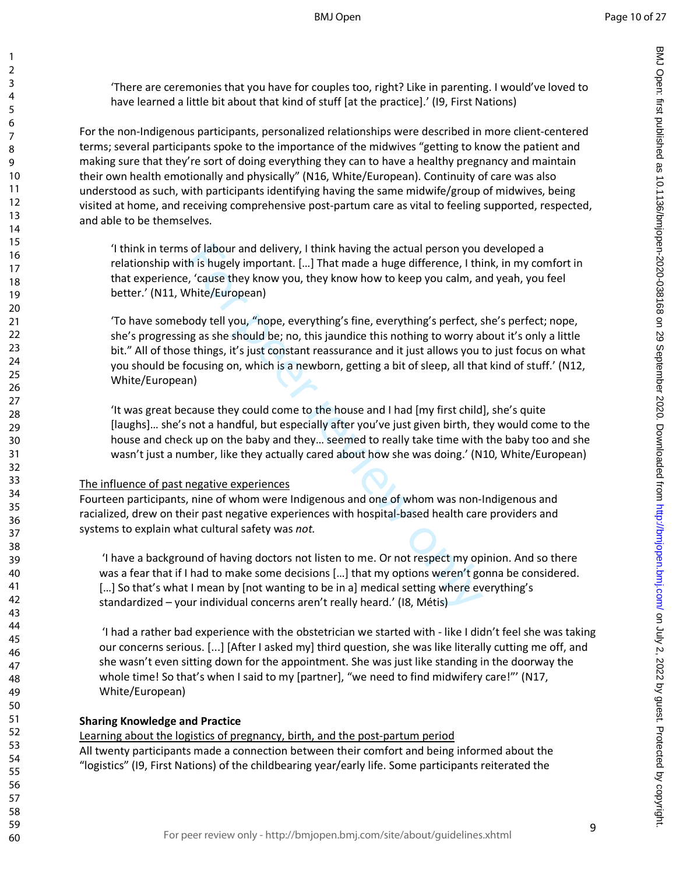'There are ceremonies that you have for couples too, right? Like in parenting. I would've loved to have learned a little bit about that kind of stuff [at the practice].' (I9, First Nations)

For the non -Indigenous participants, personalized relationships were described in more client -centered terms; several participants spoke to the importance of the midwives "getting to know the patient and making sure that they're sort of doing everything they can to have a healthy pregnancy and maintain their own health emotionally and physically" (N16, White/European). Continuity of care was also understood as such, with participants identifying having the same midwife/group of midwives, being visited at home, and receiving comprehensive post-partum care as vital to feeling supported, respected, and able to be themselves.

'I think in terms of labour and delivery, I think having the actual person you developed a relationship with is hugely important. […] That made a huge difference, I think, in my comfort in that experience, 'cause they know you, they know how to keep you calm, and yeah, you feel better.' (N11, White/European)

is of labour and delivery, I think having the actual person you<br>
th is hugely important. [...] That made a huge difference, I this<br>
', 'cause they know you, they know how to keep you calm, an<br>
', 'cause they know you, they 'To have somebody tell you, "nope, everything's fine, everything's perfect, she's perfect; nope, she's progressing as she should be; no, this jaundice this nothing to worry about it's only a little bit." All of those things, it's just constant reassurance and it just allows you to just focus on what you should be focusing on, which is a newborn, getting a bit of sleep, all that kind of stuff.' (N12, White/European)

'It was great because they could come to the house and I had [my first child], she's quite [laughs]… she's not a handful, but especially after you've just given birth, they would come to the house and check up on the baby and they… seemed to really take time with the baby too and she wasn't just a number, like they actually cared about how she was doing.' (N10, White/European)

#### The influence of past negative experiences

123456789

Fourteen participants, nine of whom were Indigenous and one of whom was non-Indigenous and racialized, drew on their past negative experiences with hospital -based health care providers and systems to explain what cultural safety was *not.*

 'I have a background of having doctors not listen to me. Or not respect my opinion. And so there was a fear that if I had to make some decisions […] that my options weren't gonna be considered. [...] So that's what I mean by [not wanting to be in a] medical setting where everything's standardized – your individual concerns aren't really heard.' (I8, Métis)

'I had a rather bad experience with the obstetrician we started with - like I didn't feel she was taking our concerns serious. [...] [After I asked my] third question, she was like literally cutting me off, and she wasn't even sitting down for the appointment. She was just like standing in the doorway the whole time! So that's when I said to my [partner], "we need to find midwifery care!"' (N17, White/European)

#### **Sharing Knowledge and Practice**

Learning about the logistics of pregnancy, birth, and the post -partum period All twenty participants made a connection between their comfort and being informed about the "logistics" (I9, First Nations) of the childbearing year/early life. Some participants reiterated the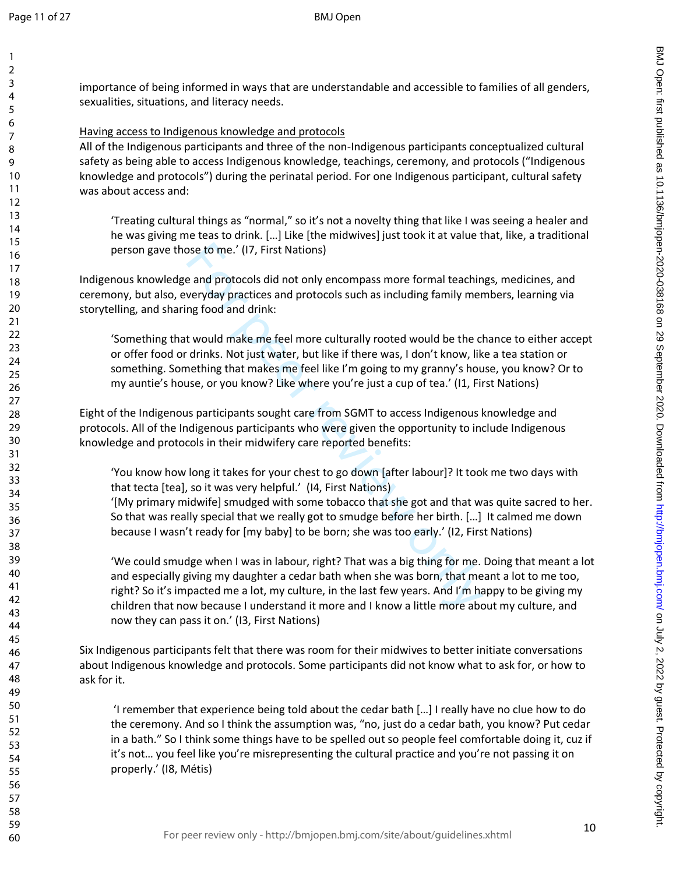be to me.' (I7, First Nations)<br>
e and protocols did not only encompass more formal teachin<br>
veryday practices and protocols such as including family mer<br>
food and drink:<br>
t would make me feel more culturally rooted would b importance of being informed in ways that are understandable and accessible to families of all genders, sexualities, situations, and literacy needs. Having access to Indigenous knowledge and protocols All of the Indigenous participants and three of the non -Indigenous participants conceptualized cultural safety as being able to access Indigenous knowledge, teachings, ceremony, and protocols ("Indigenous knowledge and protocols") during the perinatal period. For one Indigenous participant, cultural safety was about access and: 'Treating cultural things as "normal," so it's not a novelty thing that like I was seeing a healer and he was giving me teas to drink. […] Like [the midwives] just took it at value that, like, a traditional person gave those to me.' (I7, First Nations) Indigenous knowledge and protocols did not only encompass more formal teachings, medicines, and ceremony, but also, everyday practices and protocols such as including family members, learning via storytelling, and sharing food and drink: 'Something that would make me feel more culturally rooted would be the chance to either accept or offer food or drinks. Not just water, but like if there was, I don't know, like a tea station or something. Something that makes me feel like I'm going to my granny's house, you know? Or to my auntie's house, or you know? Like where you're just a cup of tea.' (I1, First Nations)

Eight of the Indigenous participants sought care from SGMT to access Indigenous knowledge and protocols. All of the Indigenous participants who were given the opportunity to include Indigenous knowledge and protocols in their midwifery care reported benefits:

'You know how long it takes for your chest to go down [after labour]? It took me two days with that tecta [tea], so it was very helpful.' (I4, First Nations)

'[My primary midwife] smudged with some tobacco that she got and that was quite sacred to her. So that was really special that we really got to smudge before her birth. […] It calmed me down because I wasn't ready for [my baby] to be born; she was too early.' (I2, First Nations)

'We could smudge when I was in labour, right? That was a big thing for me. Doing that meant a lot and especially giving my daughter a cedar bath when she was born, that meant a lot to me too, right? So it's impacted me a lot, my culture, in the last few years. And I'm happy to be giving my children that now because I understand it more and I know a little more about my culture, and now they can pass it on.' (I3, First Nations)

Six Indigenous participants felt that there was room for their midwives to better initiate conversations about Indigenous knowledge and protocols. Some participants did not know what to ask for, or how to ask for it.

'I remember that experience being told about the cedar bath […] I really have no clue how to do the ceremony. And so I think the assumption was, "no, just do a cedar bath, you know? Put cedar in a bath." So I think some things have to be spelled out so people feel comfortable doing it, cuz if it's not… you feel like you're misrepresenting the cultural practice and you're not passing it on properly.' (I8, Métis)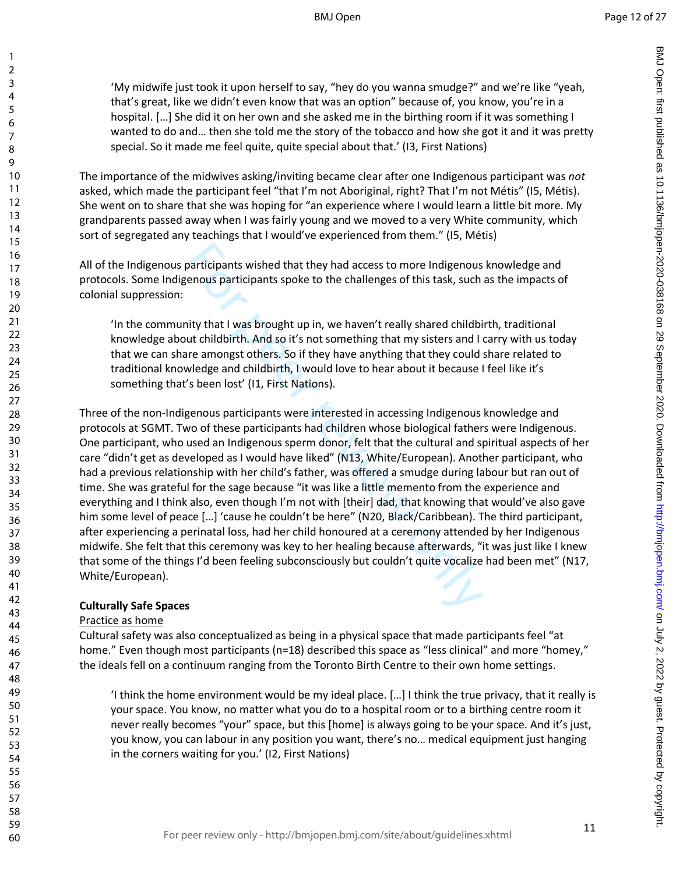'My midwife just took it upon herself to say, "hey do you wanna smudge?" and we're like "yeah, that's great, like we didn't even know that was an option" because of, you know, you're in a hospital. […] She did it on her own and she asked me in the birthing room if it was something I wanted to do and… then she told me the story of the tobacco and how she got it and it was pretty special. So it made me feel quite, quite special about that.' (I3, First Nations)

The importance of the midwives asking/inviting became clear after one Indigenous participant was *not*  asked, which made the participant feel "that I'm not Aboriginal, right? That I'm not Métis" (I5, Métis). She went on to share that she was hoping for "an experience where I would learn a little bit more. My grandparents passed away when I was fairly young and we moved to a very White community, which sort of segregated any teachings that I would've experienced from them." (I5, Métis)

All of the Indigenous participants wished that they had access to more Indigenous knowledge and protocols. Some Indigenous participants spoke to the challenges of this task, such as the impacts of colonial suppression:

'In the community that I was brought up in, we haven't really shared childbirth, traditional knowledge about childbirth. And so it's not something that my sisters and I carry with us today that we can share amongst others. So if they have anything that they could share related to traditional knowledge and childbirth, I would love to hear about it because I feel like it's something that's been lost' (I1, First Nations).

participants wished that they had access to more Indigenous<br>enous participants spoke to the challenges of this task, such<br>enous participants spoke to the challenges of this task, such<br>uit childbirth. And so it's not someth Three of the non -Indigenous participants were interested in accessing Indigenous knowledge and protocols at SGMT. Two of these participants had children whose biological fathers were Indigenous. One participant, who used an Indigenous sperm donor, felt that the cultural and spiritual aspects of her care "didn't get as developed as I would have liked" (N13, White/European). Another participant, who had a previous relationship with her child's father, was offered a smudge during labour but ran out of time. She was grateful for the sage because "it was like a little memento from the experience and everything and I think also, even though I'm not with [their] dad, that knowing that would've also gave him some level of peace [...] 'cause he couldn't be here" (N20, Black/Caribbean). The third participant, after experiencing a perinatal loss, had her child honoured at a ceremony attended by her Indigenous midwife. She felt that this ceremony was key to her healing because afterwards, "it was just like I knew that some of the things I'd been feeling subconsciously but couldn't quite vocalize had been met" (N17, White/European).

#### **Culturally Safe Spaces**

#### Practice as home

123456789

Cultural safety was also conceptualized as being in a physical space that made participants feel "at home." Even though most participants (n=18) described this space as "less clinical" and more "homey," the ideals fell on a continuum ranging from the Toronto Birth Centre to their own home settings.

'I think the home environment would be my ideal place. […] I think the true privacy, that it really is your space. You know, no matter what you do to a hospital room or to a birthing centre room it never really becomes "your" space, but this [home] is always going to be your space. And it's just, you know, you can labour in any position you want, there's no… medical equipment just hanging in the corners waiting for you.' (I2, First Nations)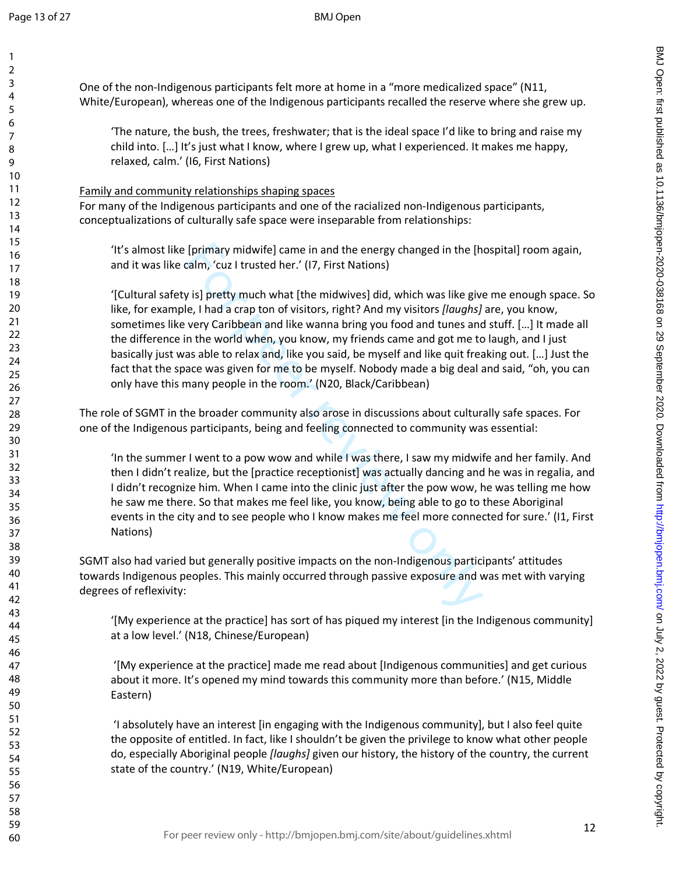#### BMJ Open

| One of the non-Indigenous participants felt more at home in a "more medicalized space" (N11,<br>White/European), whereas one of the Indigenous participants recalled the reserve where she grew up. |
|-----------------------------------------------------------------------------------------------------------------------------------------------------------------------------------------------------|
|                                                                                                                                                                                                     |
| The nature, the bush, the trees, freshwater; that is the ideal space I'd like to bring and raise my                                                                                                 |
| child into. [] It's just what I know, where I grew up, what I experienced. It makes me happy,                                                                                                       |
| relaxed, calm.' (I6, First Nations)                                                                                                                                                                 |
| Family and community relationships shaping spaces                                                                                                                                                   |
| For many of the Indigenous participants and one of the racialized non-Indigenous participants,                                                                                                      |
| conceptualizations of culturally safe space were inseparable from relationships:                                                                                                                    |
| 'It's almost like [primary midwife] came in and the energy changed in the [hospital] room again,                                                                                                    |
| and it was like calm, 'cuz I trusted her.' (I7, First Nations)                                                                                                                                      |
| '[Cultural safety is] pretty much what [the midwives] did, which was like give me enough space. So                                                                                                  |
| like, for example, I had a crap ton of visitors, right? And my visitors [laughs] are, you know,                                                                                                     |
| sometimes like very Caribbean and like wanna bring you food and tunes and stuff. [] It made all                                                                                                     |
| the difference in the world when, you know, my friends came and got me to laugh, and I just                                                                                                         |
| basically just was able to relax and, like you said, be myself and like quit freaking out. [] Just the                                                                                              |
| fact that the space was given for me to be myself. Nobody made a big deal and said, "oh, you can                                                                                                    |
| only have this many people in the room.' (N20, Black/Caribbean)                                                                                                                                     |
| The role of SGMT in the broader community also arose in discussions about culturally safe spaces. For                                                                                               |
| one of the Indigenous participants, being and feeling connected to community was essential:                                                                                                         |
| 'In the summer I went to a pow wow and while I was there, I saw my midwife and her family. And                                                                                                      |
| then I didn't realize, but the [practice receptionist] was actually dancing and he was in regalia, and                                                                                              |
| I didn't recognize him. When I came into the clinic just after the pow wow, he was telling me how                                                                                                   |
| he saw me there. So that makes me feel like, you know, being able to go to these Aboriginal                                                                                                         |
| events in the city and to see people who I know makes me feel more connected for sure.' (I1, First                                                                                                  |
| Nations)                                                                                                                                                                                            |
| SGMT also had varied but generally positive impacts on the non-Indigenous participants' attitudes                                                                                                   |
| towards Indigenous peoples. This mainly occurred through passive exposure and was met with varying                                                                                                  |
| degrees of reflexivity:                                                                                                                                                                             |
| '[My experience at the practice] has sort of has piqued my interest [in the Indigenous community]                                                                                                   |
| at a low level.' (N18, Chinese/European)                                                                                                                                                            |
| '[My experience at the practice] made me read about [Indigenous communities] and get curious                                                                                                        |
| about it more. It's opened my mind towards this community more than before.' (N15, Middle                                                                                                           |
| Eastern)                                                                                                                                                                                            |
| 'I absolutely have an interest [in engaging with the Indigenous community], but I also feel quite                                                                                                   |
| the opposite of entitled. In fact, like I shouldn't be given the privilege to know what other people                                                                                                |
| do, especially Aboriginal people [laughs] given our history, the history of the country, the current                                                                                                |
| state of the country.' (N19, White/European)                                                                                                                                                        |
|                                                                                                                                                                                                     |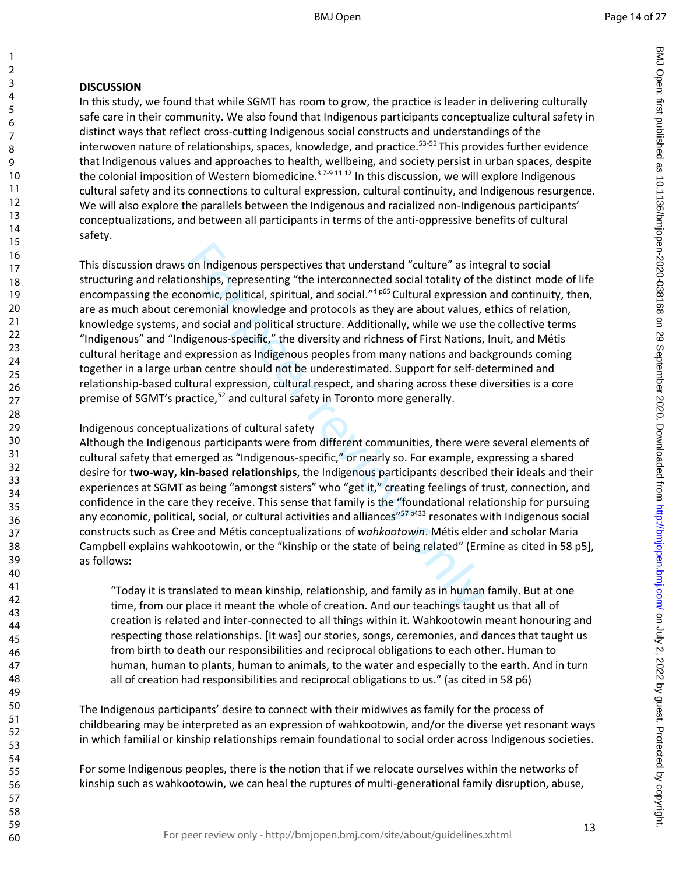#### **DISCUSSION**

123456789

In this study, we found that while SGMT has room to grow, the practice is leader in delivering culturally safe care in their community. We also found that Indigenous participants conceptualize cultural safety in distinct ways that reflect cross-cutting Indigenous social constructs and understandings of the interwoven nature of relationships, spaces, knowledge, and practice.<sup>53-55</sup> This provides further evidence that Indigenous values and approaches to health, wellbeing, and society persist in urban spaces, despite the colonial imposition of Western biomedicine.<sup>37-91112</sup> In this discussion, we will explore Indigenous cultural safety and its connections to cultural expression, cultural continuity, and Indigenous resurgence. We will also explore the parallels between the Indigenous and racialized non -Indigenous participants' conceptualizations, and between all participants in terms of the anti -oppressive benefits of cultural safety.

on Indigenous perspectives that understand "culture" as intonships, representing "the interconnected social totality of the momic, political, spiritual, and social."<sup>4,p65</sup> Cultural expression remonial knowledge and protoc This discussion draws on Indigenous perspectives that understand "culture" as integral to social structuring and relationships, representing "the interconnected social totality of the distinct mode of life encompassing the economic, political, spiritual, and social."<sup>4 p65</sup> Cultural expression and continuity, then, are as much about ceremonial knowledge and protocols as they are about values, ethics of relation, knowledge systems, and social and political structure. Additionally, while we use the collective terms "Indigenous" and "Indigenous -specific," the diversity and richness of First Nations, Inuit, and Métis cultural heritage and expression as Indigenous peoples from many nations and backgrounds coming together in a large urban centre should not be underestimated. Support for self -determined and relationship -based cultural expression, cultural respect, and sharing across these diversities is a core premise of SGMT's practice,<sup>52</sup> and cultural safety in Toronto more generally.

#### Indigenous conceptualizations of cultural safety

Although the Indigenous participants were from different communities, there were several elements of cultural safety that emerged as "Indigenous-specific," or nearly so. For example, expressing a shared desire for *two-way, kin-based relationships*, the Indigenous participants described their ideals and their experiences at SGMT as being "amongst sisters" who "get it," creating feelings of trust, connection, and confidence in the care they receive. This sense that family is the "foundational relationship for pursuing any economic, political, social, or cultural activities and alliances"<sup>57 p433</sup> resonates with Indigenous social constructs such as Cree and Métis conceptualizations of *wahkootowin*. Métis elder and scholar Maria Campbell explains wahkootowin, or the "kinship or the state of being related" (Ermine as cited in 58 p5], as follows:

"Today it is translated to mean kinship, relationship, and family as in human family. But at one time, from our place it meant the whole of creation. And our teachings taught us that all of creation is related and inter-connected to all things within it. Wahkootowin meant honouring and respecting those relationships. [It was] our stories, songs, ceremonies, and dances that taught us from birth to death our responsibilities and reciprocal obligations to each other. Human to human, human to plants, human to animals, to the water and especially to the earth. And in turn all of creation had responsibilities and reciprocal obligations to us." (as cited in 58 p6)

The Indigenous participants' desire to connect with their midwives as family for the process of childbearing may be interpreted as an expression of wahkootowin, and/or the diverse yet resonant ways in which familial or kinship relationships remain foundational to social order across Indigenous societies.

For some Indigenous peoples, there is the notion that if we relocate ourselves within the networks of kinship such as wahkootowin, we can heal the ruptures of multi -generational family disruption, abuse,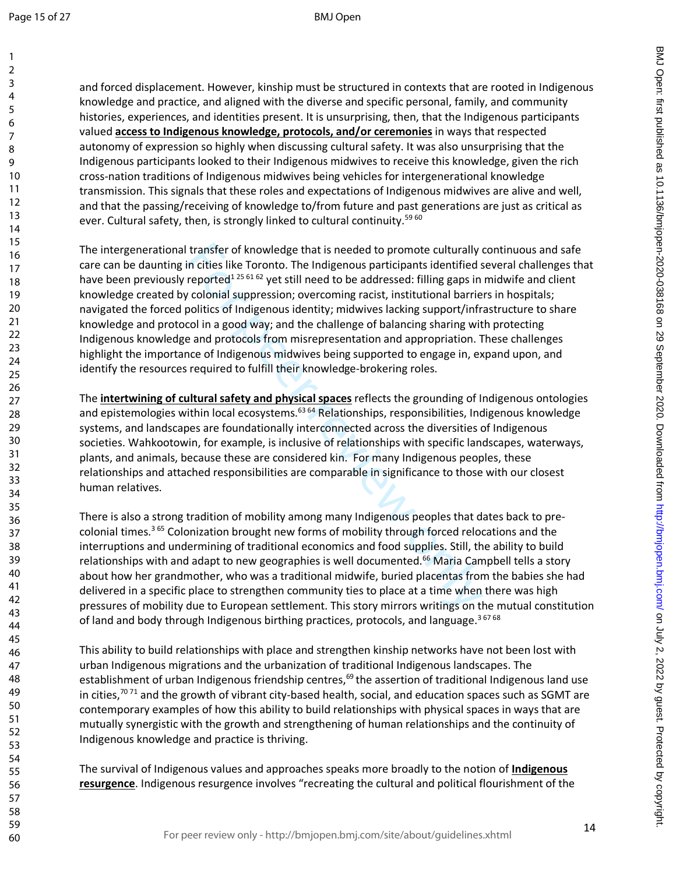and forced displacement. However, kinship must be structured in contexts that are rooted in Indigenous knowledge and practice, and aligned with the diverse and specific personal, family, and community histories, experiences, and identities present. It is unsurprising, then, that the Indigenous participants valued **access to Indigenous knowledge, protocols, and/or ceremonies** in ways that respected autonomy of expression so highly when discussing cultural safety. It was also unsurprising that the Indigenous participants looked to their Indigenous midwives to receive this knowledge, given the rich cross -nation traditions of Indigenous midwives being vehicles for intergenerational knowledge transmission. This signals that these roles and expectations of Indigenous midwives are alive and well, and that the passing/receiving of knowledge to/from future and past generations are just as critical as ever. Cultural safety, then, is strongly linked to cultural continuity.<sup>5960</sup>

transfer of knowledge that is needed to promote culturally in cities like Toronto. The Indigenous participants identified seponded<sup>256162</sup> yet still need to be addressed: filling gaps in colonial suppression; overcoming r The intergenerational transfer of knowledge that is needed to promote culturally continuous and safe care can be daunting in cities like Toronto. The Indigenous participants identified several challenges that have been previously reported<sup>1 25 61 62</sup> yet still need to be addressed: filling gaps in midwife and client knowledge created by colonial suppression; overcoming racist, institutional barriers in hospitals; navigated the forced politics of Indigenous identity; midwives lacking support/infrastructure to share knowledge and protocol in a good way; and the challenge of balancing sharing with protecting Indigenous knowledge and protocols from misrepresentation and appropriation. These challenges highlight the importance of Indigenous midwives being supported to engage in, expand upon, and identify the resources required to fulfill their knowledge -brokering roles.

The **intertwining of cultural safety and physical spaces** reflects the grounding of Indigenous ontologies and epistemologies within local ecosystems.<sup>63 64</sup> Relationships, responsibilities, Indigenous knowledge systems, and landscapes are foundationally interconnected across the diversities of Indigenous societies. Wahkootowin, for example, is inclusive of relationships with specific landscapes, waterways, plants, and animals, because these are considered kin. For many Indigenous peoples, these relationships and attached responsibilities are comparable in significance to those with our closest human relatives.

There is also a strong tradition of mobility among many Indigenous peoples that dates back to pre colonial times.<sup>365</sup> Colonization brought new forms of mobility through forced relocations and the interruptions and undermining of traditional economics and food supplies. Still, the ability to build relationships with and adapt to new geographies is well documented.<sup>66</sup> Maria Campbell tells a story about how her grandmother, who was a traditional midwife, buried placentas from the babies she had delivered in a specific place to strengthen community ties to place at a time when there was high pressures of mobility due to European settlement. This story mirrors writings on the mutual constitution of land and body through Indigenous birthing practices, protocols, and language.<sup>36768</sup>

This ability to build relationships with place and strengthen kinship networks have not been lost with urban Indigenous migrations and the urbanization of traditional Indigenous landscapes. The establishment of urban Indigenous friendship centres,<sup>69</sup> the assertion of traditional Indigenous land use in cities,<sup>7071</sup> and the growth of vibrant city-based health, social, and education spaces such as SGMT are contemporary examples of how this ability to build relationships with physical spaces in ways that are mutually synergistic with the growth and strengthening of human relationships and the continuity of Indigenous knowledge and practice is thriving.

The survival of Indigenous values and approaches speaks more broadly to the notion of **Indigenous resurgence**. Indigenous resurgence involves "recreating the cultural and political flourishment of the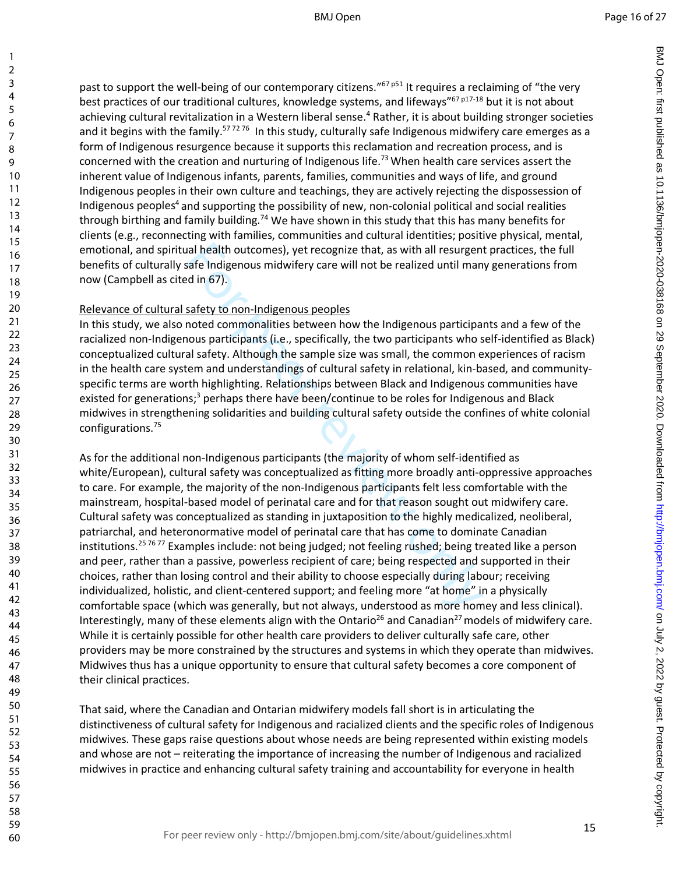past to support the well-being of our contemporary citizens."<sup>67 p51</sup> It requires a reclaiming of "the very best practices of our traditional cultures, knowledge systems, and lifeways"<sup>67 p17-18</sup> but it is not about achieving cultural revitalization in a Western liberal sense.<sup>4</sup> Rather, it is about building stronger societies and it begins with the family.<sup>577276</sup> In this study, culturally safe Indigenous midwifery care emerges as a form of Indigenous resurgence because it supports this reclamation and recreation process, and is concerned with the creation and nurturing of Indigenous life.<sup>73</sup> When health care services assert the inherent value of Indigenous infants, parents, families, communities and ways of life, and ground Indigenous peoples in their own culture and teachings, they are actively rejecting the dispossession of Indigenous peoples<sup>4</sup> and supporting the possibility of new, non-colonial political and social realities through birthing and family building.<sup>74</sup> We have shown in this study that this has many benefits for clients (e.g., reconnecting with families, communities and cultural identities; positive physical, mental, emotional, and spiritual health outcomes), yet recognize that, as with all resurgent practices, the full benefits of culturally safe Indigenous midwifery care will not be realized until many generations from now (Campbell as cited in 67 ).

#### Relevance of cultural safety to non -Indigenous peoples

123456789

In this study, we also noted commonalities between how the Indigenous participants and a few of the racialized non -Indigenous participants (i.e., specifically, the two participants who self -identified as Black) conceptualized cultural safety. Although the sample size was small, the common experiences of racism in the health care system and understandings of cultural safety in relational, kin -based, and community specific terms are worth highlighting. Relationships between Black and Indigenous communities have existed for generations;<sup>3</sup> perhaps there have been/continue to be roles for Indigenous and Black midwives in strengthening solidarities and building cultural safety outside the confines of white colonial configurations . 75

ial health outcomes), yet recognize that, as with all resurgen<br>safe Indigenous midwifery care will not be realized until man<br>d in 67).<br>Safety to non-Indigenous peoples<br>noted commonalities between how the Indigenous partici As for the additional non-Indigenous participants (the majority of whom self-identified as white/European), cultural safety was conceptualized as fitting more broadly anti -oppressive approaches to care. For example, the majority of the non-Indigenous participants felt less comfortable with the mainstream, hospital-based model of perinatal care and for that reason sought out midwifery care. Cultural safety was conceptualized as standing in juxtaposition to the highly medicalized, neoliberal, patriarchal, and heteronormative model of perinatal care that has come to dominate Canadian institutions.<sup>257677</sup> Examples include: not being judged; not feeling rushed; being treated like a person and peer, rather than a passive, powerless recipient of care; being respected and supported in their choices, rather than losing control and their ability to choose especially during labour; receiving individualized, holistic, and client-centered support; and feeling more "at home" in a physically comfortable space (which was generally, but not always, understood as more homey and less clinical). Interestingly, many of these elements align with the Ontario<sup>26</sup> and Canadian<sup>27</sup> models of midwifery care. While it is certainly possible for other health care providers to deliver culturally safe care, other providers may be more constrained by the structures and systems in which they operate than midwives. Midwives thus has a unique opportunity to ensure that cultural safety becomes a core component of their clinical practices.

That said, where the Canadian and Ontarian midwifery models fall short is in articulating the distinctiveness of cultural safety for Indigenous and racialized clients and the specific roles of Indigenous midwives. These gaps raise questions about whose needs are being represented within existing models and whose are not – reiterating the importance of increasing the number of Indigenous and racialized midwives in practice and enhancing cultural safety training and accountability for everyone in health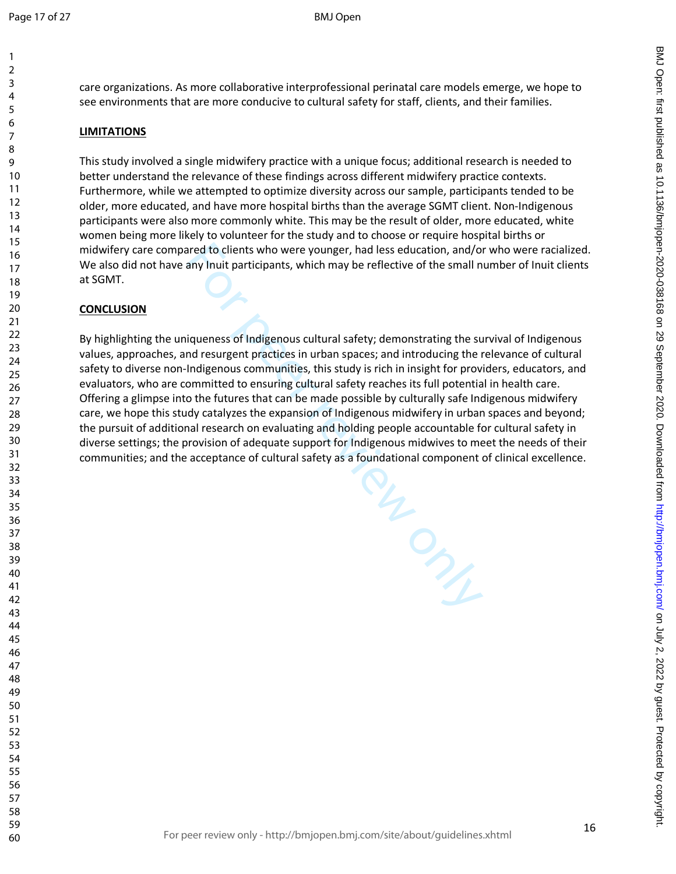care organizations. As more collaborative interprofessional perinatal care models emerge, we hope to see environments that are more conducive to cultural safety for staff, clients, and their families.

#### **LIMITATIONS**

This study involved a single midwifery practice with a unique focus; additional research is needed to better understand the relevance of these findings across different midwifery practice contexts. Furthermore, while we attempted to optimize diversity across our sample, participants tended to be older, more educated, and have more hospital births than the average SGMT client. Non -Indigenous participants were also more commonly white. This may be the result of older, more educated, white women being more likely to volunteer for the study and to choose or require hospital births or midwifery care compared to clients who were younger, had less education, and/or who were racialized. We also did not have any Inuit participants, which may be reflective of the small number of Inuit clients at SGMT.

#### **CONCLUSION**

By highlighting the uniqueness of Indigenous cultural safety; demonstrating the survival of Indigenous values, approaches, and resurgent practices in urban spaces; and introducing the relevance of cultural safety to diverse non-Indigenous communities, this study is rich in insight for providers, educators, and evaluators, who are committed to ensuring cultural safety reaches its full potential in health care. Offering a glimpse into the futures that can be made possible by culturally safe Indigenous midwifery care, we hope this study catalyzes the expansion of Indigenous midwifery in urban spaces and beyond; the pursuit of additional research on evaluating and holding people accountable for cultural safety in diverse settings; the provision of adequate support for Indigenous midwives to meet the needs of their communities; and the acceptance of cultural safety as a foundational component of clinical excellence.

**MADONA**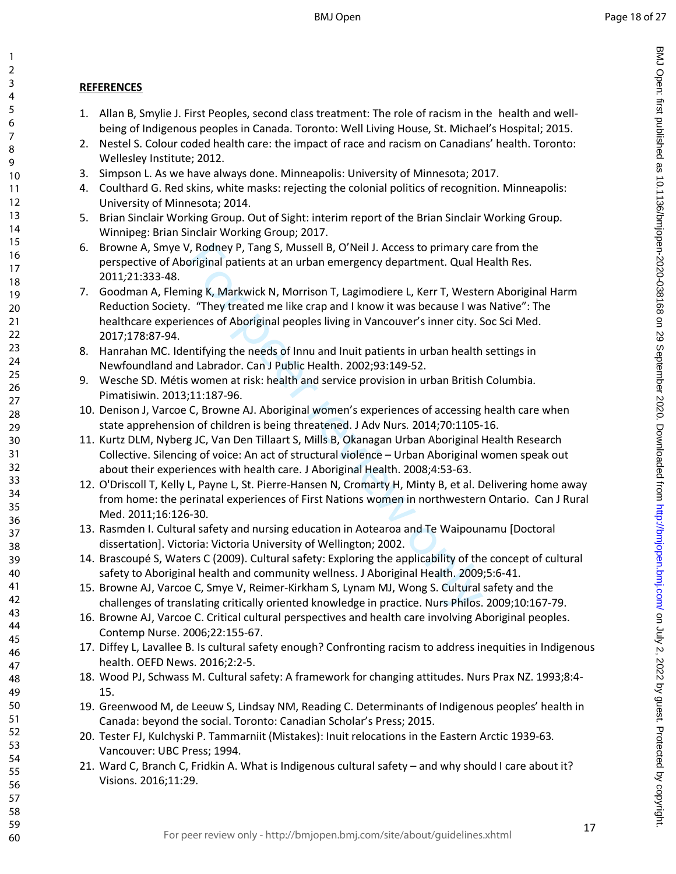#### **REFERENCES**

123456789

- 1. Allan B, Smylie J. First Peoples, second class treatment: The role of racism in the health and well being of Indigenous peoples in Canada. Toronto: Well Living House, St. Michael's Hospital; 2015.
- 2. Nestel S. Colour coded health care: the impact of race and racism on Canadians' health. Toronto: Wellesley Institute; 2012.
- 3. Simpson L. As we have always done. Minneapolis: University of Minnesota; 2017.
- 4. Coulthard G. Red skins, white masks: rejecting the colonial politics of recognition. Minneapolis: University of Minnesota; 2014.
- 5. Brian Sinclair Working Group. Out of Sight: interim report of the Brian Sinclair Working Group. Winnipeg: Brian Sinclair Working Group; 2017.
- 6. Browne A, Smye V, Rodney P, Tang S, Mussell B, O'Neil J. Access to primary care from the perspective of Aboriginal patients at an urban emergency department. Qual Health Res. 2011 *;*21:333 -48.
- V, Rodney P, Tang S, Mussell B, O'Neil J. Access to primary ca<br>original patients at an urban emergency department. Qual H<br>ing K, Markwick N, Morrison T, Lagimodiere L, Kerr T, Weste.<br>"They treated me like crap and I know i 7. Goodman A, Fleming K, Markwick N, Morrison T, Lagimodiere L, Kerr T, Western Aboriginal Harm Reduction Society. "They treated me like crap and I know it was because I was Native": The healthcare experiences of Aboriginal peoples living in Vancouver's inner city. Soc Sci Med. 2017;178:87 -94.
- 8. Hanrahan MC. Identifying the needs of Innu and Inuit patients in urban health settings in Newfoundland and Labrador. Can J Public Health. 2002;93:149 -52.
- 9. Wesche SD. Métis women at risk: health and service provision in urban British Columbia. Pimatisiwin. 2013;11:187 -96.
- 10. Denison J, Varcoe C, Browne AJ. Aboriginal women's experiences of accessing health care when state apprehension of children is being threatened. J Adv Nurs *.* 2014;70:1105 -16.
- 11. Kurtz DLM, Nyberg JC, Van Den Tillaart S, Mills B, Okanagan Urban Aboriginal Health Research Collective. Silencing of voice: An act of structural violence – Urban Aboriginal women speak out about their experiences with health care. J Aboriginal Health . 2008;4:53 -63.
- 12. O'Driscoll T, Kelly L, Payne L, St. Pierre -Hansen N, Cromarty H, Minty B, et al. Delivering home away from home: the perinatal experiences of First Nations women in northwestern Ontario. Can J Rural Med. 2011;16:126 -30.
- 13. Rasmden I. Cultural safety and nursing education in Aotearoa and Te Waipounamu [Doctoral dissertation]. Victoria: Victoria University of Wellington; 2002.
- 14. Brascoupé S, Waters C (2009). Cultural safety: Exploring the applicability of the concept of cultural safety to Aboriginal health and community wellness. J Aboriginal Health. 2009;5:6 -41.
- 15. Browne AJ, Varcoe C, Smye V, Reimer-Kirkham S, Lynam MJ, Wong S. Cultural safety and the challenges of translating critically oriented knowledge in practice. Nurs Philos. 2009;10:167 -79.
- 16. Browne AJ, Varcoe C. Critical cultural perspectives and health care involving Aboriginal peoples. Contemp Nurse. 2006;22:155 -67.
- 17. Diffey L, Lavallee B. Is cultural safety enough? Confronting racism to address inequities in Indigenous health. OEFD News. 2016;2:2 -5.
- 18. Wood PJ, Schwass M. Cultural safety: A framework for changing attitudes. Nurs Prax NZ. 1993;8:4- 15.
- 19. Greenwood M, de Leeuw S, Lindsay NM, Reading C. Determinants of Indigenous peoples' health in Canada: beyond the social. Toronto: Canadian Scholar's Press; 2015.
- 20. Tester FJ, Kulchyski P. Tammarniit (Mistakes): Inuit relocations in the Eastern Arctic 1939 -63*.*  Vancouver: UBC Press; 1994.
- 21. Ward C, Branch C, Fridkin A. What is Indigenous cultural safety and why should I care about it? Visions. 2016;11:29.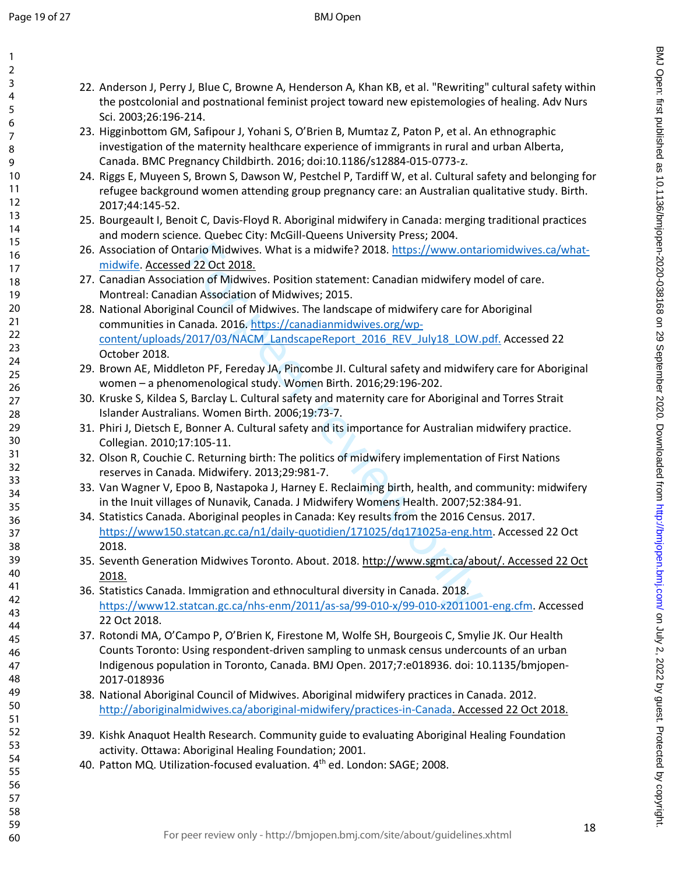| $\mathbf{1}$   |                                                                                        |
|----------------|----------------------------------------------------------------------------------------|
| $\overline{2}$ |                                                                                        |
| $\mathsf{3}$   | 22. Anderson J, Perry J, Blue C, Browne A, Henderson A, Khan KB, et al. "Rewriting     |
| 4<br>5         | the postcolonial and postnational feminist project toward new epistemologies           |
| 6              | Sci. 2003;26:196-214.                                                                  |
| $\overline{7}$ | 23. Higginbottom GM, Safipour J, Yohani S, O'Brien B, Mumtaz Z, Paton P, et al. Ar     |
| 8              | investigation of the maternity healthcare experience of immigrants in rural an         |
| 9              | Canada. BMC Pregnancy Childbirth. 2016; doi:10.1186/s12884-015-0773-z.                 |
| 10             | 24. Riggs E, Muyeen S, Brown S, Dawson W, Pestchel P, Tardiff W, et al. Cultural sa    |
| 11             | refugee background women attending group pregnancy care: an Australian qu              |
| 12             | 2017;44:145-52.                                                                        |
| 13             | 25. Bourgeault I, Benoit C, Davis-Floyd R. Aboriginal midwifery in Canada: merging     |
| 14             | and modern science. Quebec City: McGill-Queens University Press; 2004.                 |
| 15             |                                                                                        |
| 16             | 26. Association of Ontario Midwives. What is a midwife? 2018. https://www.onta         |
| 17             | midwife. Accessed 22 Oct 2018.                                                         |
| 18             | 27. Canadian Association of Midwives. Position statement: Canadian midwifery m         |
| 19             | Montreal: Canadian Association of Midwives; 2015.                                      |
| 20             | 28. National Aboriginal Council of Midwives. The landscape of midwifery care for $\mu$ |
| 21             | communities in Canada. 2016. https://canadianmidwives.org/wp-                          |
| 22             | content/uploads/2017/03/NACM LandscapeReport 2016 REV July18 LOW.                      |
| 23             | October 2018.                                                                          |
| 24<br>25       | 29. Brown AE, Middleton PF, Fereday JA, Pincombe JI. Cultural safety and midwife       |
| 26             | women - a phenomenological study. Women Birth. 2016;29:196-202.                        |
| 27             | 30. Kruske S, Kildea S, Barclay L. Cultural safety and maternity care for Aboriginal a |
| 28             | Islander Australians. Women Birth. 2006;19:73-7.                                       |
| 29             | 31. Phiri J, Dietsch E, Bonner A. Cultural safety and its importance for Australian m  |
| 30             | Collegian. 2010;17:105-11.                                                             |
| 31             | 32. Olson R, Couchie C. Returning birth: The politics of midwifery implementation      |
| 32             | reserves in Canada. Midwifery. 2013;29:981-7.                                          |
| 33             |                                                                                        |
| 34             | 33. Van Wagner V, Epoo B, Nastapoka J, Harney E. Reclaiming birth, health, and co      |
| 35             | in the Inuit villages of Nunavik, Canada. J Midwifery Womens Health. 2007;52:          |
| 36             | 34. Statistics Canada. Aboriginal peoples in Canada: Key results from the 2016 Cer     |
| 37             | https://www150.statcan.gc.ca/n1/daily-quotidien/171025/dq171025a-eng.ht                |
| 38             | 2018.                                                                                  |
| 39             | 35. Seventh Generation Midwives Toronto. About. 2018. http://www.sgmt.ca/abo           |
| 40             | 2018.                                                                                  |
| 41             | 36. Statistics Canada. Immigration and ethnocultural diversity in Canada. 2018.        |
| 42<br>43       | https://www12.statcan.gc.ca/nhs-enm/2011/as-sa/99-010-x/99-010-x201100                 |
| 44             | 22 Oct 2018.                                                                           |
| 45             | 37. Rotondi MA, O'Campo P, O'Brien K, Firestone M, Wolfe SH, Bourgeois C, Smyli        |
| 46             | Counts Toronto: Using respondent-driven sampling to unmask census underco              |
| 47             | Indigenous population in Toronto, Canada. BMJ Open. 2017;7:e018936. doi: 1             |
| 48             | 2017-018936                                                                            |
| 49             | 38. National Aboriginal Council of Midwives. Aboriginal midwifery practices in Car     |
| 50             | http://aboriginalmidwives.ca/aboriginal-midwifery/practices-in-Canada. Acces           |
| 51             |                                                                                        |
| 52             | 39. Kishk Anaquot Health Research. Community guide to evaluating Aboriginal He         |
| 53             | activity. Ottawa: Aboriginal Healing Foundation; 2001.                                 |
| 54             | 40. Patton MQ. Utilization-focused evaluation. 4 <sup>th</sup> ed. London: SAGE; 2008. |
| 55             |                                                                                        |
| 56             |                                                                                        |
| 57             |                                                                                        |
| 58             |                                                                                        |
| 59<br>60       | For peer review only - http://bmjopen.bmj.com/site/about/guidelines                    |
|                |                                                                                        |

| 22. Anderson J, Perry J, Blue C, Browne A, Henderson A, Khan KB, et al. "Rewriting" cultural safety within<br>the postcolonial and postnational feminist project toward new epistemologies of healing. Adv Nurs<br>Sci. 2003;26:196-214. |
|------------------------------------------------------------------------------------------------------------------------------------------------------------------------------------------------------------------------------------------|
| 23. Higginbottom GM, Safipour J, Yohani S, O'Brien B, Mumtaz Z, Paton P, et al. An ethnographic                                                                                                                                          |
|                                                                                                                                                                                                                                          |
| investigation of the maternity healthcare experience of immigrants in rural and urban Alberta,                                                                                                                                           |
| Canada. BMC Pregnancy Childbirth. 2016; doi:10.1186/s12884-015-0773-z.                                                                                                                                                                   |
| 24. Riggs E, Muyeen S, Brown S, Dawson W, Pestchel P, Tardiff W, et al. Cultural safety and belonging for                                                                                                                                |
| refugee background women attending group pregnancy care: an Australian qualitative study. Birth.                                                                                                                                         |
| 2017;44:145-52.                                                                                                                                                                                                                          |
| 25. Bourgeault I, Benoit C, Davis-Floyd R. Aboriginal midwifery in Canada: merging traditional practices                                                                                                                                 |
| and modern science. Quebec City: McGill-Queens University Press; 2004.                                                                                                                                                                   |
| 26 Accoriation of Ontario Midwives, What is a midwife 2.2019 https://www.ontariomidwives.ca/what                                                                                                                                         |

26. Association of Ontario Midwives. What is a midwife? 2018. https://www.ontariomidwives.ca/what-

- 'osition statement: Canadian midwifery model of care. 1idwives; 2015.
- ives. The landscape of midwifery care for Aboriginal communities in Canada. 2016. https://canadianmidwives.org/wpcontent/uploads/2017/03/NACM\_LandscapeReport\_2016\_REV\_July18\_LOW.pdf. Accessed 22
- , Pincombe JI. Cultural safety and midwifery care for Aboriginal women – a phenomenological study. Women Birth. 2016;29:196 -202.
- safety and maternity care for Aboriginal and Torres Strait Islander Australians. Women Birth. 2006;19:73 -7.
- safety and its importance for Australian midwifery practice.
- The politics of midwifery implementation of First Nations reserves in Canada. Midwifery. 2013;29:981 -7.
- Harney E. Reclaiming birth, health, and community: midwifery in the Inuit villages of Nunavik, Canada. J Midwifery Womens Health. 2007;52:384 -91.
- If in Canada: Key results from the 2016 Census. 2017. https://www150.statcan.gc.ca/n1/daily -quotidien/171025/dq171025a-eng.htm. Accessed 22 Oct
- to. About. 2018. http://www.sgmt.ca/about/. Accessed 22 Oct
- thnocultural diversity in Canada. 2018. -enm/2011/as-sa/99-010-x/99-010-x2011001-eng.cfm. Accessed
- Firestone M, Wolfe SH, Bourgeois C, Smylie JK. Our Health riven sampling to unmask census undercounts of an urban Indigenous population in Toronto, Canada. BMJ Open. 2017;7:e018936. doi: 10.1135/bmjopen -
- ives. Aboriginal midwifery practices in Canada. 2012. http://aboriginalmidwives.ca/aboriginal -midwifery/practices-in-Canada. Accessed 22 Oct 2018.
- 139. Inforty analysish analysish August Ananation. Comunity guide to evaluation Foundation; 2001.
- ation. 4<sup>th</sup> ed. London: SAGE; 2008.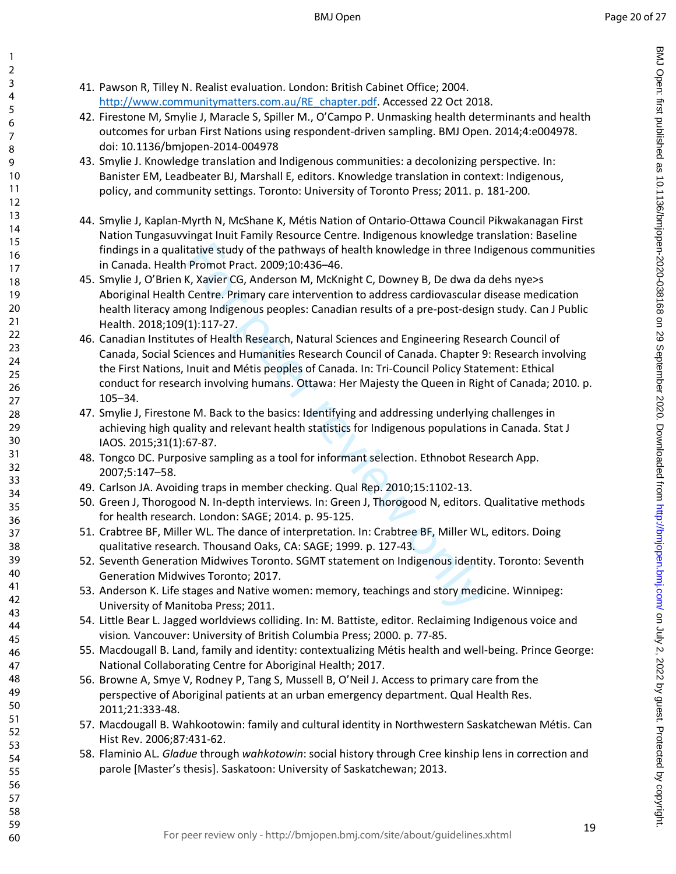41. Pawson R, Tilley N. Realist evaluation. London: British Cabinet Office; 2004. http://www.communitymatters.com.au/RE\_chapter.pdf. Accessed 22 Oct 2018.

123456789

- 42. Firestone M, Smylie J, Maracle S, Spiller M., O'Campo P. Unmasking health determinants and health outcomes for urban First Nations using respondent -driven sampling. BMJ Open. 2014;4:e004978. doi: 10.1136/bmjopen -2014 -004978
- 43. Smylie J. Knowledge translation and Indigenous communities: a decolonizing perspective. In: Banister EM, Leadbeater BJ, Marshall E, editors. Knowledge translation in context: Indigenous, policy, and community settings. Toronto: University of Toronto Press; 2011. p. 181 -200.
- 44. Smylie J, Kaplan -Myrth N, McShane K, Métis Nation of Ontario -Ottawa Council Pikwakanagan First Nation Tungasuvvingat Inuit Family Resource Centre. Indigenous knowledge translation: Baseline findings in a qualitative study of the pathways of health knowledge in three Indigenous communities in Canada. Health Promot Pract. 2009;10:436 –46.
- 45. Smylie J, O'Brien K, Xavier CG, Anderson M, McKnight C, Downey B, De dwa da dehs nye>s Aboriginal Health Centre. Primary care intervention to address cardiovascular disease medication health literacy among Indigenous peoples: Canadian results of a pre -post -design study. Can J Public Health. 2018;109(1):117 -27.
- tative study of the pathways of health knowledge in three In<br>Promot Pract. 2009;10:436–46.<br>K, Xavier CG, Anderson M, McKnight C, Downey B, De dwa da<br>Centre. Primary care intervention to address cardiovascular<br>Centre. Prima 46. Canadian Institutes of Health Research, Natural Sciences and Engineering Research Council of Canada, Social Sciences and Humanities Research Council of Canada. Chapter 9: Research involving the First Nations, Inuit and Métis peoples of Canada. In: Tri -Council Policy Statement: Ethical conduct for research involving humans. Ottawa: Her Majesty the Queen in Right of Canada; 2010. p. 105 –34.
- 47. Smylie J, Firestone M. Back to the basics: Identifying and addressing underlying challenges in achieving high quality and relevant health statistics for Indigenous populations in Canada. Stat J IAOS. 2015;31(1):67 -87.
- 48. Tongco DC. Purposive sampling as a tool for informant selection. Ethnobot Research App. 2007;5:147 –58.
- 49. Carlson JA. Avoiding traps in member checking. Qual Rep. 2010;15:1102 -13.
- 50. Green J, Thorogood N. In-depth interviews. In: Green J, Thorogood N, editors. Qualitative methods for health research. London: SAGE; 2014. p. 95 -125.
- 51. Crabtree BF, Miller WL. The dance of interpretation. In: Crabtree BF, Miller WL, editors. Doing qualitative research*.* Thousand Oaks, CA: SAGE; 1999. p. 127 -43.
- 52. Seventh Generation Midwives Toronto. SGMT statement on Indigenous identity. Toronto: Seventh Generation Midwives Toronto; 2017.
- 53. Anderson K. Life stages and Native women: memory, teachings and story medicine. Winnipeg: University of Manitoba Press; 2011.
- 54. Little Bear L. Jagged worldviews colliding. In: M. Battiste, editor. Reclaiming Indigenous voice and vision*.* Vancouver: University of British Columbia Press; 2000. p. 77 -85.
- 55. Macdougall B. Land, family and identity: contextualizing Métis health and well -being. Prince George: National Collaborating Centre for Aboriginal Health; 2017.
- 56. Browne A, Smye V, Rodney P, Tang S, Mussell B, O'Neil J. Access to primary care from the perspective of Aboriginal patients at an urban emergency department. Qual Health Res. 2011 *;*21:333 -48.
- 57. Macdougall B. Wahkootowin: family and cultural identity in Northwestern Saskatchewan Métis. Can Hist Rev. 2006;87:431 -62.
- 58. Flaminio AL. *Gladue* through *wahkotowin*: social history through Cree kinship lens in correction and parole [Master's thesis]. Saskatoon: University of Saskatchewan; 2013.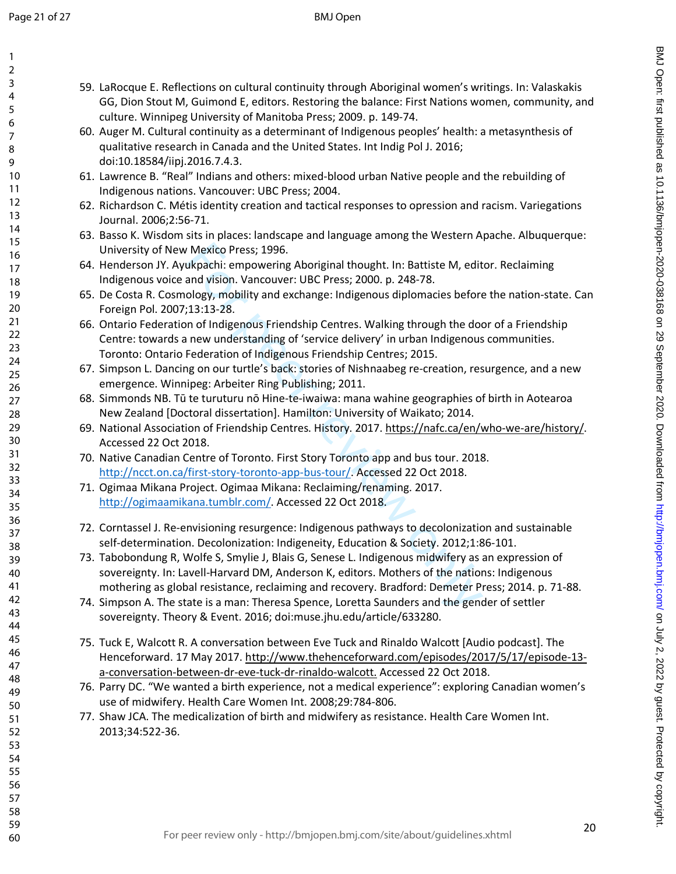#### BMJ Open

| GG, Dion Stout M, Guimond E, editors. Restoring the balance: First Nations women, community, and<br>culture. Winnipeg University of Manitoba Press; 2009. p. 149-74.                                                                                                                                  |
|-------------------------------------------------------------------------------------------------------------------------------------------------------------------------------------------------------------------------------------------------------------------------------------------------------|
| 60. Auger M. Cultural continuity as a determinant of Indigenous peoples' health: a metasynthesis of<br>qualitative research in Canada and the United States. Int Indig Pol J. 2016;<br>doi:10.18584/iipj.2016.7.4.3.                                                                                  |
| 61. Lawrence B. "Real" Indians and others: mixed-blood urban Native people and the rebuilding of<br>Indigenous nations. Vancouver: UBC Press; 2004.                                                                                                                                                   |
| 62. Richardson C. Métis identity creation and tactical responses to opression and racism. Variegations<br>Journal. 2006;2:56-71.                                                                                                                                                                      |
| 63. Basso K. Wisdom sits in places: landscape and language among the Western Apache. Albuquerque:<br>University of New Mexico Press; 1996.                                                                                                                                                            |
| 64. Henderson JY. Ayukpachi: empowering Aboriginal thought. In: Battiste M, editor. Reclaiming<br>Indigenous voice and vision. Vancouver: UBC Press; 2000. p. 248-78.                                                                                                                                 |
| 65. De Costa R. Cosmology, mobility and exchange: Indigenous diplomacies before the nation-state. Can<br>Foreign Pol. 2007;13:13-28.                                                                                                                                                                  |
| 66. Ontario Federation of Indigenous Friendship Centres. Walking through the door of a Friendship<br>Centre: towards a new understanding of 'service delivery' in urban Indigenous communities.<br>Toronto: Ontario Federation of Indigenous Friendship Centres; 2015.                                |
| 67. Simpson L. Dancing on our turtle's back: stories of Nishnaabeg re-creation, resurgence, and a new<br>emergence. Winnipeg: Arbeiter Ring Publishing; 2011.                                                                                                                                         |
| 68. Simmonds NB. Tū te turuturu nō Hine-te-iwaiwa: mana wahine geographies of birth in Aotearoa<br>New Zealand [Doctoral dissertation]. Hamilton: University of Waikato; 2014.                                                                                                                        |
| 69. National Association of Friendship Centres. History. 2017. https://nafc.ca/en/who-we-are/history/.<br>Accessed 22 Oct 2018.                                                                                                                                                                       |
| 70. Native Canadian Centre of Toronto. First Story Toronto app and bus tour. 2018.<br>http://ncct.on.ca/first-story-toronto-app-bus-tour/. Accessed 22 Oct 2018.                                                                                                                                      |
| 71. Ogimaa Mikana Project. Ogimaa Mikana: Reclaiming/renaming. 2017.<br>http://ogimaamikana.tumblr.com/. Accessed 22 Oct 2018.                                                                                                                                                                        |
| 72. Corntassel J. Re-envisioning resurgence: Indigenous pathways to decolonization and sustainable<br>self-determination. Decolonization: Indigeneity, Education & Society. 2012;1:86-101.                                                                                                            |
| 73. Tabobondung R, Wolfe S, Smylie J, Blais G, Senese L. Indigenous midwifery as an expression of<br>sovereignty. In: Lavell-Harvard DM, Anderson K, editors. Mothers of the nations: Indigenous<br>mothering as global resistance, reclaiming and recovery. Bradford: Demeter Press; 2014. p. 71-88. |
| 74. Simpson A. The state is a man: Theresa Spence, Loretta Saunders and the gender of settler<br>sovereignty. Theory & Event. 2016; doi:muse.jhu.edu/article/633280.                                                                                                                                  |
| 75. Tuck E, Walcott R. A conversation between Eve Tuck and Rinaldo Walcott [Audio podcast]. The<br>Henceforward. 17 May 2017. http://www.thehenceforward.com/episodes/2017/5/17/episode-13-<br>a-conversation-between-dr-eve-tuck-dr-rinaldo-walcott. Accessed 22 Oct 2018.                           |
| 76. Parry DC. "We wanted a birth experience, not a medical experience": exploring Canadian women's<br>use of midwifery. Health Care Women Int. 2008;29:784-806.                                                                                                                                       |
| 77. Shaw JCA. The medicalization of birth and midwifery as resistance. Health Care Women Int.                                                                                                                                                                                                         |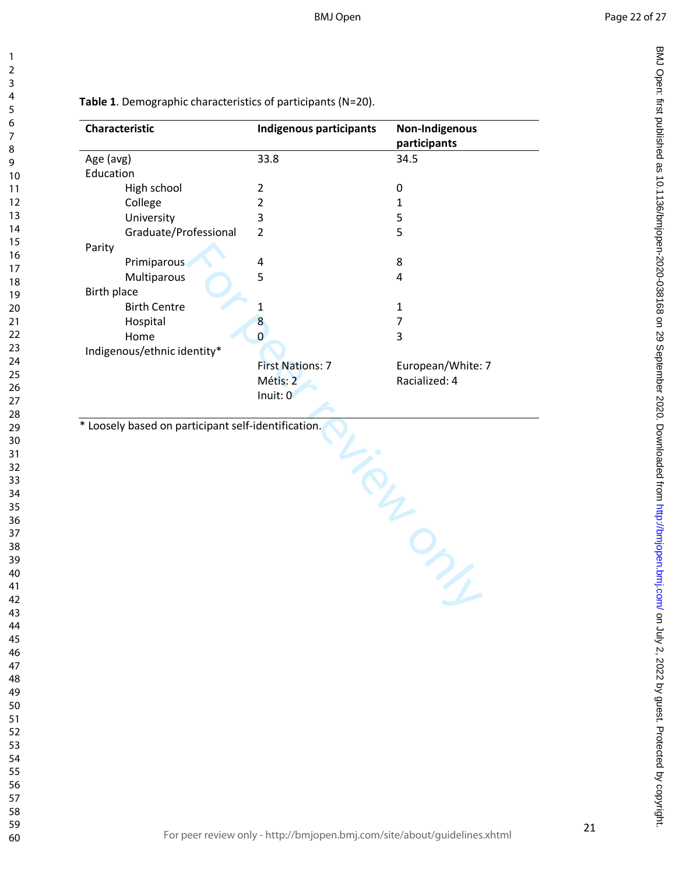| 1<br>$\overline{2}$<br>3<br>4                 |  |
|-----------------------------------------------|--|
| 5<br>6<br>7                                   |  |
| 8<br>9<br>10<br>11                            |  |
| 12<br>13<br>14                                |  |
| 15<br>$\frac{16}{2}$<br>$\overline{17}$<br>18 |  |
| 19<br>20<br>$\overline{21}$                   |  |
| $^{22}$<br>23<br>24<br>25                     |  |
| 26<br>27<br>28                                |  |
| 29<br>30<br>31<br>32                          |  |
| 33<br>34<br>35                                |  |
| 36<br>37<br>R۶<br>39                          |  |
| 40<br>41<br>42                                |  |
| 43<br>44<br>45<br>46                          |  |
| 47<br>48<br>49                                |  |
| 50<br>51<br>52<br>53                          |  |
| 54<br>55<br>56                                |  |
| 57<br>58<br>59                                |  |

 $\mathbf{1}$ 

**Table 1**. Demographic characteristics of participants (N=20).

| Characteristic                                      | <b>Indigenous participants</b> | Non-Indigenous<br>participants |  |
|-----------------------------------------------------|--------------------------------|--------------------------------|--|
| Age (avg)                                           | 33.8                           | 34.5                           |  |
| Education                                           |                                |                                |  |
| High school                                         | 2                              | 0                              |  |
| College                                             | $\overline{2}$                 | $\mathbf{1}$                   |  |
| University                                          | 3                              | 5                              |  |
| Graduate/Professional                               | $\overline{2}$                 | 5                              |  |
| Parity                                              |                                |                                |  |
| Primiparous                                         | 4                              | 8                              |  |
| Multiparous                                         | 5                              | $\overline{4}$                 |  |
| <b>Birth place</b>                                  |                                |                                |  |
| <b>Birth Centre</b>                                 | $\mathbf{1}$                   | $\mathbf 1$                    |  |
| Hospital                                            | 8                              | $\overline{7}$                 |  |
| Home                                                | $\mathbf 0$                    | 3                              |  |
| Indigenous/ethnic identity*                         |                                |                                |  |
|                                                     | <b>First Nations: 7</b>        | European/White: 7              |  |
|                                                     | Métis: 2                       | Racialized: 4                  |  |
|                                                     | $Inuit: 0$                     |                                |  |
|                                                     |                                |                                |  |
| * Loosely based on participant self-identification. |                                |                                |  |
|                                                     |                                |                                |  |
|                                                     |                                |                                |  |
|                                                     |                                |                                |  |

BMJ Open: first published as 10.11136/bmjopen-2020-038168 on 29 September 2020. Downloaded from http://bmjopen.bmj.com/ on July 2, 2022 by guest. Protected by copyright. on July 2, 2022 by guest. Protected by copyright. <http://bmjopen.bmj.com/> BMJ Open: first published as 10.1136/bmjopen-2020-038168 on 29 September 2020. Downloaded from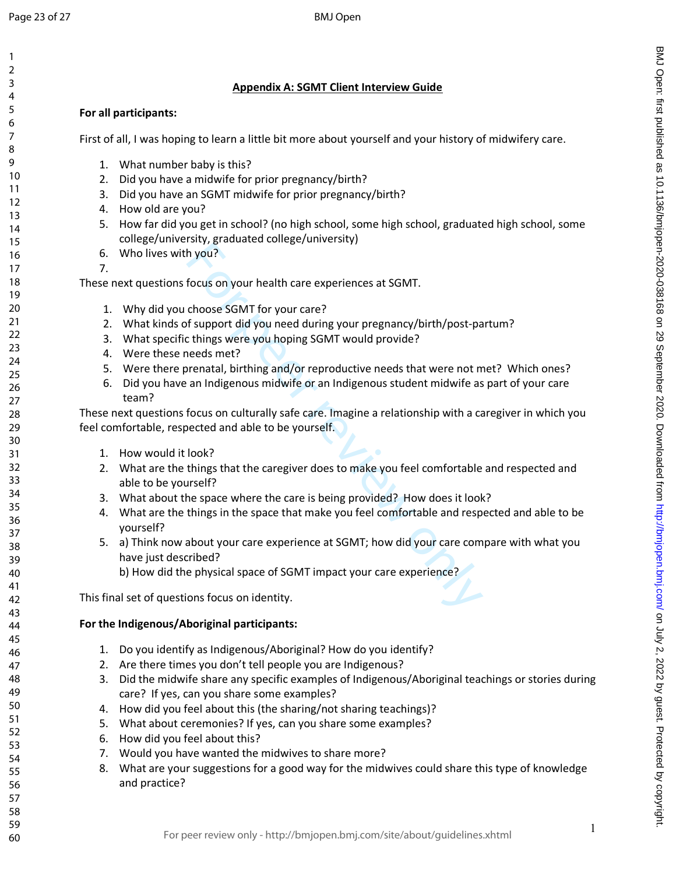| 1        |    |                                                                                                          |
|----------|----|----------------------------------------------------------------------------------------------------------|
| 2        |    |                                                                                                          |
| 3        |    | <b>Appendix A: SGMT Client Interview Guide</b>                                                           |
| 4<br>5   |    |                                                                                                          |
| 6        |    | For all participants:                                                                                    |
| 7        |    | First of all, I was hoping to learn a little bit more about yourself and your history of midwifery care. |
| 8        |    |                                                                                                          |
| 9        |    | 1. What number baby is this?                                                                             |
| 10       | 2. | Did you have a midwife for prior pregnancy/birth?                                                        |
| 11       | 3. | Did you have an SGMT midwife for prior pregnancy/birth?                                                  |
| 12       | 4. | How old are you?                                                                                         |
| 13<br>14 | 5. | How far did you get in school? (no high school, some high school, graduated high school, some            |
| 15       |    | college/university, graduated college/university)                                                        |
| 16       | 6. | Who lives with you?                                                                                      |
| 17       | 7. |                                                                                                          |
| 18       |    | These next questions focus on your health care experiences at SGMT.                                      |
| 19       |    |                                                                                                          |
| 20       |    | 1. Why did you choose SGMT for your care?                                                                |
| 21       | 2. | What kinds of support did you need during your pregnancy/birth/post-partum?                              |
| 22       | 3. | What specific things were you hoping SGMT would provide?                                                 |
| 23       | 4. | Were these needs met?                                                                                    |
| 24<br>25 | 5. | Were there prenatal, birthing and/or reproductive needs that were not met? Which ones?                   |
| 26       | 6. | Did you have an Indigenous midwife or an Indigenous student midwife as part of your care                 |
| 27       |    | team?                                                                                                    |
| 28       |    | These next questions focus on culturally safe care. Imagine a relationship with a caregiver in which you |
| 29       |    | feel comfortable, respected and able to be yourself.                                                     |
| 30       |    |                                                                                                          |
| 31       |    | 1. How would it look?                                                                                    |
| 32       | 2. | What are the things that the caregiver does to make you feel comfortable and respected and               |
| 33       |    | able to be yourself?                                                                                     |
| 34<br>35 |    | 3. What about the space where the care is being provided? How does it look?                              |
| 36       | 4. | What are the things in the space that make you feel comfortable and respected and able to be             |
| 37       |    | yourself?                                                                                                |
| 38       |    | 5. a) Think now about your care experience at SGMT; how did your care compare with what you              |
| 39       |    | have just described?                                                                                     |
| 40       |    | b) How did the physical space of SGMT impact your care experience?                                       |
| 41       |    |                                                                                                          |
| 42       |    | This final set of questions focus on identity.                                                           |
| 43<br>44 |    | For the Indigenous/Aboriginal participants:                                                              |
| 45       |    |                                                                                                          |
| 46       |    | 1. Do you identify as Indigenous/Aboriginal? How do you identify?                                        |
| 47       |    | 2. Are there times you don't tell people you are Indigenous?                                             |
| 48       | 3. | Did the midwife share any specific examples of Indigenous/Aboriginal teachings or stories during         |
| 49       |    | care? If yes, can you share some examples?                                                               |
| 50       |    | 4. How did you feel about this (the sharing/not sharing teachings)?                                      |
| 51       | 5. | What about ceremonies? If yes, can you share some examples?                                              |
| 52<br>53 | 6. | How did you feel about this?                                                                             |
| 54       | 7. | Would you have wanted the midwives to share more?                                                        |
| 55       | 8. | What are your suggestions for a good way for the midwives could share this type of knowledge             |
| 56       |    | and practice?                                                                                            |
| 57       |    |                                                                                                          |
| 58       |    |                                                                                                          |
| 59       |    | $\mathbf{1}$<br>For peer review only - http://bmjopen.bmj.com/site/about/guidelines.xhtml                |
| 60       |    |                                                                                                          |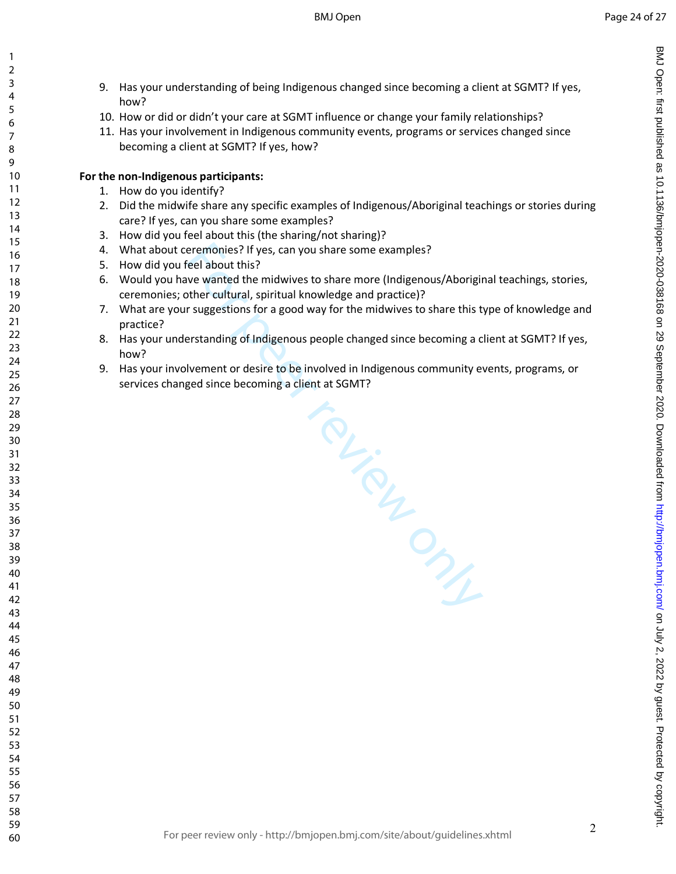BMJ Open: first published as 10.1136/bmjopen-2020-038168 on 29 September 2020. Downloaded from http://bmjopen.bmj.com/ on July 2, 2022 by guest. Protected by copyright on July 2, 2022 by guest. Protected by copyright. <http://bmjopen.bmj.com/> BMJ Open: first published as 10.1136/bmjopen-2020-038168 on 29 September 2020. Downloaded from

- 9. Has your understanding of being Indigenous changed since becoming a client at SGMT? If yes, how?
- 10. How or did or didn't your care at SGMT influence or change your family relationships?
- 11. Has your involvement in Indigenous community events, programs or services changed since becoming a client at SGMT? If yes, how?

#### **For the non -Indigenous participants:**

- 1. How do you identify?
- 2. Did the midwife share any specific examples of Indigenous/Aboriginal teachings or stories during care? If yes, can you share some examples?
- 3. How did you feel about this (the sharing/not sharing)?
- 4. What about ceremonies? If yes, can you share some examples?
- 5. How did you feel about this?
- 6. Would you have wanted the midwives to share more (Indigenous/Aboriginal teachings, stories, ceremonies; other cultural, spiritual knowledge and practice)?
- 7. What are your suggestions for a good way for the midwives to share this type of knowledge and practice?
- 8. Has your understanding of Indigenous people changed since becoming a client at SGMT? If yes, how?
- 9. Has your involvement or desire to be involved in Indigenous community events, programs, or services changed since becoming a client at SGMT?

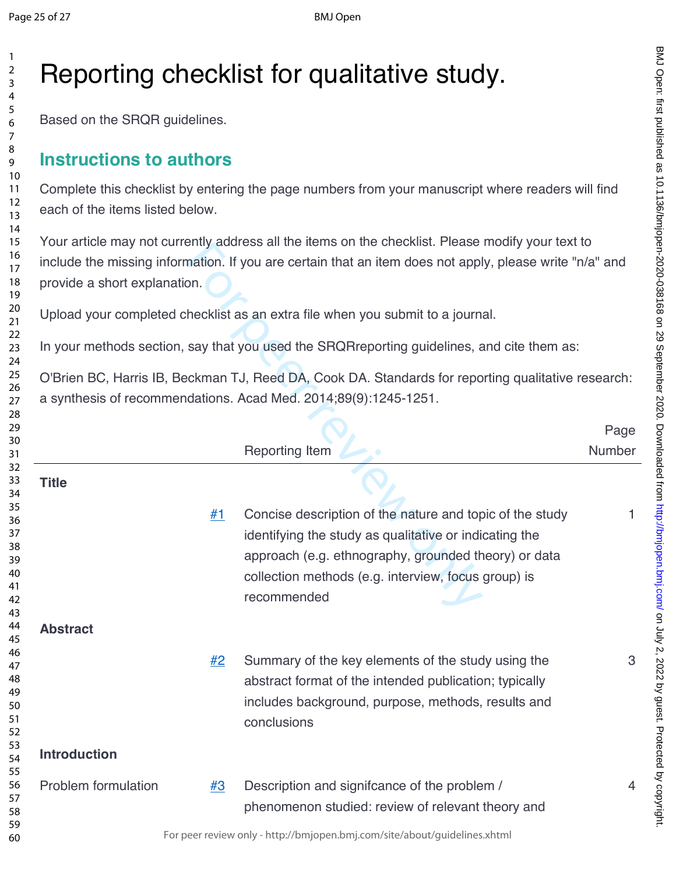## Reporting checklist for qualitative study.

Based on the SRQR guidelines.

#### **Instructions to authors**

Complete this checklist by entering the page numbers from your manuscript where readers will find each of the items listed below.

Your article may not currently address all the items on the checklist. Please modify your text to include the missing information. If you are certain that an item does not apply, please write "n/a" and provide a short explanation.

| TUUT AFIICIU TITAY TIUL CUITUITIIY AUULUSS AILITIU ILUITIIS UTE ILUUCHISI. TIUASU TITUUTIY YUUL IUXE IU<br>include the missing information. If you are certain that an item does not apply, please write "n/a" and |    |                                                                                                                                                                                   |        |  |  |
|--------------------------------------------------------------------------------------------------------------------------------------------------------------------------------------------------------------------|----|-----------------------------------------------------------------------------------------------------------------------------------------------------------------------------------|--------|--|--|
| provide a short explanation.                                                                                                                                                                                       |    |                                                                                                                                                                                   |        |  |  |
|                                                                                                                                                                                                                    |    | Upload your completed checklist as an extra file when you submit to a journal.                                                                                                    |        |  |  |
|                                                                                                                                                                                                                    |    | In your methods section, say that you used the SRQRreporting guidelines, and cite them as:                                                                                        |        |  |  |
|                                                                                                                                                                                                                    |    | O'Brien BC, Harris IB, Beckman TJ, Reed DA, Cook DA. Standards for reporting qualitative research:                                                                                |        |  |  |
|                                                                                                                                                                                                                    |    | a synthesis of recommendations. Acad Med. 2014;89(9):1245-1251.                                                                                                                   |        |  |  |
|                                                                                                                                                                                                                    |    |                                                                                                                                                                                   |        |  |  |
|                                                                                                                                                                                                                    |    |                                                                                                                                                                                   | Page   |  |  |
|                                                                                                                                                                                                                    |    | <b>Reporting Item</b>                                                                                                                                                             | Number |  |  |
| <b>Title</b>                                                                                                                                                                                                       |    |                                                                                                                                                                                   |        |  |  |
|                                                                                                                                                                                                                    | #1 | Concise description of the nature and topic of the study<br>identifying the study as qualitative or indicating the<br>approach (e.g. ethnography, grounded theory) or data        | 1.     |  |  |
|                                                                                                                                                                                                                    |    | collection methods (e.g. interview, focus group) is<br>recommended                                                                                                                |        |  |  |
| <b>Abstract</b>                                                                                                                                                                                                    |    |                                                                                                                                                                                   |        |  |  |
|                                                                                                                                                                                                                    | #2 | Summary of the key elements of the study using the<br>abstract format of the intended publication; typically<br>includes background, purpose, methods, results and<br>conclusions | 3      |  |  |
| <b>Introduction</b>                                                                                                                                                                                                |    |                                                                                                                                                                                   |        |  |  |
| Problem formulation                                                                                                                                                                                                | #3 | Description and significance of the problem /<br>phenomenon studied: review of relevant theory and                                                                                | 4      |  |  |
|                                                                                                                                                                                                                    |    | For peer review only - http://bmjopen.bmj.com/site/about/guidelines.xhtml                                                                                                         |        |  |  |
|                                                                                                                                                                                                                    |    |                                                                                                                                                                                   |        |  |  |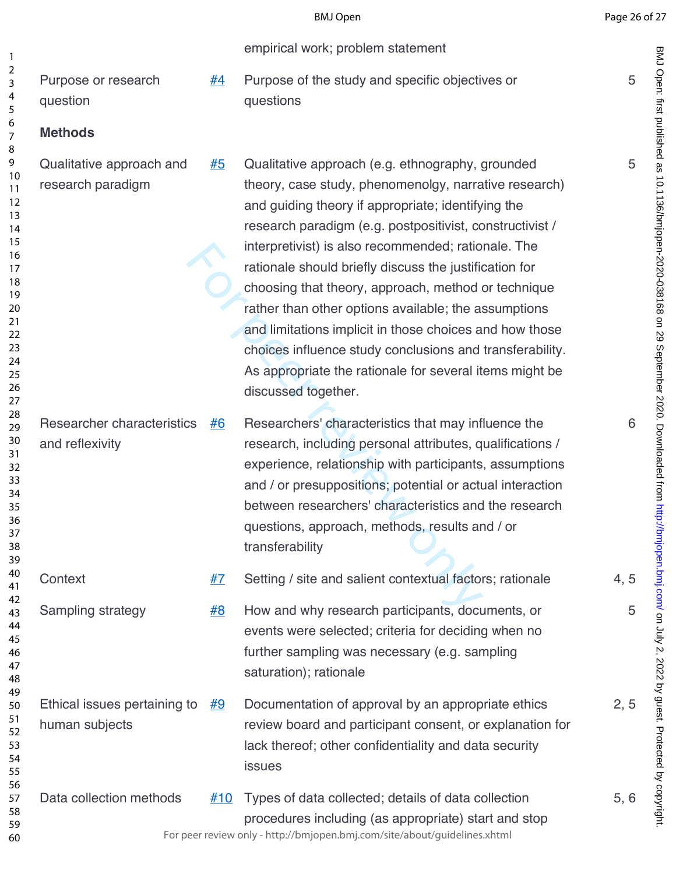5

#### BMJ Open

|                                                |           | empirical work; problem statement                                                                                                                                                                                                                                                                                                                                                                                                                                                                                                                                                                                                                                    |      |
|------------------------------------------------|-----------|----------------------------------------------------------------------------------------------------------------------------------------------------------------------------------------------------------------------------------------------------------------------------------------------------------------------------------------------------------------------------------------------------------------------------------------------------------------------------------------------------------------------------------------------------------------------------------------------------------------------------------------------------------------------|------|
| Purpose or research<br>question                | <u>#4</u> | Purpose of the study and specific objectives or<br>questions                                                                                                                                                                                                                                                                                                                                                                                                                                                                                                                                                                                                         | 5    |
| <b>Methods</b>                                 |           |                                                                                                                                                                                                                                                                                                                                                                                                                                                                                                                                                                                                                                                                      |      |
| Qualitative approach and<br>research paradigm  | <u>#5</u> | Qualitative approach (e.g. ethnography, grounded<br>theory, case study, phenomenolgy, narrative research)<br>and guiding theory if appropriate; identifying the<br>research paradigm (e.g. postpositivist, constructivist /<br>interpretivist) is also recommended; rationale. The<br>rationale should briefly discuss the justification for<br>choosing that theory, approach, method or technique<br>rather than other options available; the assumptions<br>and limitations implicit in those choices and how those<br>choices influence study conclusions and transferability.<br>As appropriate the rationale for several items might be<br>discussed together. | 5    |
| Researcher characteristics<br>and reflexivity  | <u>#6</u> | Researchers' characteristics that may influence the<br>research, including personal attributes, qualifications /<br>experience, relationship with participants, assumptions<br>and / or presuppositions; potential or actual interaction<br>between researchers' characteristics and the research<br>questions, approach, methods, results and / or<br>transferability                                                                                                                                                                                                                                                                                               | 6    |
| Context                                        | #7        | Setting / site and salient contextual factors; rationale                                                                                                                                                                                                                                                                                                                                                                                                                                                                                                                                                                                                             | 4, 5 |
| Sampling strategy                              | #8        | How and why research participants, documents, or<br>events were selected; criteria for deciding when no<br>further sampling was necessary (e.g. sampling<br>saturation); rationale                                                                                                                                                                                                                                                                                                                                                                                                                                                                                   | 5    |
| Ethical issues pertaining to<br>human subjects | <u>#9</u> | Documentation of approval by an appropriate ethics<br>review board and participant consent, or explanation for<br>lack thereof; other confidentiality and data security<br>issues                                                                                                                                                                                                                                                                                                                                                                                                                                                                                    | 2, 5 |
| Data collection methods                        | #10       | Types of data collected; details of data collection<br>procedures including (as appropriate) start and stop<br>For peer review only - http://bmjopen.bmj.com/site/about/guidelines.xhtml                                                                                                                                                                                                                                                                                                                                                                                                                                                                             | 5, 6 |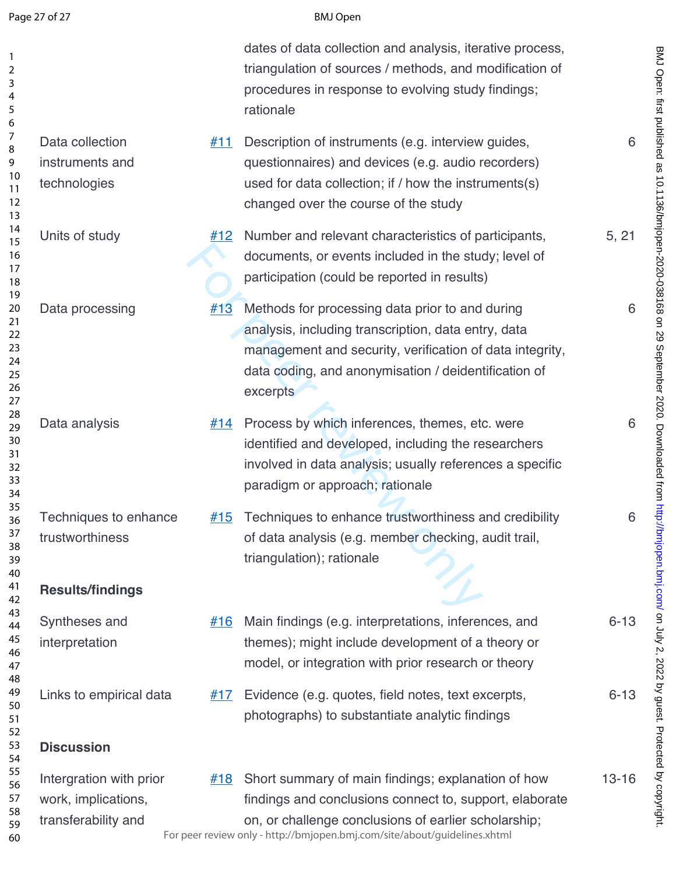| Page 27 of 27 |  |
|---------------|--|
|---------------|--|

#### BMJ Open

| $\mathbf{1}$<br>$\mathbf 2$<br>3<br>4<br>$\mathsf S$<br>6 |                                                    |     | dates of data collection and analysis, iterative process,<br>triangulation of sources / methods, and modification of<br>procedures in response to evolving study findings;<br>rationale                                                |           |
|-----------------------------------------------------------|----------------------------------------------------|-----|----------------------------------------------------------------------------------------------------------------------------------------------------------------------------------------------------------------------------------------|-----------|
| 7<br>8<br>9<br>10<br>11<br>12<br>13                       | Data collection<br>instruments and<br>technologies | #11 | Description of instruments (e.g. interview guides,<br>questionnaires) and devices (e.g. audio recorders)<br>used for data collection; if / how the instruments(s)<br>changed over the course of the study                              | 6         |
| 14<br>15<br>16<br>17<br>18                                | Units of study                                     | #12 | Number and relevant characteristics of participants,<br>documents, or events included in the study; level of<br>participation (could be reported in results)                                                                           | 5, 21     |
| 19<br>20<br>21<br>22<br>23<br>24<br>25<br>26<br>27        | Data processing                                    | #13 | Methods for processing data prior to and during<br>analysis, including transcription, data entry, data<br>management and security, verification of data integrity,<br>data coding, and anonymisation / deidentification of<br>excerpts | 6         |
| 28<br>29<br>30<br>31<br>32<br>33<br>34                    | Data analysis                                      |     | $#14$ Process by which inferences, themes, etc. were<br>identified and developed, including the researchers<br>involved in data analysis; usually references a specific<br>paradigm or approach; rationale                             | 6         |
| 35<br>36                                                  | Techniques to enhance                              | #15 | Techniques to enhance trustworthiness and credibility                                                                                                                                                                                  | 6         |
| 37<br>38<br>39<br>40                                      | trustworthiness                                    |     | of data analysis (e.g. member checking, audit trail,<br>triangulation); rationale                                                                                                                                                      |           |
| 41<br>42                                                  | <b>Results/findings</b>                            |     |                                                                                                                                                                                                                                        |           |
| 43<br>44                                                  | Syntheses and                                      | #16 | Main findings (e.g. interpretations, inferences, and                                                                                                                                                                                   | $6 - 13$  |
| 45<br>46<br>47                                            | interpretation                                     |     | themes); might include development of a theory or<br>model, or integration with prior research or theory                                                                                                                               |           |
| 48<br>49<br>50<br>51                                      | Links to empirical data                            | #17 | Evidence (e.g. quotes, field notes, text excerpts,<br>photographs) to substantiate analytic findings                                                                                                                                   | $6 - 13$  |
| 52<br>53<br>54                                            | <b>Discussion</b>                                  |     |                                                                                                                                                                                                                                        |           |
| 55<br>56                                                  | Intergration with prior                            | #18 | Short summary of main findings; explanation of how                                                                                                                                                                                     | $13 - 16$ |
| 57                                                        | work, implications,                                |     | findings and conclusions connect to, support, elaborate                                                                                                                                                                                |           |
| 58<br>59<br>60                                            | transferability and                                |     | on, or challenge conclusions of earlier scholarship;<br>For peer review only - http://bmjopen.bmj.com/site/about/guidelines.xhtml                                                                                                      |           |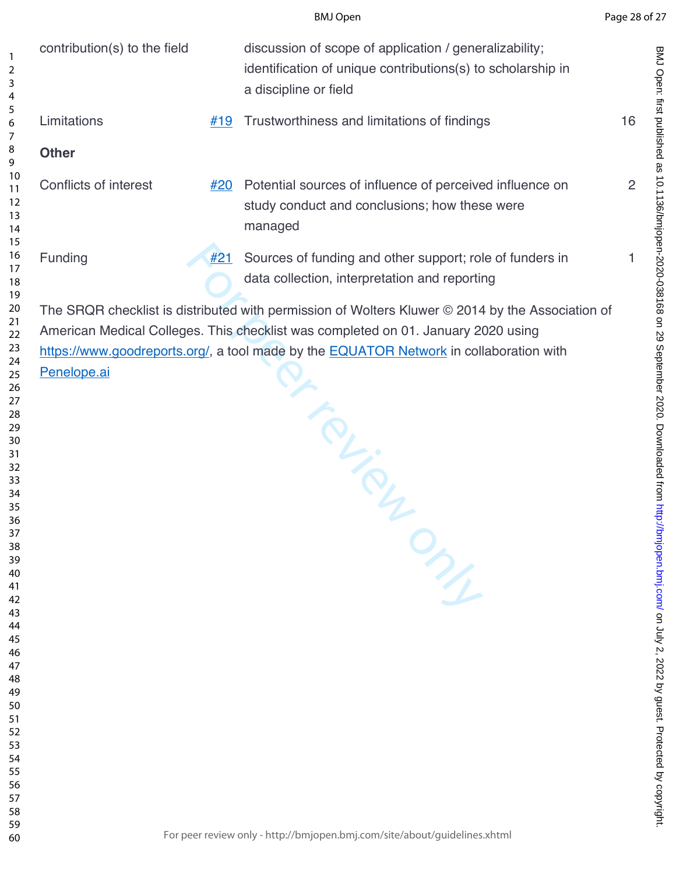| $\mathbf{1}$<br>$\overline{\mathbf{c}}$<br>3<br>$\overline{\mathcal{A}}$                                                                                                                     | contribution(s) to the field |            | discussion of scope of application / generalizability;<br>identification of unique contributions(s) to scholarship in<br>a discipline or field                                        |                |
|----------------------------------------------------------------------------------------------------------------------------------------------------------------------------------------------|------------------------------|------------|---------------------------------------------------------------------------------------------------------------------------------------------------------------------------------------|----------------|
| 5<br>6<br>7                                                                                                                                                                                  | Limitations                  | <u>#19</u> | Trustworthiness and limitations of findings                                                                                                                                           | 16             |
| 8<br>9                                                                                                                                                                                       | <b>Other</b>                 |            |                                                                                                                                                                                       |                |
| 10<br>11<br>12<br>13<br>14                                                                                                                                                                   | Conflicts of interest        | #20        | Potential sources of influence of perceived influence on<br>study conduct and conclusions; how these were<br>managed                                                                  | $\overline{c}$ |
| 15<br>16<br>17<br>18                                                                                                                                                                         | Funding                      | #21        | Sources of funding and other support; role of funders in<br>data collection, interpretation and reporting                                                                             |                |
| 19<br>20<br>21<br>22                                                                                                                                                                         |                              |            | The SRQR checklist is distributed with permission of Wolters Kluwer © 2014 by the Association of<br>American Medical Colleges. This checklist was completed on 01. January 2020 using |                |
| 23<br>24                                                                                                                                                                                     |                              |            | https://www.goodreports.org/, a tool made by the <b>EQUATOR Network</b> in collaboration with                                                                                         |                |
| 26<br>27<br>28<br>29<br>30<br>31<br>32<br>33<br>34<br>35<br>36<br>37<br>38<br>39<br>40<br>41<br>42<br>43<br>44<br>45<br>46<br>47<br>48<br>49<br>50<br>51<br>52<br>53<br>54<br>55<br>56<br>57 |                              |            | religion<br>mary                                                                                                                                                                      |                |
| 58<br>59<br>60                                                                                                                                                                               |                              |            | For peer review only - http://bmjopen.bmj.com/site/about/guidelines.xhtml                                                                                                             |                |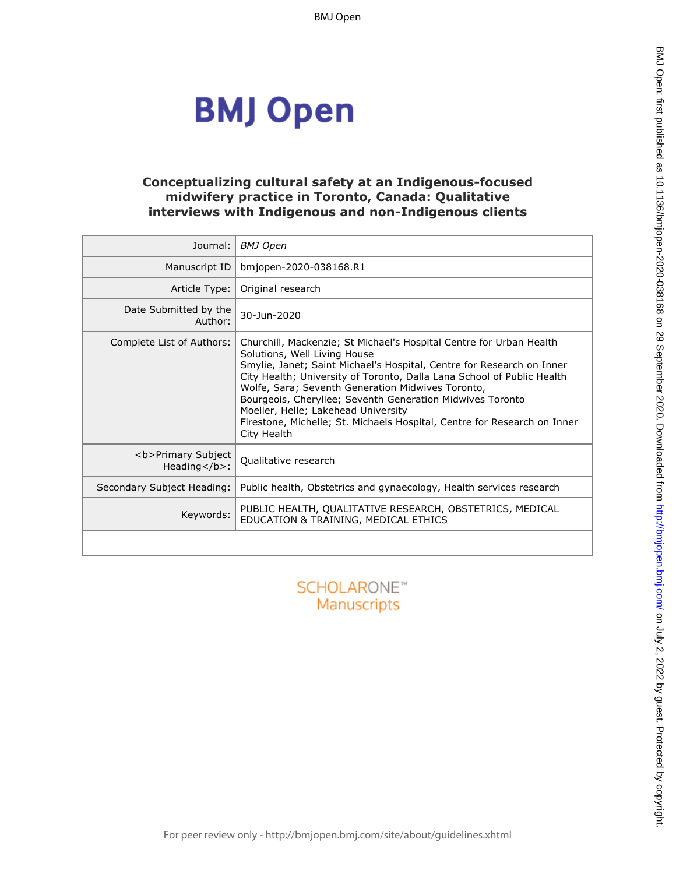#### **Conceptualizing cultural safety at an Indigenous-focused midwifery practice in Toronto, Canada: Qualitative interviews with Indigenous and non-Indigenous clients**

| Journal:                                                   | <b>BMJ</b> Open                                                                                                                                                                                                                                                                                                                                                                                                                                                                                            |  |  |  |
|------------------------------------------------------------|------------------------------------------------------------------------------------------------------------------------------------------------------------------------------------------------------------------------------------------------------------------------------------------------------------------------------------------------------------------------------------------------------------------------------------------------------------------------------------------------------------|--|--|--|
| Manuscript ID                                              | bmjopen-2020-038168.R1                                                                                                                                                                                                                                                                                                                                                                                                                                                                                     |  |  |  |
| Article Type:                                              | Original research                                                                                                                                                                                                                                                                                                                                                                                                                                                                                          |  |  |  |
| Date Submitted by the<br>Author:                           | 30-1un-2020                                                                                                                                                                                                                                                                                                                                                                                                                                                                                                |  |  |  |
| Complete List of Authors:                                  | Churchill, Mackenzie; St Michael's Hospital Centre for Urban Health<br>Solutions, Well Living House<br>Smylie, Janet; Saint Michael's Hospital, Centre for Research on Inner<br>City Health; University of Toronto, Dalla Lana School of Public Health<br>Wolfe, Sara; Seventh Generation Midwives Toronto,<br>Bourgeois, Cheryllee; Seventh Generation Midwives Toronto<br>Moeller, Helle; Lakehead University<br>Firestone, Michelle; St. Michaels Hospital, Centre for Research on Inner<br>City Health |  |  |  |
| <b>Primary Subject<br/>Heading<math>&lt;</math>/b&gt;:</b> | Qualitative research                                                                                                                                                                                                                                                                                                                                                                                                                                                                                       |  |  |  |
| Secondary Subject Heading:                                 | Public health, Obstetrics and gynaecology, Health services research                                                                                                                                                                                                                                                                                                                                                                                                                                        |  |  |  |
| Keywords:                                                  | PUBLIC HEALTH, QUALITATIVE RESEARCH, OBSTETRICS, MEDICAL<br>EDUCATION & TRAINING, MEDICAL ETHICS                                                                                                                                                                                                                                                                                                                                                                                                           |  |  |  |
|                                                            |                                                                                                                                                                                                                                                                                                                                                                                                                                                                                                            |  |  |  |
| SCHOLARONE <sup>*</sup><br>Manuscripts                     |                                                                                                                                                                                                                                                                                                                                                                                                                                                                                                            |  |  |  |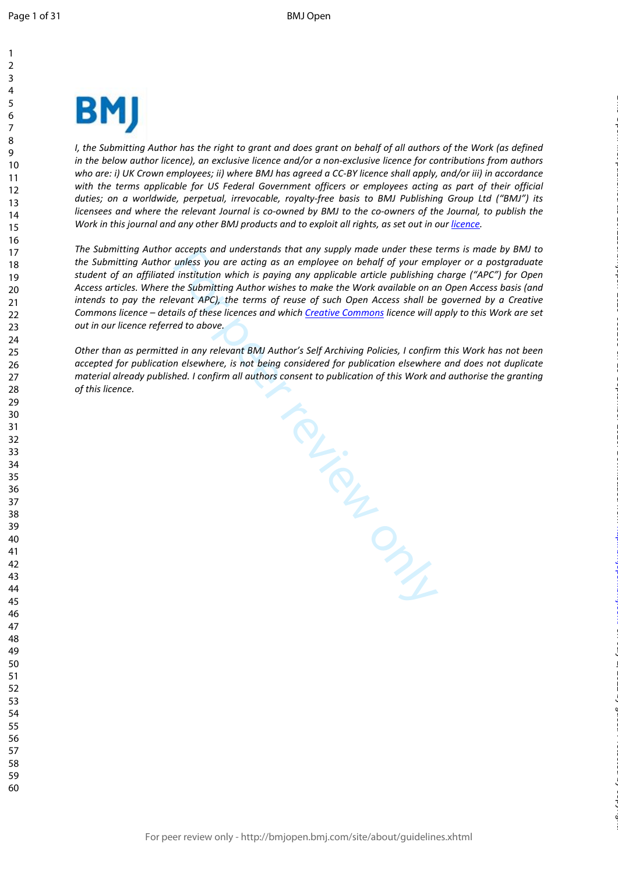

*I*, the Submitting Author has the right to grant and does grant on behalf of all authors of the Work (as defined *in the below author licence), an exclusive licence and/or a non-exclusive licence for contributions from authors who are: i) UK Crown employees; ii) where BMJ has agreed a CC-BY licence shall apply, and/or iii) in accordance with the terms applicable for US Federal Government officers or employees acting as part of their official duties; on a worldwide, perpetual, irrevocable, royalty-free basis to BMJ Publishing Group Ltd ("BMJ") its licensees and where the relevant Journal is co-owned by BMJ to the co-owners of the Journal, to publish the*  Work in this journal and any other BMJ products and to exploit all rights, as set out in our *[licence](https://authors.bmj.com/wp-content/uploads/2018/11/BMJ_Journals_Combined_Author_Licence_2018.pdf)*.

*The Submitting Author accepts and understands that any supply made under these terms is made by BMJ to the Submitting Author unless you are acting as an employee on behalf of your employer or a postgraduate student of an affiliated institution which is paying any applicable article publishing charge ("APC") for Open Access articles. Where the Submitting Author wishes to make the Work available on an Open Access basis (and intends to pay the relevant APC), the terms of reuse of such Open Access shall be governed by a Creative Commons licence – details of these licences and which Creative Commons licence will apply to this Work are set out in our licence referred to above.* 

*Other than as permitted in any relevant BMJ Author's Self Archiving Policies, I confirm this Work has not been accepted for publication elsewhere, is not being considered for publication elsewhere and does not duplicate material already published. I confirm all authors consent to publication of this Work and authorise the granting of this licence.*

For Prince

on July 2, 2022 by guest. Protected by copyright. <http://bmjopen.bmj.com/> BMJ Open: first published as 10.1136/bmjopen-2020-038168 on 29 September 2020. Downloaded from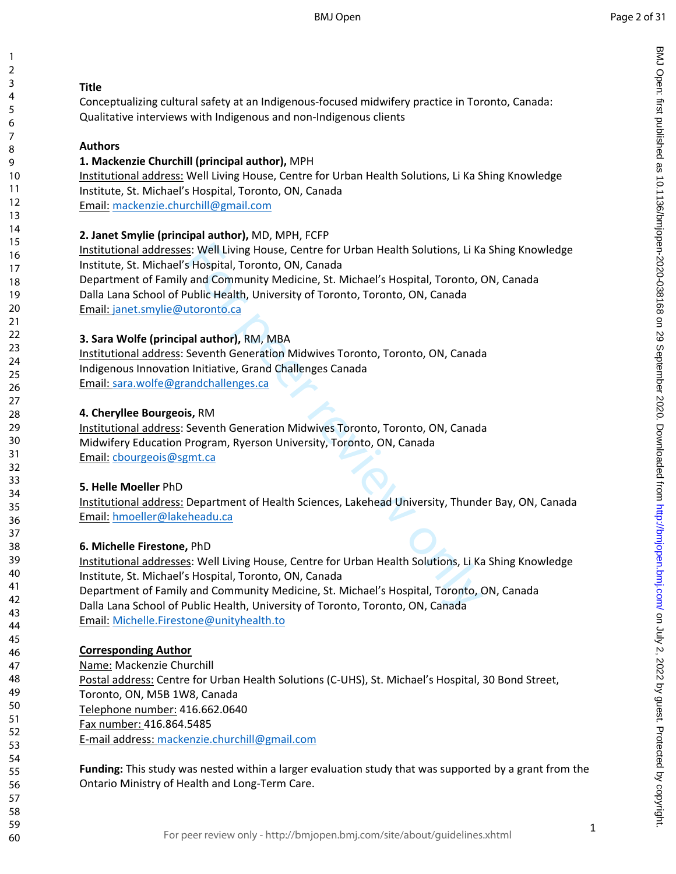#### **Title**

123456789

 $\mathbf{1}$  $\overline{2}$ 3  $\overline{4}$ 5 6  $\overline{7}$ 8 9

Conceptualizing cultural safety at an Indigenous-focused midwifery practice in Toronto, Canada: Qualitative interviews with Indigenous and non-Indigenous clients

#### **Authors**

#### **1. Mackenzie Churchill (principal author),** MPH

Institutional address: Well Living House, Centre for Urban Health Solutions, Li Ka Shing Knowledge Institute, St. Michael's Hospital, Toronto, ON, Canada Email: [mackenzie.churchill@gmail.com](mailto:mackenzie.churchill@gmail.com)

#### **2. Janet Smylie (principal author),** MD, MPH, FCFP

SET Well Living House, Centre for Urban Health Solutions, Li Kanner<br>Shospital, Toronto, ON, Canada<br>
and Community Medicine, St. Michael's Hospital, Toronto, C<br>
ublic Health, University of Toronto, Toronto, ON, Canada<br>
<u>utr</u> Institutional addresses: Well Living House, Centre for Urban Health Solutions, Li Ka Shing Knowledge Institute, St. Michael's Hospital, Toronto, ON, Canada Department of Family and Community Medicine, St. Michael's Hospital, Toronto, ON, Canada Dalla Lana School of Public Health, University of Toronto, Toronto, ON, Canada Email: [janet.smylie@utoronto.ca](mailto:janet.smylie@utoronto.ca)

#### **3. Sara Wolfe (principal author),** RM, MBA

Institutional address: Seventh Generation Midwives Toronto, Toronto, ON, Canada Indigenous Innovation Initiative, Grand Challenges Canada Email: [sara.wolfe@grandchallenges.ca](mailto:sara.wolfe@grandchallenges.ca)

#### **4. Cheryllee Bourgeois,** RM

Institutional address: Seventh Generation Midwives Toronto, Toronto, ON, Canada Midwifery Education Program, Ryerson University, Toronto, ON, Canada Email: [cbourgeois@sgmt.ca](mailto:cbourgeois@sgmt.ca)

#### **5. Helle Moeller** PhD

Institutional address: Department of Health Sciences, Lakehead University, Thunder Bay, ON, Canada Email: [hmoeller@lakeheadu.ca](mailto:hmoeller@lakeheadu.ca)

#### **6. Michelle Firestone,** PhD

Institutional addresses: Well Living House, Centre for Urban Health Solutions, Li Ka Shing Knowledge Institute, St. Michael's Hospital, Toronto, ON, Canada Department of Family and Community Medicine, St. Michael's Hospital, Toronto, ON, Canada Dalla Lana School of Public Health, University of Toronto, Toronto, ON, Canada Email: [Michelle.Firestone@unityhealth.to](mailto:Michelle.Firestone@unityhealth.to)

#### **Corresponding Author**

Name: Mackenzie Churchill Postal address: Centre for Urban Health Solutions (C-UHS), St. Michael's Hospital, 30 Bond Street, Toronto, ON, M5B 1W8, Canada Telephone number: 416.662.0640 Fax number: 416.864.5485 E-mail address: [mackenzie.churchill@gmail.com](mailto:mackenzie.churchill@gmail.com)

**Funding:** This study was nested within a larger evaluation study that was supported by a grant from the Ontario Ministry of Health and Long-Term Care.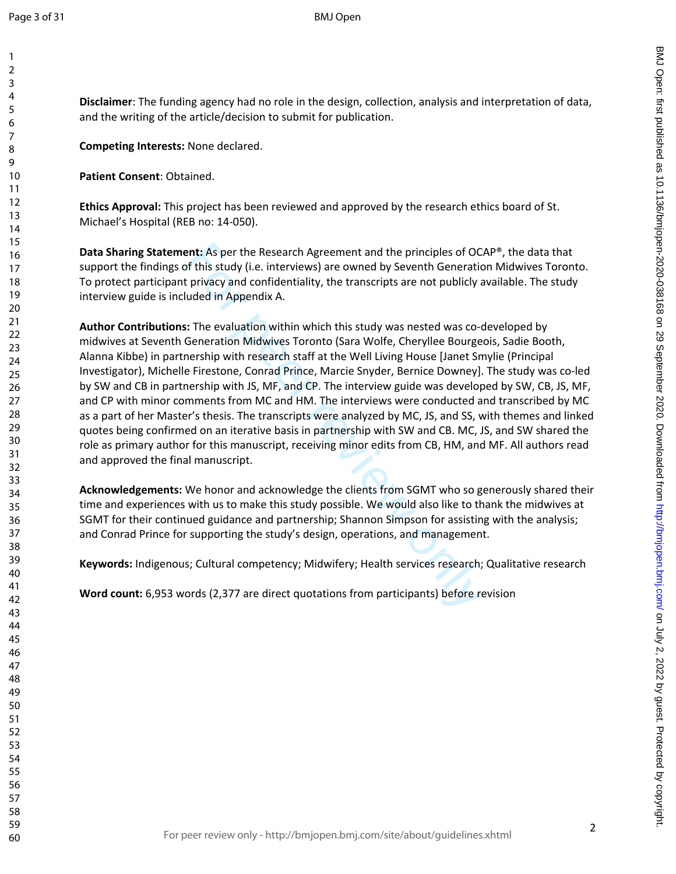**Disclaimer**: The funding agency had no role in the design, collection, analysis and interpretation of data, and the writing of the article/decision to submit for publication.

**Competing Interests:** None declared.

**Patient Consent**: Obtained.

**Ethics Approval:** This project has been reviewed and approved by the research ethics board of St. Michael's Hospital (REB no: 14-050).

**Data Sharing Statement:** As per the Research Agreement and the principles of OCAP®, the data that support the findings of this study (i.e. interviews) are owned by Seventh Generation Midwives Toronto. To protect participant privacy and confidentiality, the transcripts are not publicly available. The study interview guide is included in Appendix A.

ent: As per the Research Agreement and the principles of OC<br>of this study (i.e. interviews) are owned by Seventh Generatic<br>privacy and confidentiality, the transcripts are not publicly a<br>uded in Appendix A.<br>c: The evaluati **Author Contributions:** The evaluation within which this study was nested was co-developed by midwives at Seventh Generation Midwives Toronto (Sara Wolfe, Cheryllee Bourgeois, Sadie Booth, Alanna Kibbe) in partnership with research staff at the Well Living House [Janet Smylie (Principal Investigator), Michelle Firestone, Conrad Prince, Marcie Snyder, Bernice Downey]. The study was co-led by SW and CB in partnership with JS, MF, and CP. The interview guide was developed by SW, CB, JS, MF, and CP with minor comments from MC and HM. The interviews were conducted and transcribed by MC as a part of her Master's thesis. The transcripts were analyzed by MC, JS, and SS, with themes and linked quotes being confirmed on an iterative basis in partnership with SW and CB. MC, JS, and SW shared the role as primary author for this manuscript, receiving minor edits from CB, HM, and MF. All authors read and approved the final manuscript.

**Acknowledgements:** We honor and acknowledge the clients from SGMT who so generously shared their time and experiences with us to make this study possible. We would also like to thank the midwives at SGMT for their continued guidance and partnership; Shannon Simpson for assisting with the analysis; and Conrad Prince for supporting the study's design, operations, and management.

**Keywords:** Indigenous; Cultural competency; Midwifery; Health services research; Qualitative research

**Word count:** 6,953 words (2,377 are direct quotations from participants) before revision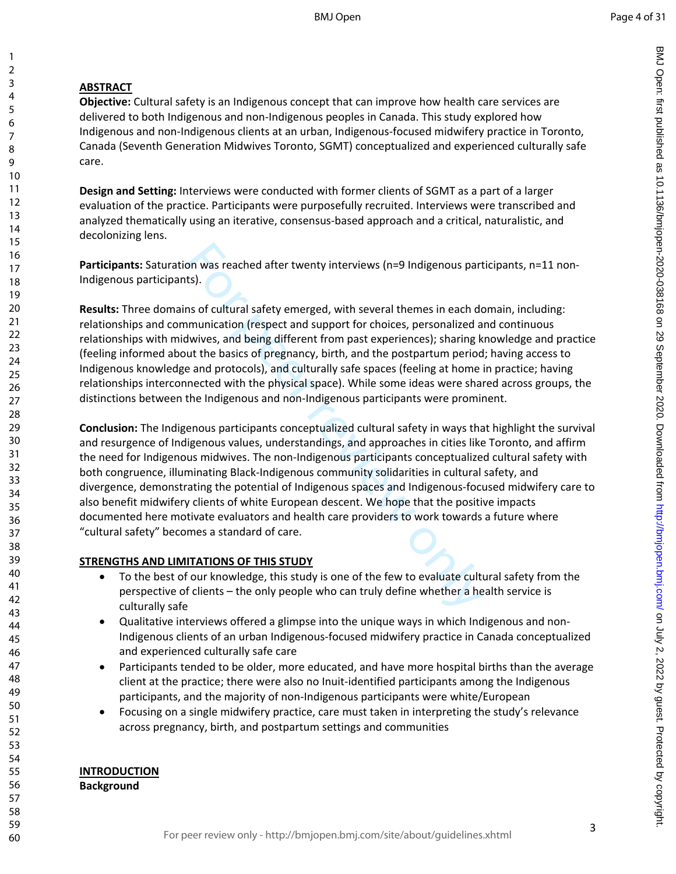#### **ABSTRACT**

123456789

**Objective:** Cultural safety is an Indigenous concept that can improve how health care services are delivered to both Indigenous and non-Indigenous peoples in Canada. This study explored how Indigenous and non-Indigenous clients at an urban, Indigenous-focused midwifery practice in Toronto, Canada (Seventh Generation Midwives Toronto, SGMT) conceptualized and experienced culturally safe care.

**Design and Setting:** Interviews were conducted with former clients of SGMT as a part of a larger evaluation of the practice. Participants were purposefully recruited. Interviews were transcribed and analyzed thematically using an iterative, consensus-based approach and a critical, naturalistic, and decolonizing lens.

**Participants:** Saturation was reached after twenty interviews (n=9 Indigenous participants, n=11 non-Indigenous participants).

**Results:** Three domains of cultural safety emerged, with several themes in each domain, including: relationships and communication (respect and support for choices, personalized and continuous relationships with midwives, and being different from past experiences); sharing knowledge and practice (feeling informed about the basics of pregnancy, birth, and the postpartum period; having access to Indigenous knowledge and protocols), and culturally safe spaces (feeling at home in practice; having relationships interconnected with the physical space). While some ideas were shared across groups, the distinctions between the Indigenous and non-Indigenous participants were prominent.

on was reached after twenty interviews (n=9 Indigenous part<br>
ts).<br>
In So f cultural safety emerged, with several themes in each do<br>
imunication (respect and support for choices, personalized a<br>
ut the basics of pregnancy, **Conclusion:** The Indigenous participants conceptualized cultural safety in ways that highlight the survival and resurgence of Indigenous values, understandings, and approaches in cities like Toronto, and affirm the need for Indigenous midwives. The non-Indigenous participants conceptualized cultural safety with both congruence, illuminating Black-Indigenous community solidarities in cultural safety, and divergence, demonstrating the potential of Indigenous spaces and Indigenous-focused midwifery care to also benefit midwifery clients of white European descent. We hope that the positive impacts documented here motivate evaluators and health care providers to work towards a future where "cultural safety" becomes a standard of care.

#### **STRENGTHS AND LIMITATIONS OF THIS STUDY**

- To the best of our knowledge, this study is one of the few to evaluate cultural safety from the perspective of clients – the only people who can truly define whether a health service is culturally safe
- Qualitative interviews offered a glimpse into the unique ways in which Indigenous and non-Indigenous clients of an urban Indigenous-focused midwifery practice in Canada conceptualized and experienced culturally safe care
- Participants tended to be older, more educated, and have more hospital births than the average client at the practice; there were also no Inuit-identified participants among the Indigenous participants, and the majority of non-Indigenous participants were white/European
- Focusing on a single midwifery practice, care must taken in interpreting the study's relevance across pregnancy, birth, and postpartum settings and communities

### **INTRODUCTION**

#### **Background**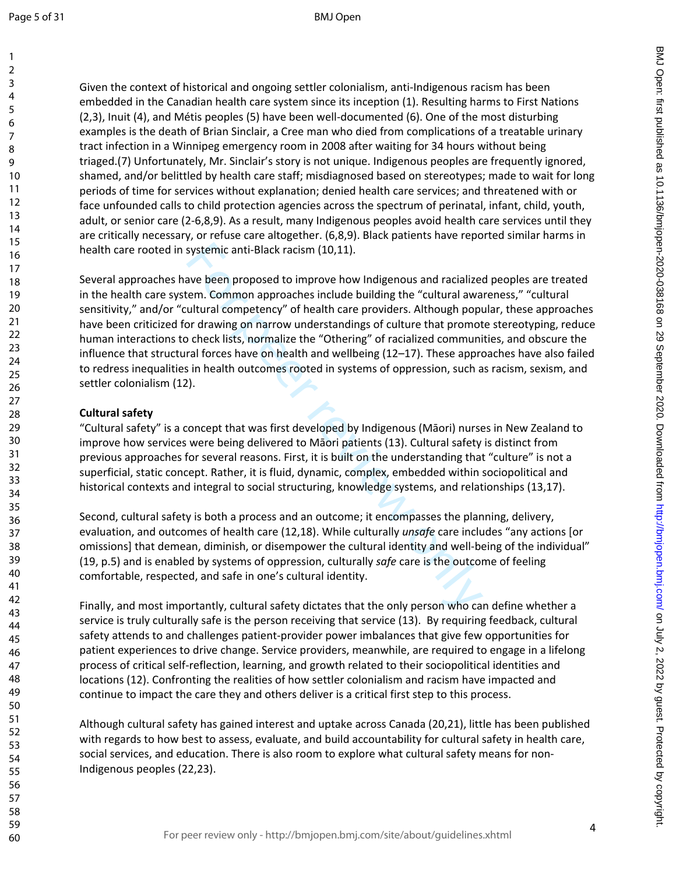Given the context of historical and ongoing settler colonialism, anti-Indigenous racism has been embedded in the Canadian health care system since its inception (1). Resulting harms to First Nations (2,3), Inuit (4), and Métis peoples (5) have been well-documented (6). One of the most disturbing examples is the death of Brian Sinclair, a Cree man who died from complications of a treatable urinary tract infection in a Winnipeg emergency room in 2008 after waiting for 34 hours without being triaged.(7) Unfortunately, Mr. Sinclair's story is not unique. Indigenous peoples are frequently ignored, shamed, and/or belittled by health care staff; misdiagnosed based on stereotypes; made to wait for long periods of time for services without explanation; denied health care services; and threatened with or face unfounded calls to child protection agencies across the spectrum of perinatal, infant, child, youth, adult, or senior care (2-6,8,9). As a result, many Indigenous peoples avoid health care services until they are critically necessary, or refuse care altogether. (6,8,9). Black patients have reported similar harms in health care rooted in systemic anti-Black racism (10,11).

systemic anti-Black racism (10,11).<br>
suve been proposed to improve how Indigenous and racialize<br>
rem. Common approaches include building the "cultural awa<br>
ultural competency" of health care providers. Although popi<br>
or dr Several approaches have been proposed to improve how Indigenous and racialized peoples are treated in the health care system. Common approaches include building the "cultural awareness," "cultural sensitivity," and/or "cultural competency" of health care providers. Although popular, these approaches have been criticized for drawing on narrow understandings of culture that promote stereotyping, reduce human interactions to check lists, normalize the "Othering" of racialized communities, and obscure the influence that structural forces have on health and wellbeing (12–17). These approaches have also failed to redress inequalities in health outcomes rooted in systems of oppression, such as racism, sexism, and settler colonialism (12).

#### **Cultural safety**

"Cultural safety" is a concept that was first developed by Indigenous (Māori) nurses in New Zealand to improve how services were being delivered to Māori patients (13). Cultural safety is distinct from previous approaches for several reasons. First, it is built on the understanding that "culture" is not a superficial, static concept. Rather, it is fluid, dynamic, complex, embedded within sociopolitical and historical contexts and integral to social structuring, knowledge systems, and relationships (13,17).

Second, cultural safety is both a process and an outcome; it encompasses the planning, delivery, evaluation, and outcomes of health care (12,18). While culturally *unsafe* care includes "any actions [or omissions] that demean, diminish, or disempower the cultural identity and well-being of the individual" (19, p.5) and is enabled by systems of oppression, culturally *safe* care is the outcome of feeling comfortable, respected, and safe in one's cultural identity.

Finally, and most importantly, cultural safety dictates that the only person who can define whether a service is truly culturally safe is the person receiving that service (13). By requiring feedback, cultural safety attends to and challenges patient-provider power imbalances that give few opportunities for patient experiences to drive change. Service providers, meanwhile, are required to engage in a lifelong process of critical self-reflection, learning, and growth related to their sociopolitical identities and locations (12). Confronting the realities of how settler colonialism and racism have impacted and continue to impact the care they and others deliver is a critical first step to this process.

Although cultural safety has gained interest and uptake across Canada (20,21), little has been published with regards to how best to assess, evaluate, and build accountability for cultural safety in health care, social services, and education. There is also room to explore what cultural safety means for non-Indigenous peoples (22,23).

BMJ Open: first published as 10.1136/bmjopen-2020-038168 on 29 September 2020. Downloaded from http://bmjopen.bmj.com/ on July 2, 2022 by guest. Protected by copyright on July 2, 2022 by guest. Protected by copyright. <http://bmjopen.bmj.com/> BMJ Open: first published as 10.1136/bmjopen-2020-038168 on 29 September 2020. Downloaded from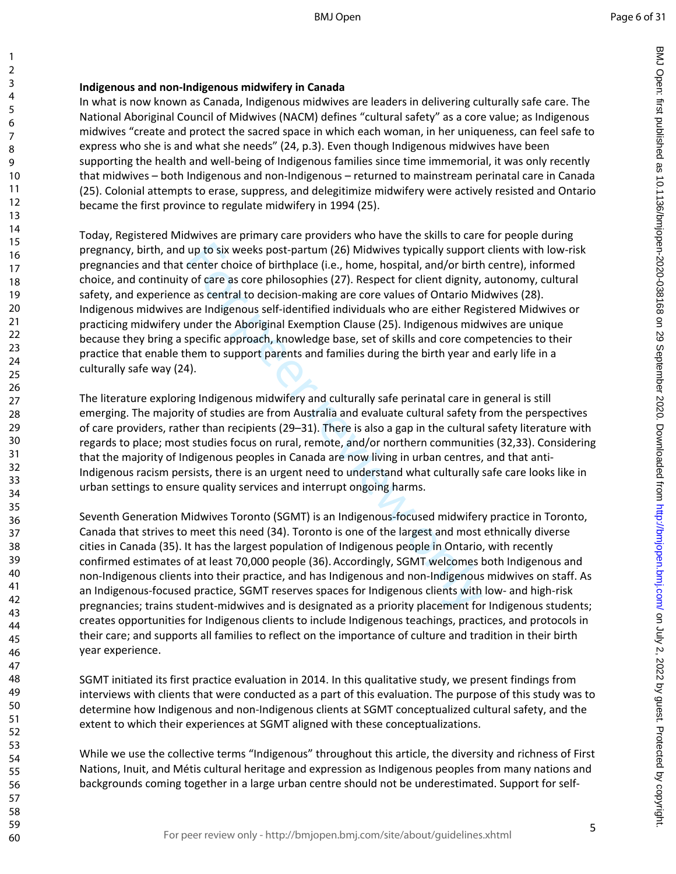123456789

 $\mathbf{1}$  $\overline{2}$ 3  $\overline{4}$ 5 6  $\overline{7}$ 8 9

In what is now known as Canada, Indigenous midwives are leaders in delivering culturally safe care. The National Aboriginal Council of Midwives (NACM) defines "cultural safety" as a core value; as Indigenous midwives "create and protect the sacred space in which each woman, in her uniqueness, can feel safe to express who she is and what she needs" (24, p.3). Even though Indigenous midwives have been supporting the health and well-being of Indigenous families since time immemorial, it was only recently that midwives – both Indigenous and non-Indigenous – returned to mainstream perinatal care in Canada (25). Colonial attempts to erase, suppress, and delegitimize midwifery were actively resisted and Ontario became the first province to regulate midwifery in 1994 (25).

up to six weeks post-partum (26) Midwives typically support<br>center choice of birthplace (i.e., home, hospital, and/or birth<br>of care as core philosophies (27). Respect for client dignity,<br>of care as core philosophies (27). Today, Registered Midwives are primary care providers who have the skills to care for people during pregnancy, birth, and up to six weeks post-partum (26) Midwives typically support clients with low-risk pregnancies and that center choice of birthplace (i.e., home, hospital, and/or birth centre), informed choice, and continuity of care as core philosophies (27). Respect for client dignity, autonomy, cultural safety, and experience as central to decision-making are core values of Ontario Midwives (28). Indigenous midwives are Indigenous self-identified individuals who are either Registered Midwives or practicing midwifery under the Aboriginal Exemption Clause (25). Indigenous midwives are unique because they bring a specific approach, knowledge base, set of skills and core competencies to their practice that enable them to support parents and families during the birth year and early life in a culturally safe way (24).

The literature exploring Indigenous midwifery and culturally safe perinatal care in general is still emerging. The majority of studies are from Australia and evaluate cultural safety from the perspectives of care providers, rather than recipients (29–31). There is also a gap in the cultural safety literature with regards to place; most studies focus on rural, remote, and/or northern communities (32,33). Considering that the majority of Indigenous peoples in Canada are now living in urban centres, and that anti-Indigenous racism persists, there is an urgent need to understand what culturally safe care looks like in urban settings to ensure quality services and interrupt ongoing harms.

Seventh Generation Midwives Toronto (SGMT) is an Indigenous-focused midwifery practice in Toronto, Canada that strives to meet this need (34). Toronto is one of the largest and most ethnically diverse cities in Canada (35). It has the largest population of Indigenous people in Ontario, with recently confirmed estimates of at least 70,000 people (36).Accordingly, SGMT welcomes both Indigenous and non-Indigenous clients into their practice, and has Indigenous and non-Indigenous midwives on staff. As an Indigenous-focused practice, SGMT reserves spaces for Indigenous clients with low- and high-risk pregnancies; trains student-midwives and is designated as a priority placement for Indigenous students; creates opportunities for Indigenous clients to include Indigenous teachings, practices, and protocols in their care; and supports all families to reflect on the importance of culture and tradition in their birth year experience.

SGMT initiated its first practice evaluation in 2014. In this qualitative study, we present findings from interviews with clients that were conducted as a part of this evaluation. The purpose of this study was to determine how Indigenous and non-Indigenous clients at SGMT conceptualized cultural safety, and the extent to which their experiences at SGMT aligned with these conceptualizations.

While we use the collective terms "Indigenous" throughout this article, the diversity and richness of First Nations, Inuit, and Métis cultural heritage and expression as Indigenous peoples from many nations and backgrounds coming together in a large urban centre should not be underestimated. Support for self-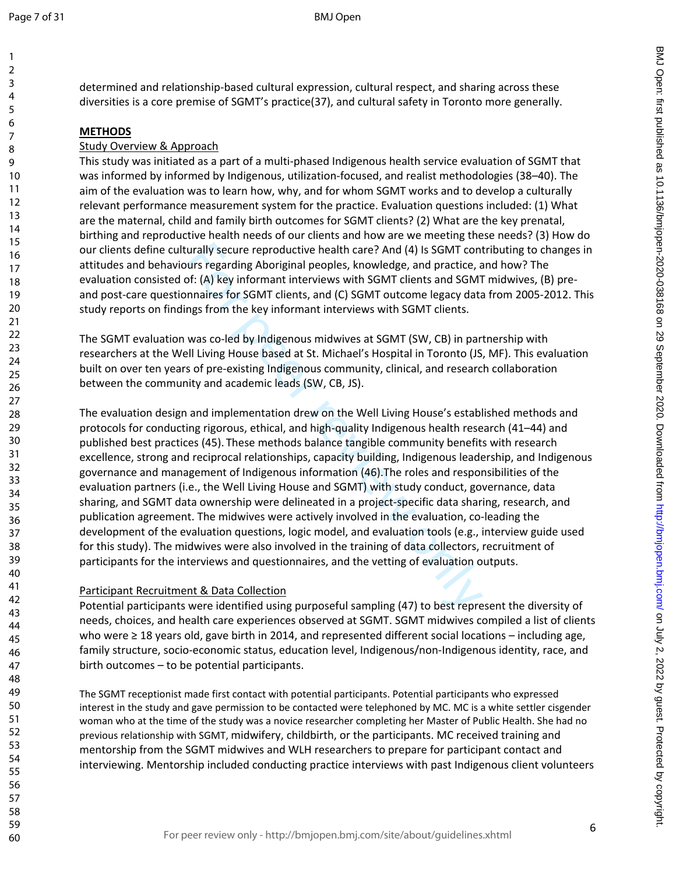determined and relationship-based cultural expression, cultural respect, and sharing across these diversities is a core premise of SGMT's practice(37), and cultural safety in Toronto more generally.

#### **METHODS**

#### Study Overview & Approach

This study was initiated as a part of a multi-phased Indigenous health service evaluation of SGMT that was informed by informed by Indigenous, utilization-focused, and realist methodologies (38–40). The aim of the evaluation was to learn how, why, and for whom SGMT works and to develop a culturally relevant performance measurement system for the practice. Evaluation questions included: (1) What are the maternal, child and family birth outcomes for SGMT clients? (2) What are the key prenatal, birthing and reproductive health needs of our clients and how are we meeting these needs? (3) How do our clients define culturally secure reproductive health care? And (4) Is SGMT contributing to changes in attitudes and behaviours regarding Aboriginal peoples, knowledge, and practice, and how? The evaluation consisted of: (A) key informant interviews with SGMT clients and SGMT midwives, (B) preand post-care questionnaires for SGMT clients, and (C) SGMT outcome legacy data from 2005-2012. This study reports on findings from the key informant interviews with SGMT clients.

The SGMT evaluation was co-led by Indigenous midwives at SGMT (SW, CB) in partnership with researchers at the Well Living House based at St. Michael's Hospital in Toronto (JS, MF). This evaluation built on over ten years of pre-existing Indigenous community, clinical, and research collaboration between the community and academic leads (SW, CB, JS).

urally secure reproductive health care? And (4) Is SGMT conturs regarding Aboriginal peoples, knowledge, and practice, a<br>for (A) key informant interviews with SGMT clients and SGMT<br>manaires for SGMT clients, and (C) SGMT c The evaluation design and implementation drew on the Well Living House's established methods and protocols for conducting rigorous, ethical, and high-quality Indigenous health research (41–44) and published best practices (45). These methods balance tangible community benefits with research excellence, strong and reciprocal relationships, capacity building, Indigenous leadership, and Indigenous governance and management of Indigenous information (46).The roles and responsibilities of the evaluation partners (i.e., the Well Living House and SGMT) with study conduct, governance, data sharing, and SGMT data ownership were delineated in a project-specific data sharing, research, and publication agreement. The midwives were actively involved in the evaluation, co-leading the development of the evaluation questions, logic model, and evaluation tools (e.g., interview guide used for this study). The midwives were also involved in the training of data collectors, recruitment of participants for the interviews and questionnaires, and the vetting of evaluation outputs.

#### Participant Recruitment & Data Collection

Potential participants were identified using purposeful sampling (47) to best represent the diversity of needs, choices, and health care experiences observed at SGMT. SGMT midwives compiled a list of clients who were ≥ 18 years old, gave birth in 2014, and represented different social locations – including age, family structure, socio-economic status, education level, Indigenous/non-Indigenous identity, race, and birth outcomes – to be potential participants.

The SGMT receptionist made first contact with potential participants. Potential participants who expressed interest in the study and gave permission to be contacted were telephoned by MC. MC is a white settler cisgender woman who at the time of the study was a novice researcher completing her Master of Public Health. She had no previous relationship with SGMT, midwifery, childbirth, or the participants. MC received training and mentorship from the SGMT midwives and WLH researchers to prepare for participant contact and interviewing. Mentorship included conducting practice interviews with past Indigenous client volunteers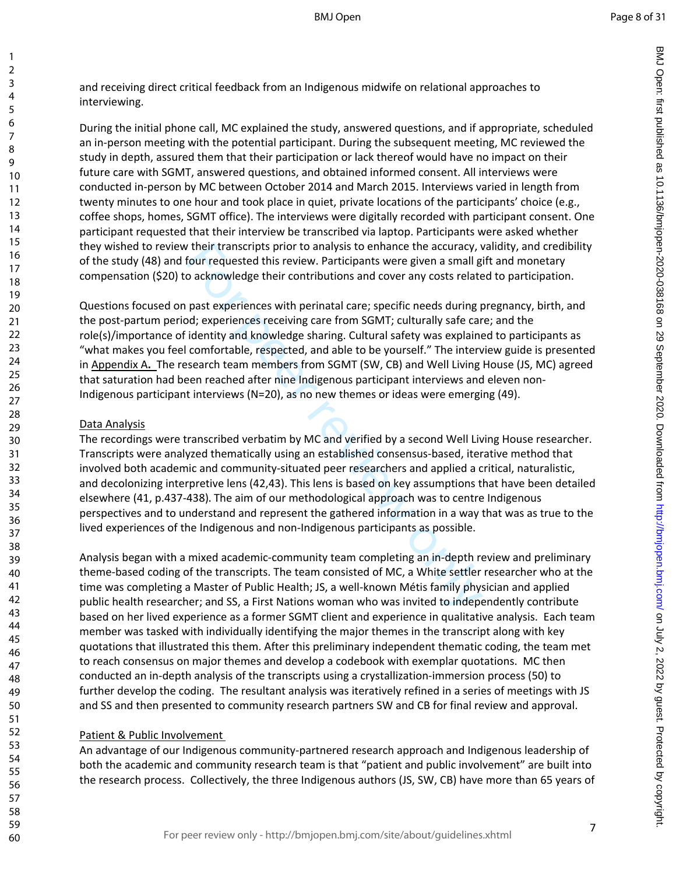and receiving direct critical feedback from an Indigenous midwife on relational approaches to interviewing.

During the initial phone call, MC explained the study, answered questions, and if appropriate, scheduled an in-person meeting with the potential participant. During the subsequent meeting, MC reviewed the study in depth, assured them that their participation or lack thereof would have no impact on their future care with SGMT, answered questions, and obtained informed consent. All interviews were conducted in-person by MC between October 2014 and March 2015. Interviews varied in length from twenty minutes to one hour and took place in quiet, private locations of the participants' choice (e.g., coffee shops, homes, SGMT office). The interviews were digitally recorded with participant consent. One participant requested that their interview be transcribed via laptop. Participants were asked whether they wished to review their transcripts prior to analysis to enhance the accuracy, validity, and credibility of the study (48) and four requested this review. Participants were given a small gift and monetary compensation (\$20) to acknowledge their contributions and cover any costs related to participation.

Questions focused on past experiences with perinatal care; specific needs during pregnancy, birth, and the post-partum period; experiences receiving care from SGMT; culturally safe care; and the role(s)/importance of identity and knowledge sharing. Cultural safety was explained to participants as "what makes you feel comfortable, respected, and able to be yourself." The interview guide is presented in Appendix A**.** The research team members from SGMT (SW, CB) and Well Living House (JS, MC) agreed that saturation had been reached after nine Indigenous participant interviews and eleven non-Indigenous participant interviews (N=20), as no new themes or ideas were emerging (49).

#### Data Analysis

123456789

 $\mathbf{1}$  $\overline{2}$ 3  $\overline{4}$ 5 6  $\overline{7}$ 8 9

*r* their transcripts prior to analysis to enhance the accuracy, v<br>four requested this review. Participants were given a small gi<br>o acknowledge their contributions and cover any costs relate<br>past experiences with perinatal The recordings were transcribed verbatim by MC and verified by a second Well Living House researcher. Transcripts were analyzed thematically using an established consensus-based, iterative method that involved both academic and community-situated peer researchers and applied a critical, naturalistic, and decolonizing interpretive lens (42,43). This lens is based on key assumptions that have been detailed elsewhere (41, p.437-438). The aim of our methodological approach was to centre Indigenous perspectives and to understand and represent the gathered information in a way that was as true to the lived experiences of the Indigenous and non-Indigenous participants as possible.

Analysis began with a mixed academic-community team completing an in-depth review and preliminary theme-based coding of the transcripts. The team consisted of MC, a White settler researcher who at the time was completing a Master of Public Health; JS, a well-known Métis family physician and applied public health researcher; and SS, a First Nations woman who was invited to independently contribute based on her lived experience as a former SGMT client and experience in qualitative analysis. Each team member was tasked with individually identifying the major themes in the transcript along with key quotations that illustrated this them. After this preliminary independent thematic coding, the team met to reach consensus on major themes and develop a codebook with exemplar quotations. MC then conducted an in-depth analysis of the transcripts using a crystallization-immersion process (50) to further develop the coding. The resultant analysis was iteratively refined in a series of meetings with JS and SS and then presented to community research partners SW and CB for final review and approval.

#### Patient & Public Involvement

An advantage of our Indigenous community-partnered research approach and Indigenous leadership of both the academic and community research team is that "patient and public involvement" are built into the research process. Collectively, the three Indigenous authors (JS, SW, CB) have more than 65 years of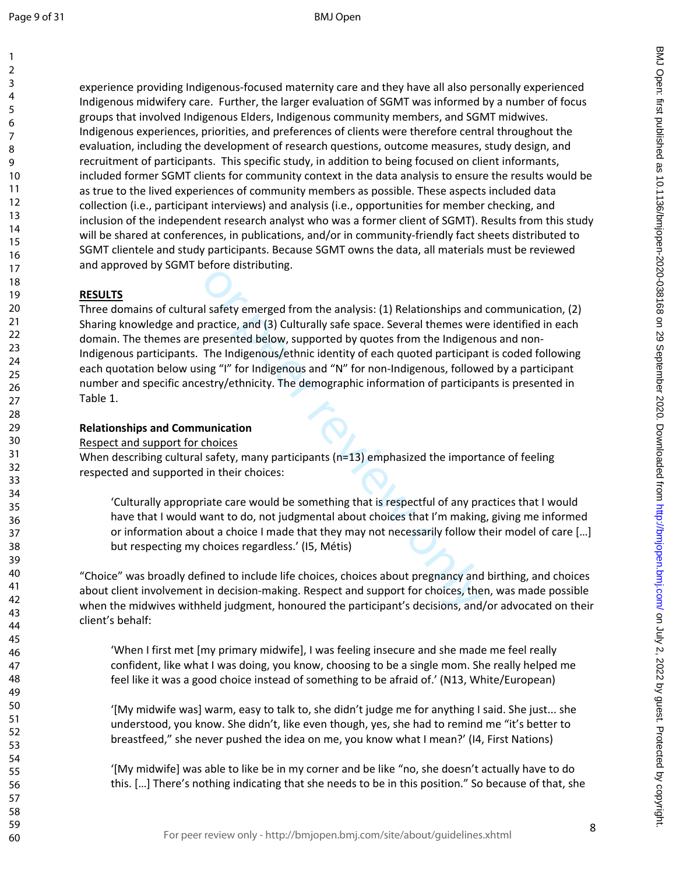experience providing Indigenous-focused maternity care and they have all also personally experienced Indigenous midwifery care. Further, the larger evaluation of SGMT was informed by a number of focus groups that involved Indigenous Elders, Indigenous community members, and SGMT midwives. Indigenous experiences, priorities, and preferences of clients were therefore central throughout the evaluation, including the development of research questions, outcome measures, study design, and recruitment of participants. This specific study, in addition to being focused on client informants, included former SGMT clients for community context in the data analysis to ensure the results would be as true to the lived experiences of community members as possible. These aspects included data collection (i.e., participant interviews) and analysis (i.e., opportunities for member checking, and inclusion of the independent research analyst who was a former client of SGMT). Results from this study will be shared at conferences, in publications, and/or in community-friendly fact sheets distributed to SGMT clientele and study participants. Because SGMT owns the data, all materials must be reviewed and approved by SGMT before distributing.

#### **RESULTS**

udy participants. Because SGMT owns the data, all materials<br>IT before distributing.<br>IT before distributing.<br>
ural safety emerged from the analysis: (1) Relationships and<br>
dd practice, and (3) Culturally safe space. Several Three domains of cultural safety emerged from the analysis: (1) Relationships and communication, (2) Sharing knowledge and practice, and (3) Culturally safe space. Several themes were identified in each domain. The themes are presented below, supported by quotes from the Indigenous and non-Indigenous participants. The Indigenous/ethnic identity of each quoted participant is coded following each quotation below using "I" for Indigenous and "N" for non-Indigenous, followed by a participant number and specific ancestry/ethnicity. The demographic information of participants is presented in Table 1.

#### **Relationships and Communication**

Respect and support for choices

When describing cultural safety, many participants (n=13) emphasized the importance of feeling respected and supported in their choices:

'Culturally appropriate care would be something that is respectful of any practices that I would have that I would want to do, not judgmental about choices that I'm making, giving me informed or information about a choice I made that they may not necessarily follow their model of care […] but respecting my choices regardless.' (I5, Métis)

"Choice" was broadly defined to include life choices, choices about pregnancy and birthing, and choices about client involvement in decision-making. Respect and support for choices, then, was made possible when the midwives withheld judgment, honoured the participant's decisions, and/or advocated on their client's behalf:

'When I first met [my primary midwife], I was feeling insecure and she made me feel really confident, like what I was doing, you know, choosing to be a single mom. She really helped me feel like it was a good choice instead of something to be afraid of.' (N13, White/European)

'[My midwife was] warm, easy to talk to, she didn't judge me for anything I said. She just... she understood, you know. She didn't, like even though, yes, she had to remind me "it's better to breastfeed," she never pushed the idea on me, you know what I mean?' (I4, First Nations)

'[My midwife] was able to like be in my corner and be like "no, she doesn't actually have to do this. […] There's nothing indicating that she needs to be in this position." So because of that, she BMJ Open: first published as 10.1136/bmjopen-2020-038168 on 29 September 2020. Downloaded from http://bmjopen.bmj.com/ on July 2, 2022 by guest. Protected by copyright on July 2, 2022 by guest. Protected by copyright. <http://bmjopen.bmj.com/> BMJ Open: first published as 10.1136/bmjopen-2020-038168 on 29 September 2020. Downloaded from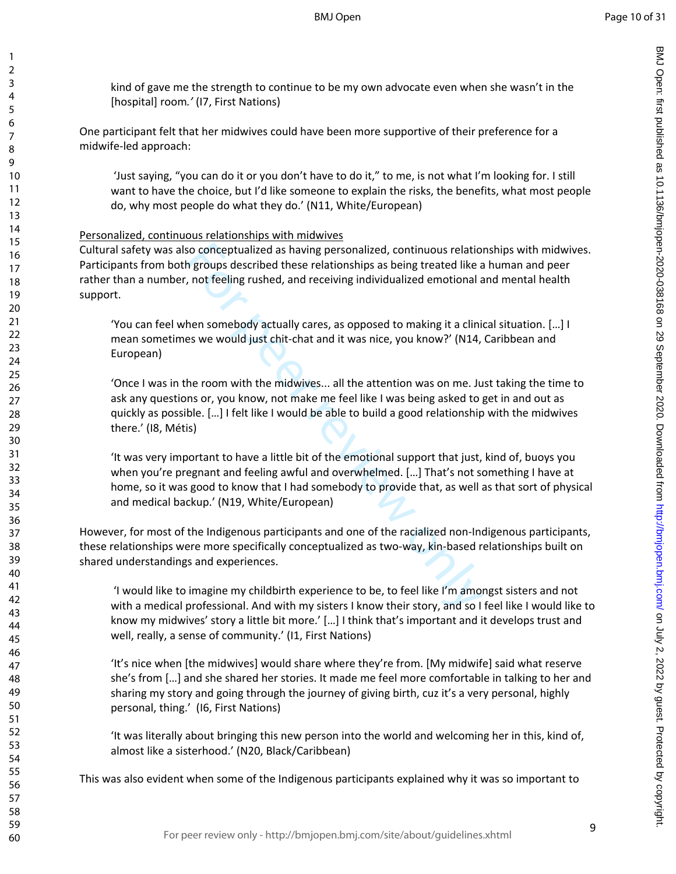kind of gave me the strength to continue to be my own advocate even when she wasn't in the [hospital] room*.'* (I7, First Nations)

One participant felt that her midwives could have been more supportive of their preference for a midwife-led approach:

 'Just saying, "you can do it or you don't have to do it," to me, is not what I'm looking for. I still want to have the choice, but I'd like someone to explain the risks, the benefits, what most people do, why most people do what they do.' (N11, White/European)

#### Personalized, continuous relationships with midwives

123456789

so conceptualized as having personalized, continuous relation<br>a groups described these relationships as being treated like a,<br>not feeling rushed, and receiving individualized emotional a<br>hen somebody actually cares, as opp Cultural safety was also conceptualized as having personalized, continuous relationships with midwives. Participants from both groups described these relationships as being treated like a human and peer rather than a number, not feeling rushed, and receiving individualized emotional and mental health support.

'You can feel when somebody actually cares, as opposed to making it a clinical situation. […] I mean sometimes we would just chit-chat and it was nice, you know?' (N14, Caribbean and European)

'Once I was in the room with the midwives... all the attention was on me. Just taking the time to ask any questions or, you know, not make me feel like I was being asked to get in and out as quickly as possible. […] I felt like I would be able to build a good relationship with the midwives there.' (I8, Métis)

'It was very important to have a little bit of the emotional support that just, kind of, buoys you when you're pregnant and feeling awful and overwhelmed. […] That's not something I have at home, so it was good to know that I had somebody to provide that, as well as that sort of physical and medical backup.' (N19, White/European)

However, for most of the Indigenous participants and one of the racialized non-Indigenous participants, these relationships were more specifically conceptualized as two-way, kin-based relationships built on shared understandings and experiences.

 'I would like to imagine my childbirth experience to be, to feel like I'm amongst sisters and not with a medical professional. And with my sisters I know their story, and so I feel like I would like to know my midwives' story a little bit more.' […] I think that's important and it develops trust and well, really, a sense of community.' (I1, First Nations)

'It's nice when [the midwives] would share where they're from. [My midwife] said what reserve she's from […] and she shared her stories. It made me feel more comfortable in talking to her and sharing my story and going through the journey of giving birth, cuz it's a very personal, highly personal, thing.' (I6, First Nations)

'It was literally about bringing this new person into the world and welcoming her in this, kind of, almost like a sisterhood.' (N20, Black/Caribbean)

This was also evident when some of the Indigenous participants explained why it was so important to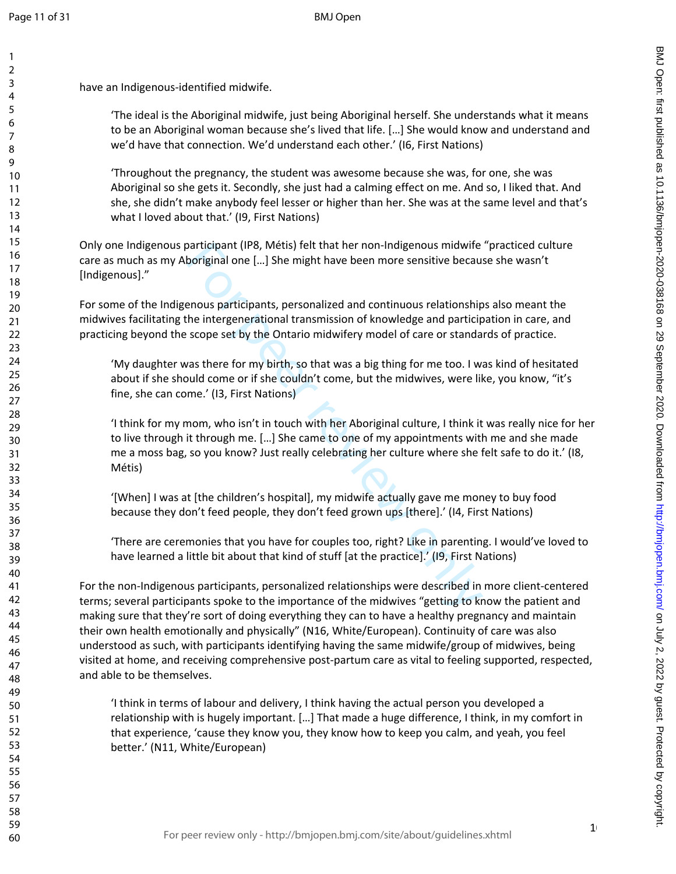| $\mathbf{1}$ |                                                                                                         |
|--------------|---------------------------------------------------------------------------------------------------------|
| 2            |                                                                                                         |
| 3            | have an Indigenous-identified midwife.                                                                  |
| 4            |                                                                                                         |
| 5<br>6       | 'The ideal is the Aboriginal midwife, just being Aboriginal herself. She understands what it means      |
| 7            | to be an Aboriginal woman because she's lived that life. [] She would know and understand and           |
| 8            | we'd have that connection. We'd understand each other.' (I6, First Nations)                             |
| 9            |                                                                                                         |
| 10           | 'Throughout the pregnancy, the student was awesome because she was, for one, she was                    |
| 11           | Aboriginal so she gets it. Secondly, she just had a calming effect on me. And so, I liked that. And     |
| 12           | she, she didn't make anybody feel lesser or higher than her. She was at the same level and that's       |
| 13           |                                                                                                         |
| 14           | what I loved about that.' (I9, First Nations)                                                           |
| 15           |                                                                                                         |
| 16           | Only one Indigenous participant (IP8, Métis) felt that her non-Indigenous midwife "practiced culture    |
| 17           | care as much as my Aboriginal one [] She might have been more sensitive because she wasn't              |
| 18           | [Indigenous]."                                                                                          |
| 19           |                                                                                                         |
| 20           | For some of the Indigenous participants, personalized and continuous relationships also meant the       |
| 21           | midwives facilitating the intergenerational transmission of knowledge and participation in care, and    |
| 22           | practicing beyond the scope set by the Ontario midwifery model of care or standards of practice.        |
| 23           |                                                                                                         |
| 24           |                                                                                                         |
| 25           | 'My daughter was there for my birth, so that was a big thing for me too. I was kind of hesitated        |
| 26           | about if she should come or if she couldn't come, but the midwives, were like, you know, "it's          |
| 27           | fine, she can come.' (I3, First Nations)                                                                |
| 28           |                                                                                                         |
| 29           | I think for my mom, who isn't in touch with her Aboriginal culture, I think it was really nice for her  |
| 30           | to live through it through me. [] She came to one of my appointments with me and she made               |
| 31           | me a moss bag, so you know? Just really celebrating her culture where she felt safe to do it.' (I8,     |
| 32           | Métis)                                                                                                  |
| 33           |                                                                                                         |
| 34           |                                                                                                         |
| 35           | '[When] I was at [the children's hospital], my midwife actually gave me money to buy food               |
| 36           | because they don't feed people, they don't feed grown ups [there].' (I4, First Nations)                 |
| 37           |                                                                                                         |
| 38           | There are ceremonies that you have for couples too, right? Like in parenting. I would've loved to       |
| 39           | have learned a little bit about that kind of stuff [at the practice].' (I9, First Nations)              |
| 40           |                                                                                                         |
| 41           | For the non-Indigenous participants, personalized relationships were described in more client-centered  |
| 42           | terms; several participants spoke to the importance of the midwives "getting to know the patient and    |
| 43           | making sure that they're sort of doing everything they can to have a healthy pregnancy and maintain     |
| 44           | their own health emotionally and physically" (N16, White/European). Continuity of care was also         |
| 45           |                                                                                                         |
| 46           | understood as such, with participants identifying having the same midwife/group of midwives, being      |
| 47           | visited at home, and receiving comprehensive post-partum care as vital to feeling supported, respected, |
| 48           | and able to be themselves.                                                                              |
| 49           |                                                                                                         |
| 50           | 'I think in terms of labour and delivery, I think having the actual person you developed a              |
| 51           | relationship with is hugely important. [] That made a huge difference, I think, in my comfort in        |
| 52           | that experience, 'cause they know you, they know how to keep you calm, and yeah, you feel               |
| 53           | better.' (N11, White/European)                                                                          |
| 54           |                                                                                                         |
| 55           |                                                                                                         |
| 56           |                                                                                                         |
| 57           |                                                                                                         |
| 58           |                                                                                                         |
| 59           |                                                                                                         |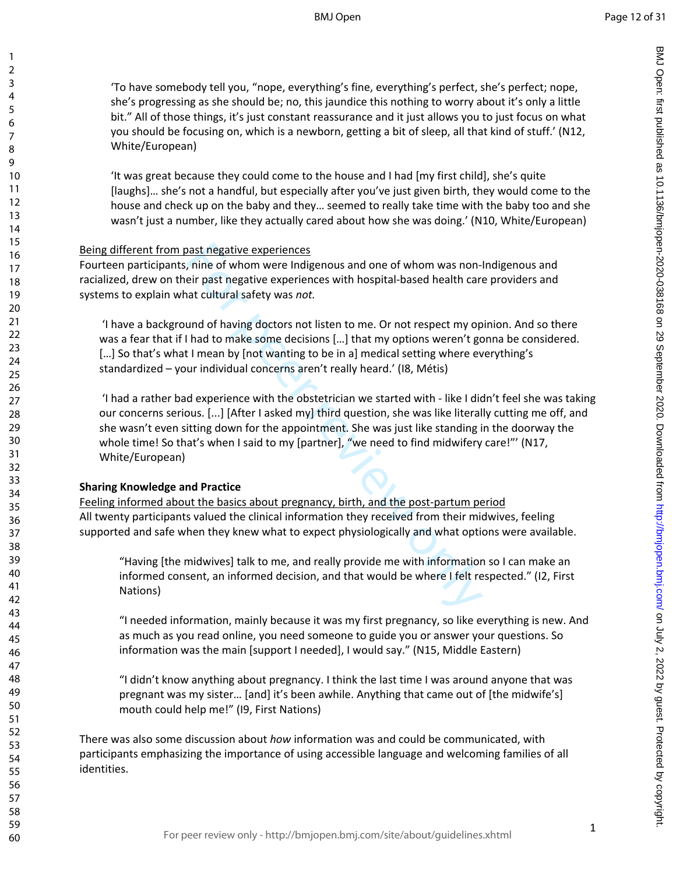'To have somebody tell you, "nope, everything's fine, everything's perfect, she's perfect; nope, she's progressing as she should be; no, this jaundice this nothing to worry about it's only a little bit." All of those things, it's just constant reassurance and it just allows you to just focus on what you should be focusing on, which is a newborn, getting a bit of sleep, all that kind of stuff.' (N12, White/European)

'It was great because they could come to the house and I had [my first child], she's quite [laughs]… she's not a handful, but especially after you've just given birth, they would come to the house and check up on the baby and they… seemed to really take time with the baby too and she wasn't just a number, like they actually cared about how she was doing.' (N10, White/European)

#### Being different from past negative experiences

123456789

Fourteen participants, nine of whom were Indigenous and one of whom was non-Indigenous and racialized, drew on their past negative experiences with hospital-based health care providers and systems to explain what cultural safety was *not.*

 'I have a background of having doctors not listen to me. Or not respect my opinion. And so there was a fear that if I had to make some decisions […] that my options weren't gonna be considered. [...] So that's what I mean by [not wanting to be in a] medical setting where everything's standardized – your individual concerns aren't really heard.' (I8, Métis)

by the experiences<br>
to the of whom were Indigenous and one of whom was non-<br>
eir past negative experiences with hospital-based health card<br>
their past negative experiences with hospital-based health card<br>
and cultural safe 'I had a rather bad experience with the obstetrician we started with - like I didn't feel she was taking our concerns serious. [...] [After I asked my] third question, she was like literally cutting me off, and she wasn't even sitting down for the appointment. She was just like standing in the doorway the whole time! So that's when I said to my [partner], "we need to find midwifery care!"' (N17, White/European)

#### **Sharing Knowledge and Practice**

Feeling informed about the basics about pregnancy, birth, and the post-partum period All twenty participants valued the clinical information they received from their midwives, feeling supported and safe when they knew what to expect physiologically and what options were available.

"Having [the midwives] talk to me, and really provide me with information so I can make an informed consent, an informed decision, and that would be where I felt respected." (I2, First Nations)

"I needed information, mainly because it was my first pregnancy, so like everything is new. And as much as you read online, you need someone to guide you or answer your questions. So information was the main [support I needed], I would say." (N15, Middle Eastern)

"I didn't know anything about pregnancy. I think the last time I was around anyone that was pregnant was my sister… [and] it's been awhile. Anything that came out of [the midwife's] mouth could help me!" (I9, First Nations)

There was also some discussion about *how* information was and could be communicated, with participants emphasizing the importance of using accessible language and welcoming families of all identities.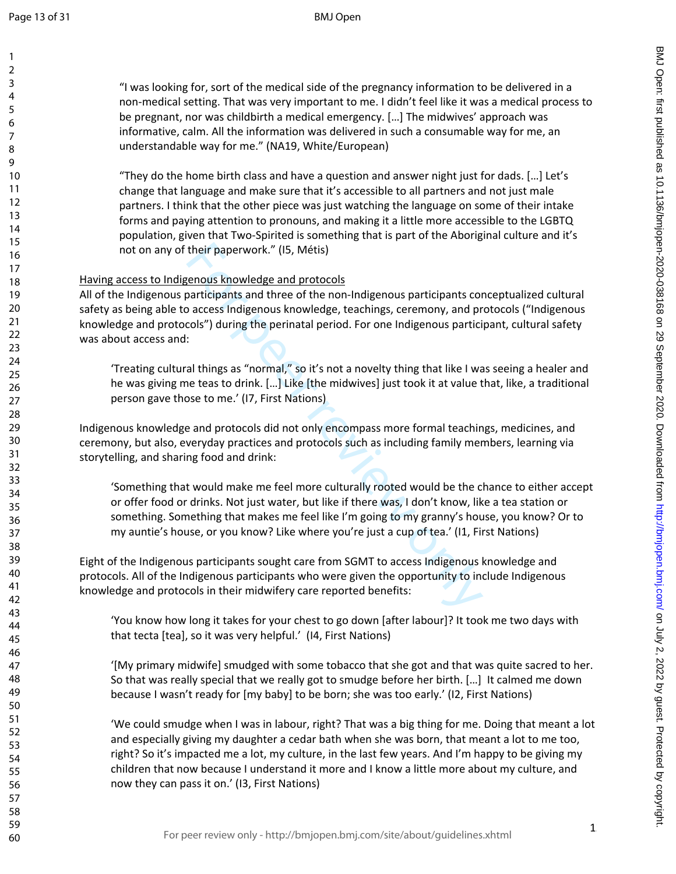1 123456789  $\overline{2}$ 3 "I was looking for, sort of the medical side of the pregnancy information to be delivered in a 4 non-medical setting. That was very important to me. I didn't feel like it was a medical process to 5 be pregnant, nor was childbirth a medical emergency. […] The midwives' approach was 6 informative, calm. All the information was delivered in such a consumable way for me, an 7 understandable way for me." (NA19, White/European) 8 9 "They do the home birth class and have a question and answer night just for dads. […] Let's 10 11 change that language and make sure that it's accessible to all partners and not just male 12 partners. I think that the other piece was just watching the language on some of their intake 13 forms and paying attention to pronouns, and making it a little more accessible to the LGBTQ 14 population, given that Two-Spirited is something that is part of the Aboriginal culture and it's 15 their paperwork." (I5, Métis)<br>
<u>senous knowledge and protocols</u><br>
space and protocols<br>
bacticipants and three of the non-Indigenous participants cor<br>
baccess Indigenous knowledge, teachings, ceremony, and pr<br>
cols") during not on any of their paperwork." (I5, Métis) 16 17 Having access to Indigenous knowledge and protocols 18 All of the Indigenous participants and three of the non-Indigenous participants conceptualized cultural 19 20 safety as being able to access Indigenous knowledge, teachings, ceremony, and protocols ("Indigenous 21 knowledge and protocols") during the perinatal period. For one Indigenous participant, cultural safety 22 was about access and: 23 24 'Treating cultural things as "normal," so it's not a novelty thing that like I was seeing a healer and 25 he was giving me teas to drink. […] Like [the midwives] just took it at value that, like, a traditional 26 person gave those to me.' (I7, First Nations) 27 28 29 Indigenous knowledge and protocols did not only encompass more formal teachings, medicines, and 30 ceremony, but also, everyday practices and protocols such as including family members, learning via 31 storytelling, and sharing food and drink: 32 33 'Something that would make me feel more culturally rooted would be the chance to either accept 34 or offer food or drinks. Not just water, but like if there was, I don't know, like a tea station or 35 something. Something that makes me feel like I'm going to my granny's house, you know? Or to 36 my auntie's house, or you know? Like where you're just a cup of tea.' (I1, First Nations) 37 38 39 Eight of the Indigenous participants sought care from SGMT to access Indigenous knowledge and 40 protocols. All of the Indigenous participants who were given the opportunity to include Indigenous 41 knowledge and protocols in their midwifery care reported benefits: 42 43 'You know how long it takes for your chest to go down [after labour]? It took me two days with 44 that tecta [tea], so it was very helpful.' (I4, First Nations) 45 46 '[My primary midwife] smudged with some tobacco that she got and that was quite sacred to her. 47 48 So that was really special that we really got to smudge before her birth. […] It calmed me down 49 because I wasn't ready for [my baby] to be born; she was too early.' (I2, First Nations) 50 51 'We could smudge when I was in labour, right? That was a big thing for me. Doing that meant a lot 52 and especially giving my daughter a cedar bath when she was born, that meant a lot to me too, 53 right? So it's impacted me a lot, my culture, in the last few years. And I'm happy to be giving my 54 children that now because I understand it more and I know a little more about my culture, and 55 now they can pass it on.' (I3, First Nations) 56 57 58 59 For peer review only - http://bmjopen.bmj.com/site/about/guidelines.xhtml 60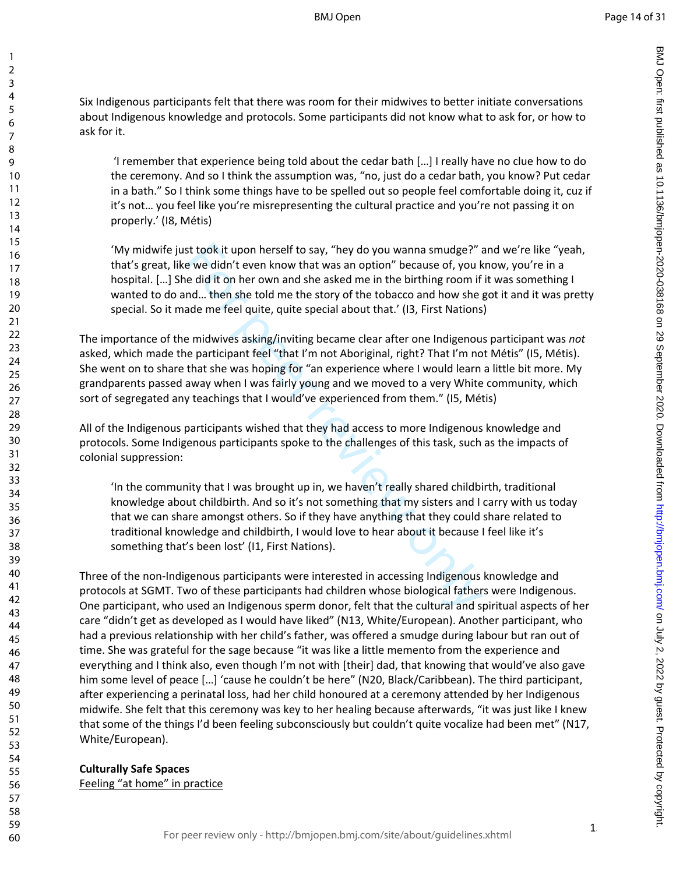Six Indigenous participants felt that there was room for their midwives to better initiate conversations about Indigenous knowledge and protocols. Some participants did not know what to ask for, or how to ask for it.

 'I remember that experience being told about the cedar bath […] I really have no clue how to do the ceremony. And so I think the assumption was, "no, just do a cedar bath, you know? Put cedar in a bath." So I think some things have to be spelled out so people feel comfortable doing it, cuz if it's not… you feel like you're misrepresenting the cultural practice and you're not passing it on properly.' (I8, Métis)

st took it upon herself to say, "hey do you wanna smudge?" a<br>
we didn't even know that was an option" because of, you k<br>
edid it on her own and she asked me in the birthing room if<br>
nd... then she told me the story of the 'My midwife just took it upon herself to say, "hey do you wanna smudge?" and we're like "yeah, that's great, like we didn't even know that was an option" because of, you know, you're in a hospital. […] She did it on her own and she asked me in the birthing room if it was something I wanted to do and… then she told me the story of the tobacco and how she got it and it was pretty special. So it made me feel quite, quite special about that.' (I3, First Nations)

The importance of the midwives asking/inviting became clear after one Indigenous participant was *not*  asked, which made the participant feel "that I'm not Aboriginal, right? That I'm not Métis" (I5, Métis). She went on to share that she was hoping for "an experience where I would learn a little bit more. My grandparents passed away when I was fairly young and we moved to a very White community, which sort of segregated any teachings that I would've experienced from them." (I5, Métis)

All of the Indigenous participants wished that they had access to more Indigenous knowledge and protocols. Some Indigenous participants spoke to the challenges of this task, such as the impacts of colonial suppression:

'In the community that I was brought up in, we haven't really shared childbirth, traditional knowledge about childbirth. And so it's not something that my sisters and I carry with us today that we can share amongst others. So if they have anything that they could share related to traditional knowledge and childbirth, I would love to hear about it because I feel like it's something that's been lost' (I1, First Nations).

Three of the non-Indigenous participants were interested in accessing Indigenous knowledge and protocols at SGMT. Two of these participants had children whose biological fathers were Indigenous. One participant, who used an Indigenous sperm donor, felt that the cultural and spiritual aspects of her care "didn't get as developed as I would have liked" (N13, White/European). Another participant, who had a previous relationship with her child's father, was offered a smudge during labour but ran out of time. She was grateful for the sage because "it was like a little memento from the experience and everything and I think also, even though I'm not with [their] dad, that knowing that would've also gave him some level of peace [...] 'cause he couldn't be here" (N20, Black/Caribbean). The third participant, after experiencing a perinatal loss, had her child honoured at a ceremony attended by her Indigenous midwife. She felt that this ceremony was key to her healing because afterwards, "it was just like I knew that some of the things I'd been feeling subconsciously but couldn't quite vocalize had been met" (N17, White/European).

#### **Culturally Safe Spaces**

123456789

Feeling "at home" in practice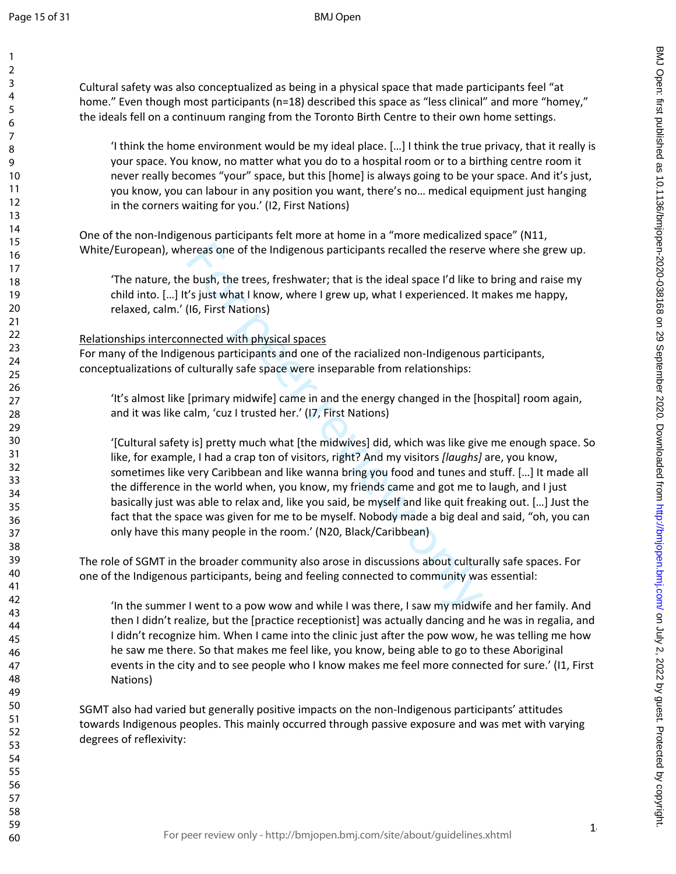$\mathbf{1}$  $\overline{2}$  $\overline{\mathbf{3}}$ 4 5 6  $\overline{7}$ 8 9

#### BMJ Open

| the ideals fell on a continuum ranging from the Toronto Birth Centre to their own home settings.                                                                                                      |
|-------------------------------------------------------------------------------------------------------------------------------------------------------------------------------------------------------|
| I think the home environment would be my ideal place. [] I think the true privacy, that it really is                                                                                                  |
| your space. You know, no matter what you do to a hospital room or to a birthing centre room it                                                                                                        |
| never really becomes "your" space, but this [home] is always going to be your space. And it's just,<br>you know, you can labour in any position you want, there's no medical equipment just hanging   |
| in the corners waiting for you.' (I2, First Nations)                                                                                                                                                  |
| One of the non-Indigenous participants felt more at home in a "more medicalized space" (N11,                                                                                                          |
| White/European), whereas one of the Indigenous participants recalled the reserve where she grew up.                                                                                                   |
| The nature, the bush, the trees, freshwater; that is the ideal space I'd like to bring and raise my                                                                                                   |
| child into. [] It's just what I know, where I grew up, what I experienced. It makes me happy,                                                                                                         |
| relaxed, calm.' (I6, First Nations)                                                                                                                                                                   |
| Relationships interconnected with physical spaces                                                                                                                                                     |
| For many of the Indigenous participants and one of the racialized non-Indigenous participants,                                                                                                        |
| conceptualizations of culturally safe space were inseparable from relationships:                                                                                                                      |
| 'It's almost like [primary midwife] came in and the energy changed in the [hospital] room again,                                                                                                      |
| and it was like calm, 'cuz I trusted her.' (I7, First Nations)                                                                                                                                        |
| '[Cultural safety is] pretty much what [the midwives] did, which was like give me enough space. So                                                                                                    |
| like, for example, I had a crap ton of visitors, right? And my visitors [laughs] are, you know,                                                                                                       |
| sometimes like very Caribbean and like wanna bring you food and tunes and stuff. [] It made all                                                                                                       |
| the difference in the world when, you know, my friends came and got me to laugh, and I just<br>basically just was able to relax and, like you said, be myself and like quit freaking out. [] Just the |
| fact that the space was given for me to be myself. Nobody made a big deal and said, "oh, you can                                                                                                      |
| only have this many people in the room.' (N20, Black/Caribbean)                                                                                                                                       |
| The role of SGMT in the broader community also arose in discussions about culturally safe spaces. For                                                                                                 |
| one of the Indigenous participants, being and feeling connected to community was essential:                                                                                                           |
| 'In the summer I went to a pow wow and while I was there, I saw my midwife and her family. And                                                                                                        |
| then I didn't realize, but the [practice receptionist] was actually dancing and he was in regalia, and                                                                                                |
| I didn't recognize him. When I came into the clinic just after the pow wow, he was telling me how                                                                                                     |
| he saw me there. So that makes me feel like, you know, being able to go to these Aboriginal<br>events in the city and to see people who I know makes me feel more connected for sure.' (I1, First     |
| Nations)                                                                                                                                                                                              |
| SGMT also had varied but generally positive impacts on the non-Indigenous participants' attitudes                                                                                                     |
| towards Indigenous peoples. This mainly occurred through passive exposure and was met with varying                                                                                                    |
| degrees of reflexivity:                                                                                                                                                                               |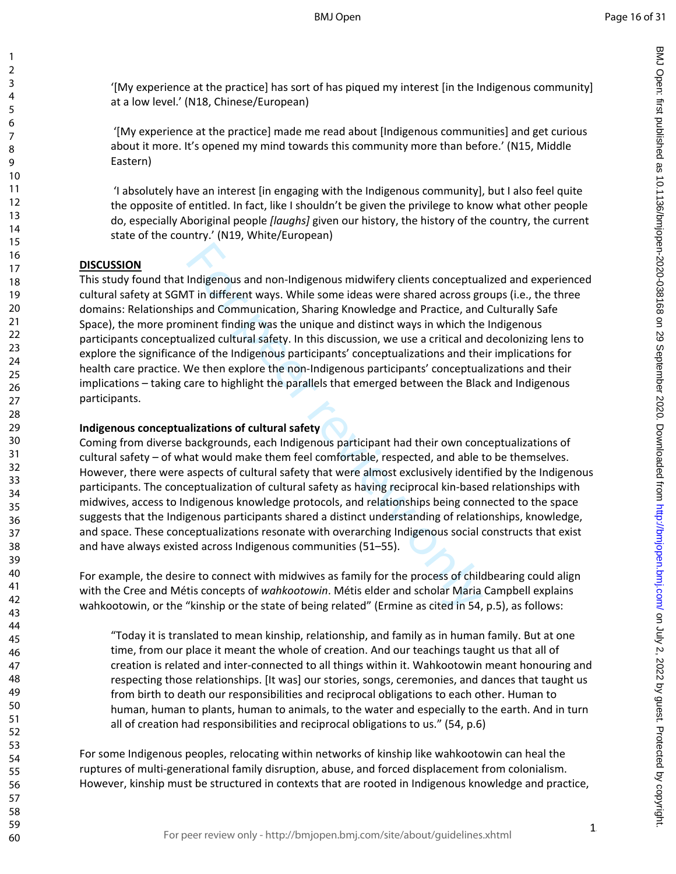BMJ Open: first published as 10.1136/bmjopen-2020-038168 on 29 September 2020. Downloaded from http://bmjopen.bmj.com/ on July 2, 2022 by guest. Protected by copyright on July 2, 2022 by guest. Protected by copyright. <http://bmjopen.bmj.com/> BMJ Open: first published as 10.1136/bmjopen-2020-038168 on 29 September 2020. Downloaded from

1  $\overline{2}$ 

> '[My experience at the practice] has sort of has piqued my interest [in the Indigenous community] at a low level.' (N18, Chinese/European)

 '[My experience at the practice] made me read about [Indigenous communities] and get curious about it more. It's opened my mind towards this community more than before.' (N15, Middle Eastern)

 'I absolutely have an interest [in engaging with the Indigenous community], but I also feel quite the opposite of entitled. In fact, like I shouldn't be given the privilege to know what other people do, especially Aboriginal people *[laughs]* given our history, the history of the country, the current state of the country.' (N19, White/European)

#### **DISCUSSION**

Indigenous and non-Indigenous midwifery clients conceptua<br>IT in different ways. While some ideas were shared across gr<br>so and Communication, Sharing Knowledge and Practice, and<br>ninent finding was the unique and distinct wa This study found that Indigenous and non-Indigenous midwifery clients conceptualized and experienced cultural safety at SGMT in different ways. While some ideas were shared across groups (i.e., the three domains: Relationships and Communication, Sharing Knowledge and Practice, and Culturally Safe Space), the more prominent finding was the unique and distinct ways in which the Indigenous participants conceptualized cultural safety. In this discussion, we use a critical and decolonizing lens to explore the significance of the Indigenous participants' conceptualizations and their implications for health care practice. We then explore the non-Indigenous participants' conceptualizations and their implications – taking care to highlight the parallels that emerged between the Black and Indigenous participants.

#### **Indigenous conceptualizations of cultural safety**

Coming from diverse backgrounds, each Indigenous participant had their own conceptualizations of cultural safety – of what would make them feel comfortable, respected, and able to be themselves. However, there were aspects of cultural safety that were almost exclusively identified by the Indigenous participants. The conceptualization of cultural safety as having reciprocal kin-based relationships with midwives, access to Indigenous knowledge protocols, and relationships being connected to the space suggests that the Indigenous participants shared a distinct understanding of relationships, knowledge, and space. These conceptualizations resonate with overarching Indigenous social constructs that exist and have always existed across Indigenous communities (51–55).

For example, the desire to connect with midwives as family for the process of childbearing could align with the Cree and Métis concepts of *wahkootowin*. Métis elder and scholar Maria Campbell explains wahkootowin, or the "kinship or the state of being related" (Ermine as cited in 54, p.5), as follows:

"Today it is translated to mean kinship, relationship, and family as in human family. But at one time, from our place it meant the whole of creation. And our teachings taught us that all of creation is related and inter-connected to all things within it. Wahkootowin meant honouring and respecting those relationships. [It was] our stories, songs, ceremonies, and dances that taught us from birth to death our responsibilities and reciprocal obligations to each other. Human to human, human to plants, human to animals, to the water and especially to the earth. And in turn all of creation had responsibilities and reciprocal obligations to us." (54, p.6)

For some Indigenous peoples, relocating within networks of kinship like wahkootowin can heal the ruptures of multi-generational family disruption, abuse, and forced displacement from colonialism. However, kinship must be structured in contexts that are rooted in Indigenous knowledge and practice,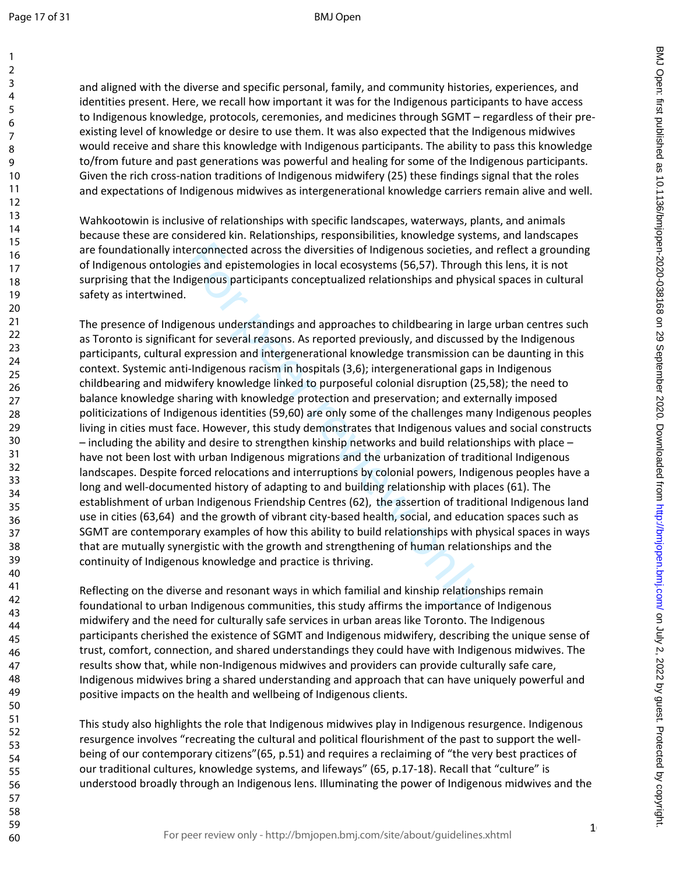and aligned with the diverse and specific personal, family, and community histories, experiences, and identities present. Here, we recall how important it was for the Indigenous participants to have access to Indigenous knowledge, protocols, ceremonies, and medicines through SGMT – regardless of their preexisting level of knowledge or desire to use them. It was also expected that the Indigenous midwives would receive and share this knowledge with Indigenous participants. The ability to pass this knowledge to/from future and past generations was powerful and healing for some of the Indigenous participants. Given the rich cross-nation traditions of Indigenous midwifery (25) these findings signal that the roles and expectations of Indigenous midwives as intergenerational knowledge carriers remain alive and well.

Wahkootowin is inclusive of relationships with specific landscapes, waterways, plants, and animals because these are considered kin. Relationships, responsibilities, knowledge systems, and landscapes are foundationally interconnected across the diversities of Indigenous societies, and reflect a grounding of Indigenous ontologies and epistemologies in local ecosystems (56,57). Through this lens, it is not surprising that the Indigenous participants conceptualized relationships and physical spaces in cultural safety as intertwined.

erconnected across the diversities of Indigenous societies, an<br>ties and epistemologies in local ecosystems (56,57). Through<br>digenous participants conceptualized relationships and physical<br>enous understandings and approache The presence of Indigenous understandings and approaches to childbearing in large urban centres such as Toronto is significant for several reasons. As reported previously, and discussed by the Indigenous participants, cultural expression and intergenerational knowledge transmission can be daunting in this context. Systemic anti-Indigenous racism in hospitals (3,6); intergenerational gaps in Indigenous childbearing and midwifery knowledge linked to purposeful colonial disruption (25,58); the need to balance knowledge sharing with knowledge protection and preservation; and externally imposed politicizations of Indigenous identities (59,60) are only some of the challenges many Indigenous peoples living in cities must face. However, this study demonstrates that Indigenous values and social constructs – including the ability and desire to strengthen kinship networks and build relationships with place – have not been lost with urban Indigenous migrations and the urbanization of traditional Indigenous landscapes. Despite forced relocations and interruptions by colonial powers, Indigenous peoples have a long and well-documented history of adapting to and building relationship with places (61). The establishment of urban Indigenous Friendship Centres (62), the assertion of traditional Indigenous land use in cities (63,64) and the growth of vibrant city-based health, social, and education spaces such as SGMT are contemporary examples of how this ability to build relationships with physical spaces in ways that are mutually synergistic with the growth and strengthening of human relationships and the continuity of Indigenous knowledge and practice is thriving.

Reflecting on the diverse and resonant ways in which familial and kinship relationships remain foundational to urban Indigenous communities, this study affirms the importance of Indigenous midwifery and the need for culturally safe services in urban areas like Toronto. The Indigenous participants cherished the existence of SGMT and Indigenous midwifery, describing the unique sense of trust, comfort, connection, and shared understandings they could have with Indigenous midwives. The results show that, while non-Indigenous midwives and providers can provide culturally safe care, Indigenous midwives bring a shared understanding and approach that can have uniquely powerful and positive impacts on the health and wellbeing of Indigenous clients.

This study also highlights the role that Indigenous midwives play in Indigenous resurgence. Indigenous resurgence involves "recreating the cultural and political flourishment of the past to support the wellbeing of our contemporary citizens"(65, p.51) and requires a reclaiming of "the very best practices of our traditional cultures, knowledge systems, and lifeways" (65, p.17-18). Recall that "culture" is understood broadly through an Indigenous lens. Illuminating the power of Indigenous midwives and the

 $1<sub>6</sub>$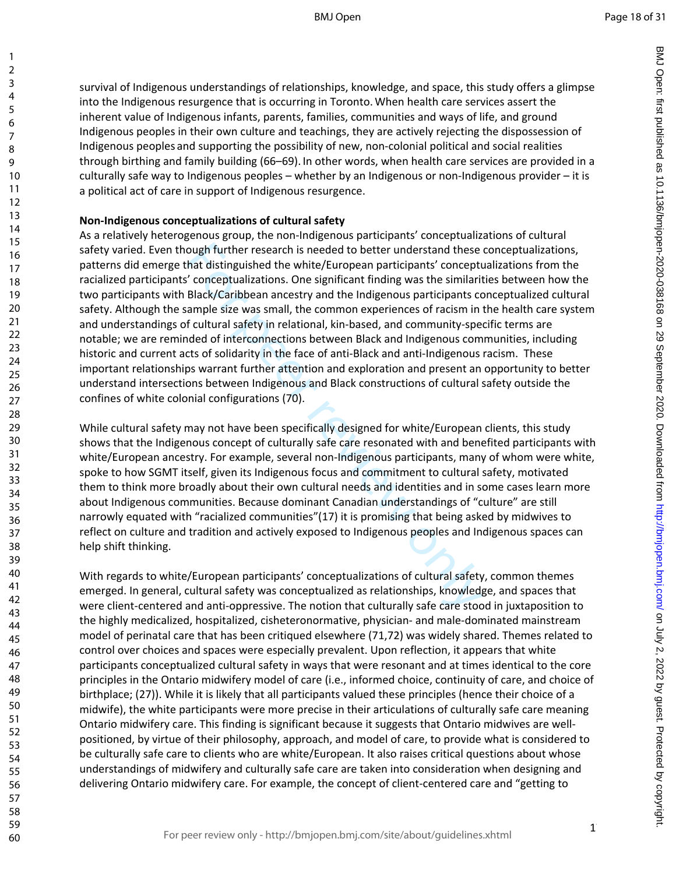survival of Indigenous understandings of relationships, knowledge, and space, this study offers a glimpse into the Indigenous resurgence that is occurring in Toronto.When health care services assert the inherent value of Indigenous infants, parents, families, communities and ways of life, and ground Indigenous peoples in their own culture and teachings, they are actively rejecting the dispossession of Indigenous peoples and supporting the possibility of new, non-colonial political and social realities through birthing and family building (66–69). In other words, when health care services are provided in a culturally safe way to Indigenous peoples – whether by an Indigenous or non-Indigenous provider – it is a political act of care in support of Indigenous resurgence.

#### **Non-Indigenous conceptualizations of cultural safety**

123456789

ough further research is needed to better understand these<br>
that distinguished the white/European participants' conceptt<br>
of conceptualizations. One significant finding was the similarity<br>
Black/Caribbean ancestry and the As a relatively heterogenous group, the non-Indigenous participants' conceptualizations of cultural safety varied. Even though further research is needed to better understand these conceptualizations, patterns did emerge that distinguished the white/European participants' conceptualizations from the racialized participants' conceptualizations. One significant finding was the similarities between how the two participants with Black/Caribbean ancestry and the Indigenous participants conceptualized cultural safety. Although the sample size was small, the common experiences of racism in the health care system and understandings of cultural safety in relational, kin-based, and community-specific terms are notable; we are reminded of interconnections between Black and Indigenous communities, including historic and current acts of solidarity in the face of anti-Black and anti-Indigenous racism. These important relationships warrant further attention and exploration and present an opportunity to better understand intersections between Indigenous and Black constructions of cultural safety outside the confines of white colonial configurations (70).

While cultural safety may not have been specifically designed for white/European clients, this study shows that the Indigenous concept of culturally safe care resonated with and benefited participants with white/European ancestry. For example, several non-Indigenous participants, many of whom were white, spoke to how SGMT itself, given its Indigenous focus and commitment to cultural safety, motivated them to think more broadly about their own cultural needs and identities and in some cases learn more about Indigenous communities. Because dominant Canadian understandings of "culture" are still narrowly equated with "racialized communities"(17) it is promising that being asked by midwives to reflect on culture and tradition and actively exposed to Indigenous peoples and Indigenous spaces can help shift thinking.

With regards to white/European participants' conceptualizations of cultural safety, common themes emerged. In general, cultural safety was conceptualized as relationships, knowledge, and spaces that were client-centered and anti-oppressive. The notion that culturally safe care stood in juxtaposition to the highly medicalized, hospitalized, cisheteronormative, physician- and male-dominated mainstream model of perinatal care that has been critiqued elsewhere (71,72) was widely shared. Themes related to control over choices and spaces were especially prevalent. Upon reflection, it appears that white participants conceptualized cultural safety in ways that were resonant and at times identical to the core principles in the Ontario midwifery model of care (i.e., informed choice, continuity of care, and choice of birthplace; (27)). While it is likely that all participants valued these principles (hence their choice of a midwife), the white participants were more precise in their articulations of culturally safe care meaning Ontario midwifery care. This finding is significant because it suggests that Ontario midwives are wellpositioned, by virtue of their philosophy, approach, and model of care, to provide what is considered to be culturally safe care to clients who are white/European. It also raises critical questions about whose understandings of midwifery and culturally safe care are taken into consideration when designing and delivering Ontario midwifery care. For example, the concept of client-centered care and "getting to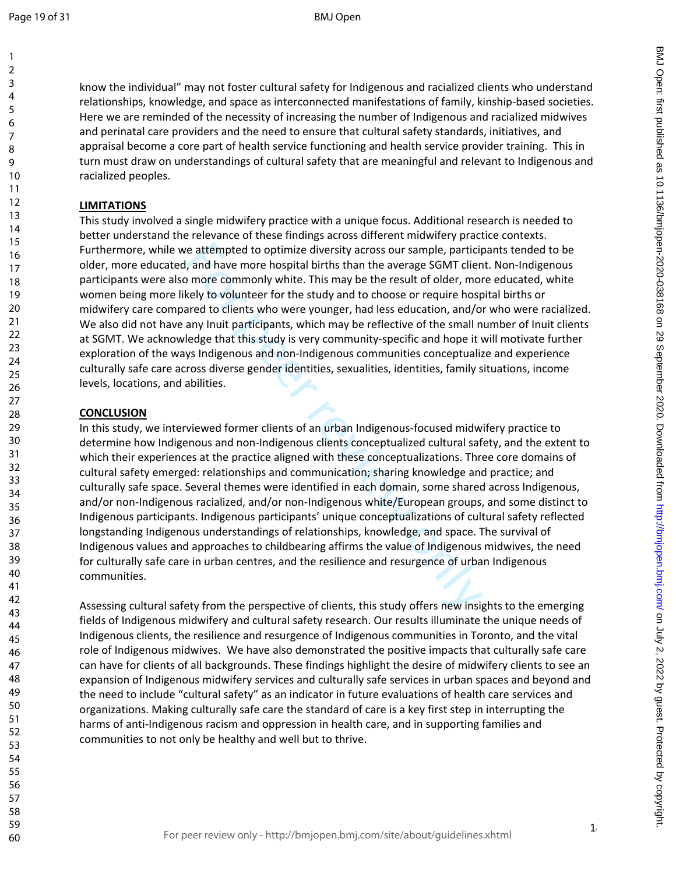know the individual" may not foster cultural safety for Indigenous and racialized clients who understand relationships, knowledge, and space as interconnected manifestations of family, kinship-based societies. Here we are reminded of the necessity of increasing the number of Indigenous and racialized midwives and perinatal care providers and the need to ensure that cultural safety standards, initiatives, and appraisal become a core part of health service functioning and health service provider training. This in turn must draw on understandings of cultural safety that are meaningful and relevant to Indigenous and racialized peoples.

#### **LIMITATIONS**

This study involved a single midwifery practice with a unique focus. Additional research is needed to better understand the relevance of these findings across different midwifery practice contexts. Furthermore, while we attempted to optimize diversity across our sample, participants tended to be older, more educated, and have more hospital births than the average SGMT client. Non-Indigenous participants were also more commonly white. This may be the result of older, more educated, white women being more likely to volunteer for the study and to choose or require hospital births or midwifery care compared to clients who were younger, had less education, and/or who were racialized. We also did not have any Inuit participants, which may be reflective of the small number of Inuit clients at SGMT. We acknowledge that this study is very community-specific and hope it will motivate further exploration of the ways Indigenous and non-Indigenous communities conceptualize and experience culturally safe care across diverse gender identities, sexualities, identities, family situations, income levels, locations, and abilities.

#### **CONCLUSION**

e attempted to optimize diversity across our sample, particity<br>and have more hospital births than the average SGMT clien<br>more commonly white. This may be the result of older, more<br>seely to volunteer for the study and to ch In this study, we interviewed former clients of an urban Indigenous-focused midwifery practice to determine how Indigenous and non-Indigenous clients conceptualized cultural safety, and the extent to which their experiences at the practice aligned with these conceptualizations. Three core domains of cultural safety emerged: relationships and communication; sharing knowledge and practice; and culturally safe space. Several themes were identified in each domain, some shared across Indigenous, and/or non-Indigenous racialized, and/or non-Indigenous white/European groups, and some distinct to Indigenous participants. Indigenous participants' unique conceptualizations of cultural safety reflected longstanding Indigenous understandings of relationships, knowledge, and space. The survival of Indigenous values and approaches to childbearing affirms the value of Indigenous midwives, the need for culturally safe care in urban centres, and the resilience and resurgence of urban Indigenous communities.

Assessing cultural safety from the perspective of clients, this study offers new insights to the emerging fields of Indigenous midwifery and cultural safety research. Our results illuminate the unique needs of Indigenous clients, the resilience and resurgence of Indigenous communities in Toronto, and the vital role of Indigenous midwives. We have also demonstrated the positive impacts that culturally safe care can have for clients of all backgrounds. These findings highlight the desire of midwifery clients to see an expansion of Indigenous midwifery services and culturally safe services in urban spaces and beyond and the need to include "cultural safety" as an indicator in future evaluations of health care services and organizations. Making culturally safe care the standard of care is a key first step in interrupting the harms of anti-Indigenous racism and oppression in health care, and in supporting families and communities to not only be healthy and well but to thrive.

BMJ Open: first published as 10.1136/bmjopen-2020-038168 on 29 September 2020. Downloaded from http://bmjopen.bmj.com/ on July 2, 2022 by guest. Protected by copyright on July 2, 2022 by guest. Protected by copyright. <http://bmjopen.bmj.com/> BMJ Open: first published as 10.1136/bmjopen-2020-038168 on 29 September 2020. Downloaded from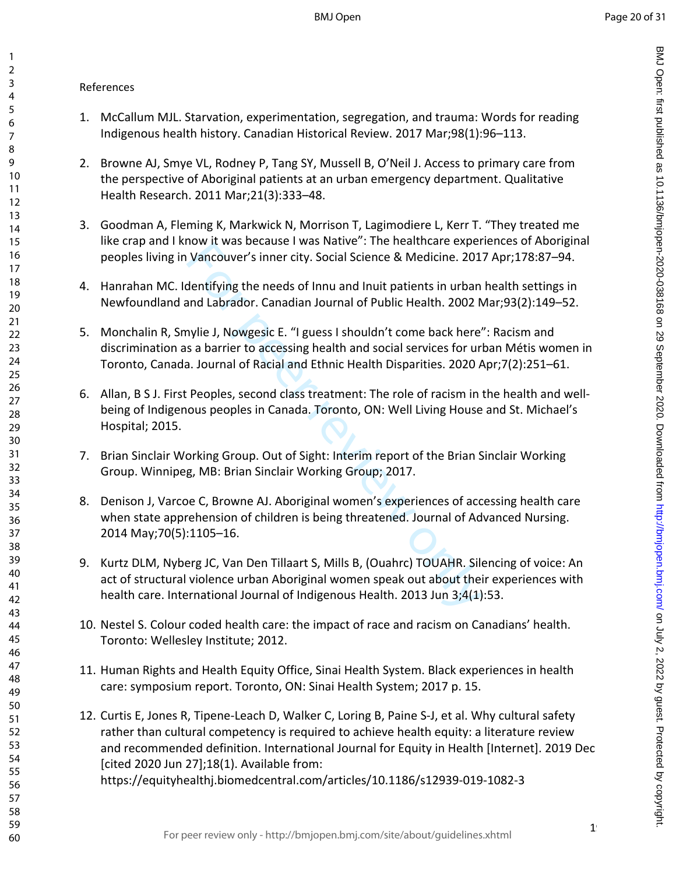References

123456789

- 1. McCallum MJL. Starvation, experimentation, segregation, and trauma: Words for reading Indigenous health history. Canadian Historical Review. 2017 Mar;98(1):96–113.
- 2. Browne AJ, Smye VL, Rodney P, Tang SY, Mussell B, O'Neil J. Access to primary care from the perspective of Aboriginal patients at an urban emergency department. Qualitative Health Research. 2011 Mar;21(3):333–48.
- 3. Goodman A, Fleming K, Markwick N, Morrison T, Lagimodiere L, Kerr T. "They treated me like crap and I know it was because I was Native": The healthcare experiences of Aboriginal peoples living in Vancouver's inner city. Social Science & Medicine. 2017 Apr;178:87–94.
- 4. Hanrahan MC. Identifying the needs of Innu and Inuit patients in urban health settings in Newfoundland and Labrador. Canadian Journal of Public Health. 2002 Mar;93(2):149–52.
- 5. Monchalin R, Smylie J, Nowgesic E. "I guess I shouldn't come back here": Racism and discrimination as a barrier to accessing health and social services for urban Métis women in Toronto, Canada. Journal of Racial and Ethnic Health Disparities. 2020 Apr;7(2):251–61.
- 6. Allan, B S J. First Peoples, second class treatment: The role of racism in the health and wellbeing of Indigenous peoples in Canada. Toronto, ON: Well Living House and St. Michael's Hospital; 2015.
- 7. Brian Sinclair Working Group. Out of Sight: Interim report of the Brian Sinclair Working Group. Winnipeg, MB: Brian Sinclair Working Group; 2017.
- 8. Denison J, Varcoe C, Browne AJ. Aboriginal women's experiences of accessing health care when state apprehension of children is being threatened. Journal of Advanced Nursing. 2014 May;70(5):1105–16.
- For Using the needs of Innu and Inuit patients: Apply Vancouver's inner city. Social Science & Medicine. 2011<br>dentifying the needs of Innu and Inuit patients in urban<br>and Labrador. Canadian Journal of Public Health. 2002 N 9. Kurtz DLM, Nyberg JC, Van Den Tillaart S, Mills B, (Ouahrc) TOUAHR. Silencing of voice: An act of structural violence urban Aboriginal women speak out about their experiences with health care. International Journal of Indigenous Health. 2013 Jun 3;4(1):53.
- 10. Nestel S. Colour coded health care: the impact of race and racism on Canadians' health. Toronto: Wellesley Institute; 2012.
- 11. Human Rights and Health Equity Office, Sinai Health System. Black experiences in health care: symposium report. Toronto, ON: Sinai Health System; 2017 p. 15.
- 12. Curtis E, Jones R, Tipene-Leach D, Walker C, Loring B, Paine S-J, et al. Why cultural safety rather than cultural competency is required to achieve health equity: a literature review and recommended definition. International Journal for Equity in Health [Internet]. 2019 Dec [cited 2020 Jun 27];18(1). Available from:

https://equityhealthj.biomedcentral.com/articles/10.1186/s12939-019-1082-3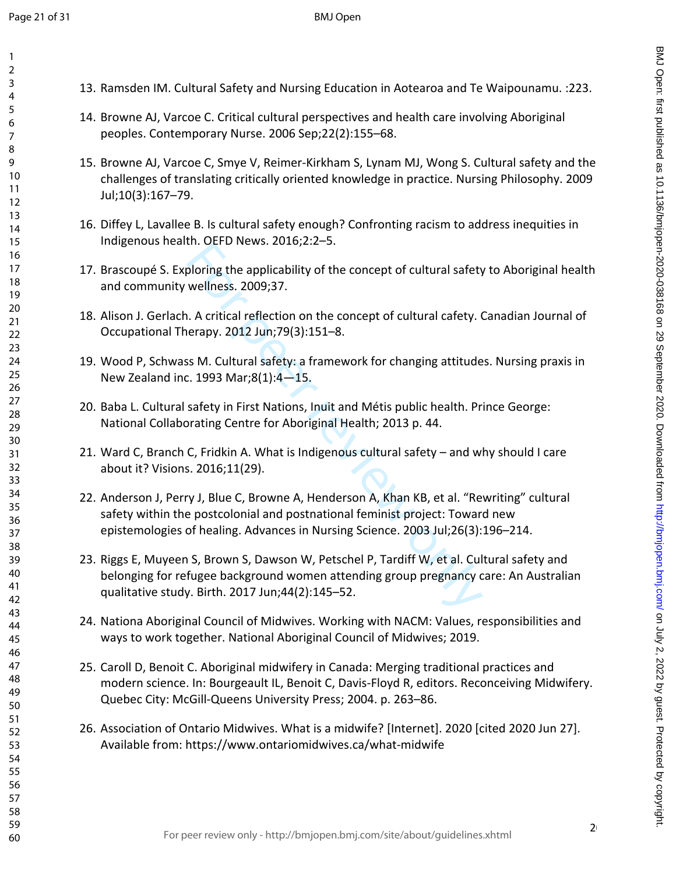- 13. Ramsden IM. Cultural Safety and Nursing Education in Aotearoa and Te Waipounamu. :223.
	- 14. Browne AJ, Varcoe C. Critical cultural perspectives and health care involving Aboriginal peoples. Contemporary Nurse. 2006 Sep;22(2):155–68.
	- 15. Browne AJ, Varcoe C, Smye V, Reimer-Kirkham S, Lynam MJ, Wong S. Cultural safety and the challenges of translating critically oriented knowledge in practice. Nursing Philosophy. 2009 Jul;10(3):167–79.
	- 16. Diffey L, Lavallee B. Is cultural safety enough? Confronting racism to address inequities in Indigenous health. OEFD News. 2016;2:2–5.
	- 17. Brascoupé S. Exploring the applicability of the concept of cultural safety to Aboriginal health and community wellness. 2009;37.
	- 18. Alison J. Gerlach. A critical reflection on the concept of cultural cafety. Canadian Journal of Occupational Therapy. 2012 Jun;79(3):151–8.
	- 19. Wood P, Schwass M. Cultural safety: a framework for changing attitudes. Nursing praxis in New Zealand inc. 1993 Mar;8(1):4—15.
	- 20. Baba L. Cultural safety in First Nations, Inuit and Métis public health. Prince George: National Collaborating Centre for Aboriginal Health; 2013 p. 44.
	- 21. Ward C, Branch C, Fridkin A. What is Indigenous cultural safety and why should I care about it? Visions. 2016;11(29).
	- 22. Anderson J, Perry J, Blue C, Browne A, Henderson A, Khan KB, et al. "Rewriting" cultural safety within the postcolonial and postnational feminist project: Toward new epistemologies of healing. Advances in Nursing Science. 2003 Jul;26(3):196–214.
- mit out Divews: 2010,2.12 3.<br>
ploring the applicability of the concept of cultural safety<br>
wellness. 2009;37.<br>
1. A critical reflection on the concept of cultural cafety. (<br>
nerapy. 2012 Jun;79(3):151–8.<br>
5. M. Cultural sa 23. Riggs E, Muyeen S, Brown S, Dawson W, Petschel P, Tardiff W, et al. Cultural safety and belonging for refugee background women attending group pregnancy care: An Australian qualitative study. Birth. 2017 Jun;44(2):145–52.
- 24. Nationa Aboriginal Council of Midwives. Working with NACM: Values, responsibilities and ways to work together. National Aboriginal Council of Midwives; 2019.
- 25. Caroll D, Benoit C. Aboriginal midwifery in Canada: Merging traditional practices and modern science. In: Bourgeault IL, Benoit C, Davis-Floyd R, editors. Reconceiving Midwifery. Quebec City: McGill-Queens University Press; 2004. p. 263–86.
- 26. Association of Ontario Midwives. What is a midwife? [Internet]. 2020 [cited 2020 Jun 27]. Available from: https://www.ontariomidwives.ca/what-midwife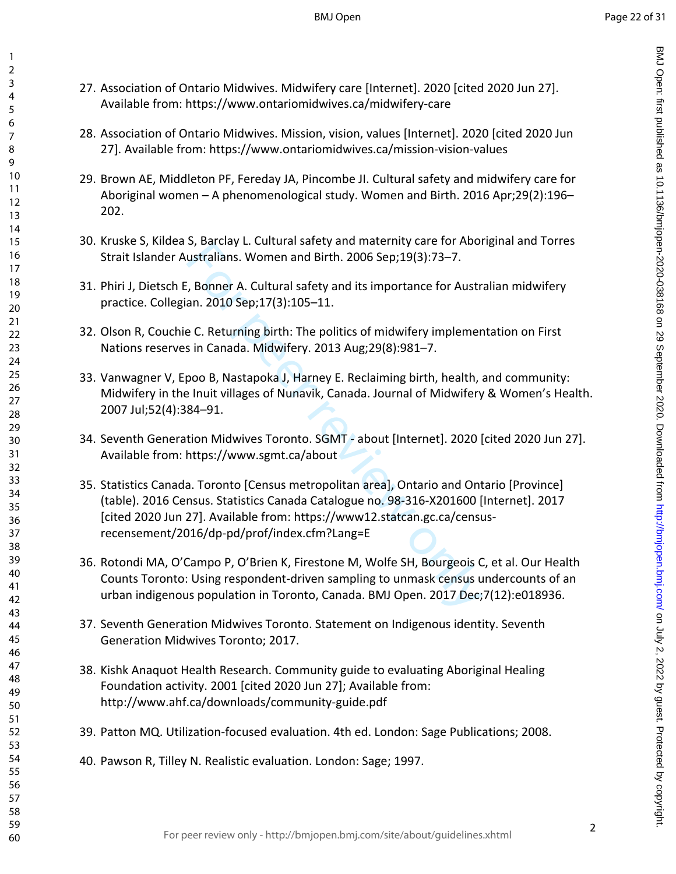27. Association of Ontario Midwives. Midwifery care [Internet]. 2020 [cited 2020 Jun 27]. Available from: https://www.ontariomidwives.ca/midwifery-care

- 28. Association of Ontario Midwives. Mission, vision, values [Internet]. 2020 [cited 2020 Jun 27]. Available from: https://www.ontariomidwives.ca/mission-vision-values
- 29. Brown AE, Middleton PF, Fereday JA, Pincombe JI. Cultural safety and midwifery care for Aboriginal women – A phenomenological study. Women and Birth. 2016 Apr;29(2):196– 202.
- 30. Kruske S, Kildea S, Barclay L. Cultural safety and maternity care for Aboriginal and Torres Strait Islander Australians. Women and Birth. 2006 Sep;19(3):73–7.
- 31. Phiri J, Dietsch E, Bonner A. Cultural safety and its importance for Australian midwifery practice. Collegian. 2010 Sep;17(3):105–11.
- 32. Olson R, Couchie C. Returning birth: The politics of midwifery implementation on First Nations reserves in Canada. Midwifery. 2013 Aug;29(8):981–7.
- 33. Vanwagner V, Epoo B, Nastapoka J, Harney E. Reclaiming birth, health, and community: Midwifery in the Inuit villages of Nunavik, Canada. Journal of Midwifery & Women's Health. 2007 Jul;52(4):384–91.
- 34. Seventh Generation Midwives Toronto. SGMT about [Internet]. 2020 [cited 2020 Jun 27]. Available from: https://www.sgmt.ca/about
- 5, backlay L. Cantara sactly and matemity care to Kabin<br>ustralians. Women and Birth. 2006 Sep;19(3):73–7.<br>i, Bonner A. Cultural safety and its importance for Austral.<br>an. 2010 Sep;17(3):105–11.<br>e C. Returning birth: The po 35. Statistics Canada. Toronto [Census metropolitan area], Ontario and Ontario [Province] (table). 2016 Census. Statistics Canada Catalogue no. 98-316-X201600 [Internet]. 2017 [cited 2020 Jun 27]. Available from: https://www12.statcan.gc.ca/censusrecensement/2016/dp-pd/prof/index.cfm?Lang=E
- 36. Rotondi MA, O'Campo P, O'Brien K, Firestone M, Wolfe SH, Bourgeois C, et al. Our Health Counts Toronto: Using respondent-driven sampling to unmask census undercounts of an urban indigenous population in Toronto, Canada. BMJ Open. 2017 Dec;7(12):e018936.
- 37. Seventh Generation Midwives Toronto. Statement on Indigenous identity. Seventh Generation Midwives Toronto; 2017.
- 38. Kishk Anaquot Health Research. Community guide to evaluating Aboriginal Healing Foundation activity. 2001 [cited 2020 Jun 27]; Available from: http://www.ahf.ca/downloads/community-guide.pdf
- 39. Patton MQ. Utilization-focused evaluation. 4th ed. London: Sage Publications; 2008.
- 40. Pawson R, Tilley N. Realistic evaluation. London: Sage; 1997.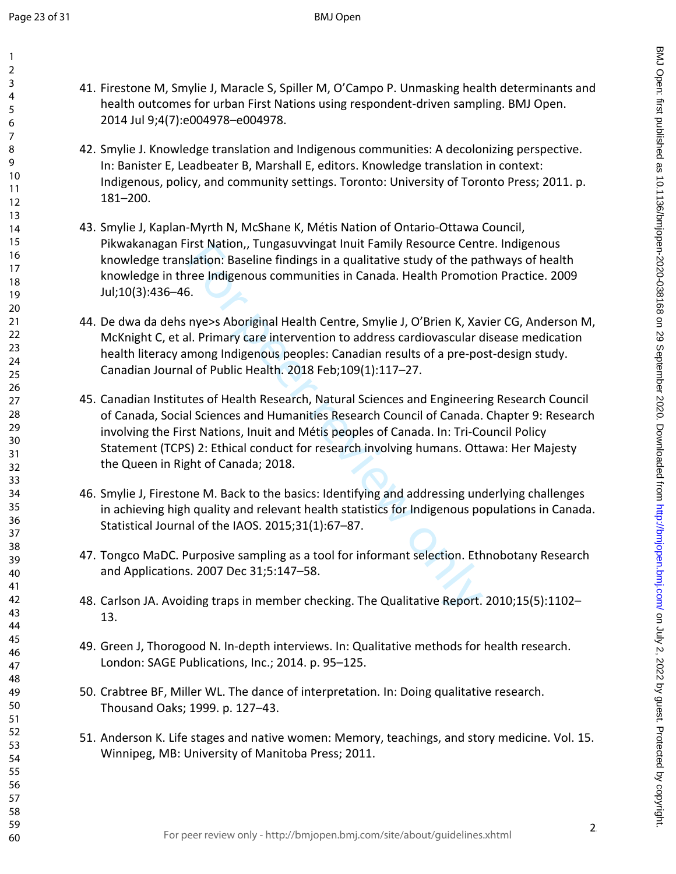- $\mathbf{1}$ 123456789  $\overline{2}$ 3 4 5 6 7 8 9 10 11 12 13 14 15 16 17 18 19 20 21 22 23 24 25 26 27 28 29 30 31 32 33 34 35 36 37 38 39 40 41 42 43 44 45 46 47 48 49 50 51 52 53 54 55 56 57 58 59 60
	- 41. Firestone M, Smylie J, Maracle S, Spiller M, O'Campo P. Unmasking health determinants and health outcomes for urban First Nations using respondent-driven sampling. BMJ Open. 2014 Jul 9;4(7):e004978–e004978.
	- 42. Smylie J. Knowledge translation and Indigenous communities: A decolonizing perspective. In: Banister E, Leadbeater B, Marshall E, editors. Knowledge translation in context: Indigenous, policy, and community settings. Toronto: University of Toronto Press; 2011. p. 181–200.
	- 43. Smylie J, Kaplan-Myrth N, McShane K, Métis Nation of Ontario-Ottawa Council, Pikwakanagan First Nation,, Tungasuvvingat Inuit Family Resource Centre. Indigenous knowledge translation: Baseline findings in a qualitative study of the pathways of health knowledge in three Indigenous communities in Canada. Health Promotion Practice. 2009 Jul;10(3):436–46.
	- 44. De dwa da dehs nye>s Aboriginal Health Centre, Smylie J, O'Brien K, Xavier CG, Anderson M, McKnight C, et al. Primary care intervention to address cardiovascular disease medication health literacy among Indigenous peoples: Canadian results of a pre-post-design study. Canadian Journal of Public Health. 2018 Feb;109(1):117–27.
	- Irst Nation,, I ungasuvvingat inuit Family Resource Centraliation: Baseline findings in a qualitative study of the pare ree Indigenous communities in Canada. Health Promoti 5.<br>
	The peer review of the pare intervention to a 45. Canadian Institutes of Health Research, Natural Sciences and Engineering Research Council of Canada, Social Sciences and Humanities Research Council of Canada. Chapter 9: Research involving the First Nations, Inuit and Métis peoples of Canada. In: Tri-Council Policy Statement (TCPS) 2: Ethical conduct for research involving humans. Ottawa: Her Majesty the Queen in Right of Canada; 2018.
	- 46. Smylie J, Firestone M. Back to the basics: Identifying and addressing underlying challenges in achieving high quality and relevant health statistics for Indigenous populations in Canada. Statistical Journal of the IAOS. 2015;31(1):67–87.
	- 47. Tongco MaDC. Purposive sampling as a tool for informant selection. Ethnobotany Research and Applications. 2007 Dec 31;5:147–58.
	- 48. Carlson JA. Avoiding traps in member checking. The Qualitative Report. 2010;15(5):1102– 13.
	- 49. Green J, Thorogood N. In-depth interviews. In: Qualitative methods for health research. London: SAGE Publications, Inc.; 2014. p. 95–125.
	- 50. Crabtree BF, Miller WL. The dance of interpretation. In: Doing qualitative research. Thousand Oaks; 1999. p. 127–43.
	- 51. Anderson K. Life stages and native women: Memory, teachings, and story medicine. Vol. 15. Winnipeg, MB: University of Manitoba Press; 2011.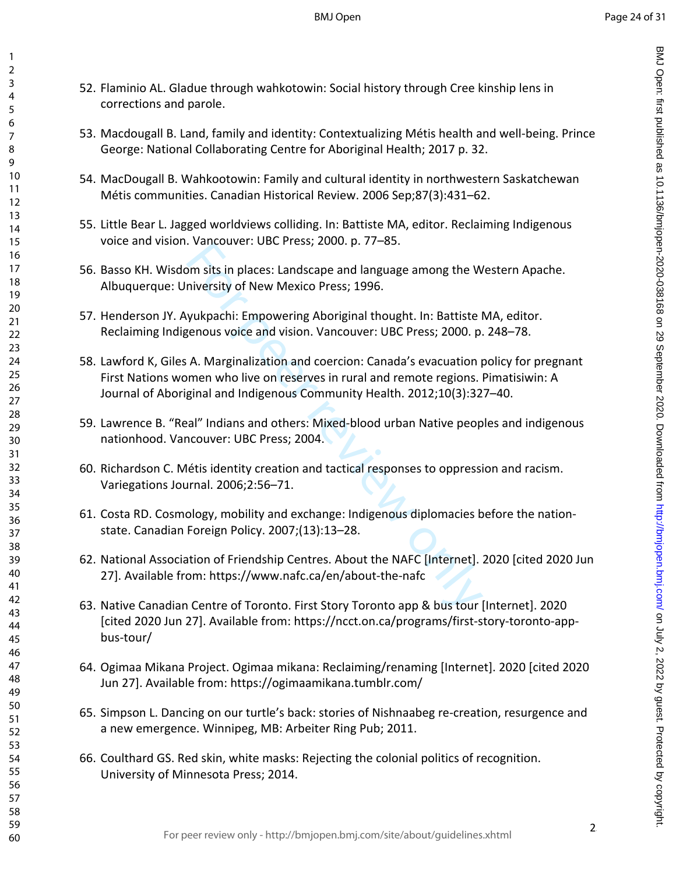52. Flaminio AL. Gladue through wahkotowin: Social history through Cree kinship lens in corrections and parole.

123456789

- 53. Macdougall B. Land, family and identity: Contextualizing Métis health and well-being. Prince George: National Collaborating Centre for Aboriginal Health; 2017 p. 32.
- 54. MacDougall B. Wahkootowin: Family and cultural identity in northwestern Saskatchewan Métis communities. Canadian Historical Review. 2006 Sep;87(3):431–62.
- 55. Little Bear L. Jagged worldviews colliding. In: Battiste MA, editor. Reclaiming Indigenous voice and vision. Vancouver: UBC Press; 2000. p. 77–85.
- 56. Basso KH. Wisdom sits in places: Landscape and language among the Western Apache. Albuquerque: University of New Mexico Press; 1996.
- 57. Henderson JY. Ayukpachi: Empowering Aboriginal thought. In: Battiste MA, editor. Reclaiming Indigenous voice and vision. Vancouver: UBC Press; 2000. p. 248–78.
- For perfective the Magnetic Process, 2000.<br>
For perfective or peer ress, 2000. perfective or perfective priori<br>
Symplement Symplem and Tanguage among the W<br>
Symplement Symplem Aboriginal thought. In: Battiste I<br>
Elenous vo 58. Lawford K, Giles A. Marginalization and coercion: Canada's evacuation policy for pregnant First Nations women who live on reserves in rural and remote regions. Pimatisiwin: A Journal of Aboriginal and Indigenous Community Health. 2012;10(3):327–40.
- 59. Lawrence B. "Real" Indians and others: Mixed-blood urban Native peoples and indigenous nationhood. Vancouver: UBC Press; 2004.
- 60. Richardson C. Métis identity creation and tactical responses to oppression and racism. Variegations Journal. 2006;2:56–71.
- 61. Costa RD. Cosmology, mobility and exchange: Indigenous diplomacies before the nationstate. Canadian Foreign Policy. 2007;(13):13–28.
- 62. National Association of Friendship Centres. About the NAFC [Internet]. 2020 [cited 2020 Jun 27]. Available from: https://www.nafc.ca/en/about-the-nafc
- 63. Native Canadian Centre of Toronto. First Story Toronto app & bus tour [Internet]. 2020 [cited 2020 Jun 27]. Available from: https://ncct.on.ca/programs/first-story-toronto-appbus-tour/
- 64. Ogimaa Mikana Project. Ogimaa mikana: Reclaiming/renaming [Internet]. 2020 [cited 2020 Jun 27]. Available from: https://ogimaamikana.tumblr.com/
- 65. Simpson L. Dancing on our turtle's back: stories of Nishnaabeg re-creation, resurgence and a new emergence. Winnipeg, MB: Arbeiter Ring Pub; 2011.
- 66. Coulthard GS. Red skin, white masks: Rejecting the colonial politics of recognition. University of Minnesota Press; 2014.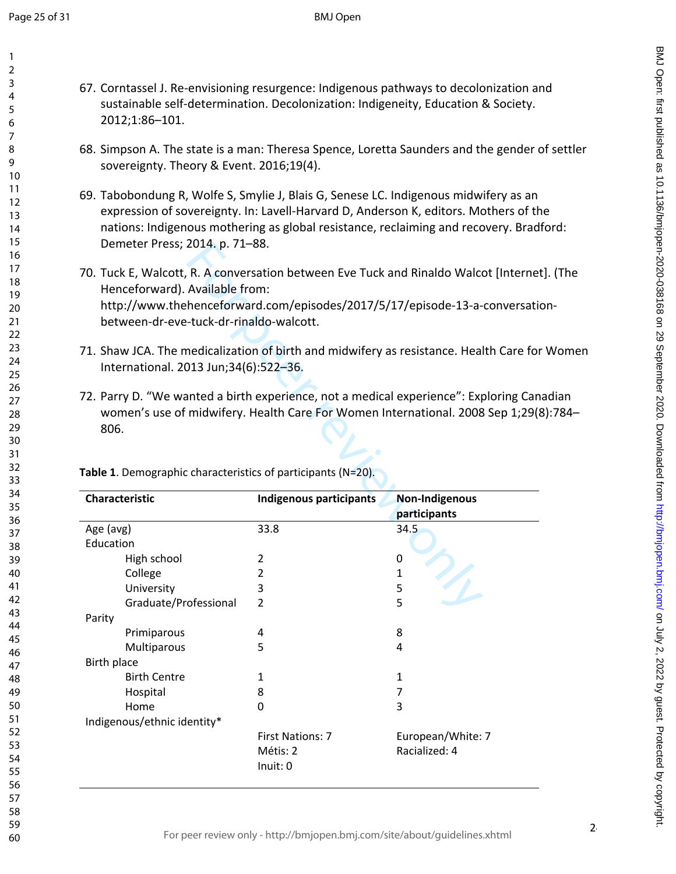- 123456789  $\overline{2}$ 3 4 5 6 7 8 9 10 11 12 13 14 15 16 17 18 19 20 21 22 23 24 25 26 27 28 29 30 31 32 33 34 35 36 37 38 39 40 41 42 43 44 45 46 47 48 49 50 51 52 53 54 55 56 57 58 59 60
- 67. Corntassel J. Re-envisioning resurgence: Indigenous pathways to decolonization and sustainable self-determination. Decolonization: Indigeneity, Education & Society. 2012;1:86–101.
- 68. Simpson A. The state is a man: Theresa Spence, Loretta Saunders and the gender of settler sovereignty. Theory & Event. 2016;19(4).
- 69. Tabobondung R, Wolfe S, Smylie J, Blais G, Senese LC. Indigenous midwifery as an expression of sovereignty. In: Lavell-Harvard D, Anderson K, editors. Mothers of the nations: Indigenous mothering as global resistance, reclaiming and recovery. Bradford: Demeter Press; 2014. p. 71–88.
- 70. Tuck E, Walcott, R. A conversation between Eve Tuck and Rinaldo Walcot [Internet]. (The Henceforward). Available from: http://www.thehenceforward.com/episodes/2017/5/17/episode-13-a-conversationbetween-dr-eve-tuck-dr-rinaldo-walcott.
- 71. Shaw JCA. The medicalization of birth and midwifery as resistance. Health Care for Women International. 2013 Jun;34(6):522–36.
- 72. Parry D. "We wanted a birth experience, not a medical experience": Exploring Canadian women's use of midwifery. Health Care For Women International. 2008 Sep 1;29(8):784– 806.

| 70. Tuck E, Walcott, R. A conversation between Eve Tuck and Rinaldo Walcot [Internet<br>Henceforward). Available from:                                                                                                                          |                         |                      |
|-------------------------------------------------------------------------------------------------------------------------------------------------------------------------------------------------------------------------------------------------|-------------------------|----------------------|
| http://www.thehenceforward.com/episodes/2017/5/17/episode-13-a-conversatic<br>between-dr-eve-tuck-dr-rinaldo-walcott.                                                                                                                           |                         |                      |
| 71. Shaw JCA. The medicalization of birth and midwifery as resistance. Health Care for<br>International. 2013 Jun;34(6):522-36.                                                                                                                 |                         |                      |
| 72. Parry D. "We wanted a birth experience, not a medical experience": Exploring Cana<br>women's use of midwifery. Health Care For Women International. 2008 Sep 1;29(8<br>806.<br>Table 1. Demographic characteristics of participants (N=20). |                         |                      |
|                                                                                                                                                                                                                                                 |                         |                      |
|                                                                                                                                                                                                                                                 | Indigenous participants | Non-Indigenous       |
| <b>Characteristic</b><br>Age (avg)                                                                                                                                                                                                              | 33.8                    | participants<br>34.5 |
| Education                                                                                                                                                                                                                                       |                         |                      |
| High school                                                                                                                                                                                                                                     | 2                       | $\boldsymbol{0}$     |
| College                                                                                                                                                                                                                                         | $\overline{2}$          | $\mathbf{1}$         |
| University                                                                                                                                                                                                                                      | 3                       | 5                    |
| Graduate/Professional                                                                                                                                                                                                                           | $\overline{2}$          | 5                    |
| Parity                                                                                                                                                                                                                                          |                         |                      |
| Primiparous                                                                                                                                                                                                                                     | 4                       | 8                    |
| Multiparous                                                                                                                                                                                                                                     | 5                       | 4                    |
|                                                                                                                                                                                                                                                 |                         |                      |
| <b>Birth Centre</b>                                                                                                                                                                                                                             | 1                       | 1                    |
| Hospital                                                                                                                                                                                                                                        | 8                       | $\overline{7}$       |
| Birth place<br>Home                                                                                                                                                                                                                             | 0                       | 3                    |
| Indigenous/ethnic identity*                                                                                                                                                                                                                     |                         |                      |
|                                                                                                                                                                                                                                                 | <b>First Nations: 7</b> | European/White: 7    |
|                                                                                                                                                                                                                                                 | Métis: 2                | Racialized: 4        |

#### **Table 1**. Demographic characteristics of participants (N=20).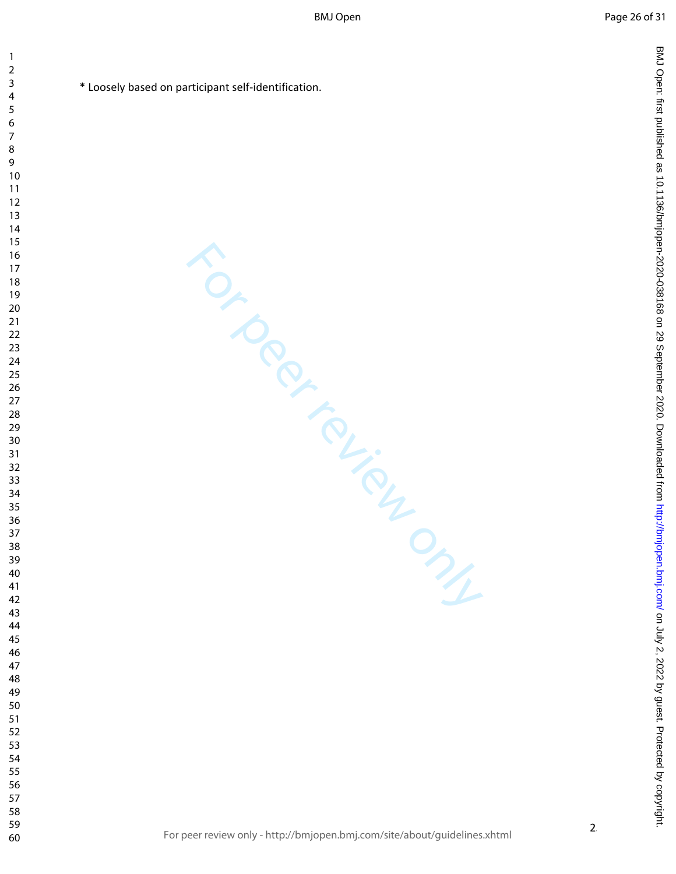BMJ Open: first published as 10.1136/bmjopen-2020-038168 on 29 September 2020. Downloaded from http://bmjopen.bmj.com/ on July 2, 2022 by guest. Protected by copyright on July 2, 2022 by guest. Protected by copyright. <http://bmjopen.bmj.com/> BMJ Open: first published as 10.1136/bmjopen-2020-038168 on 29 September 2020. Downloaded from

For peer review only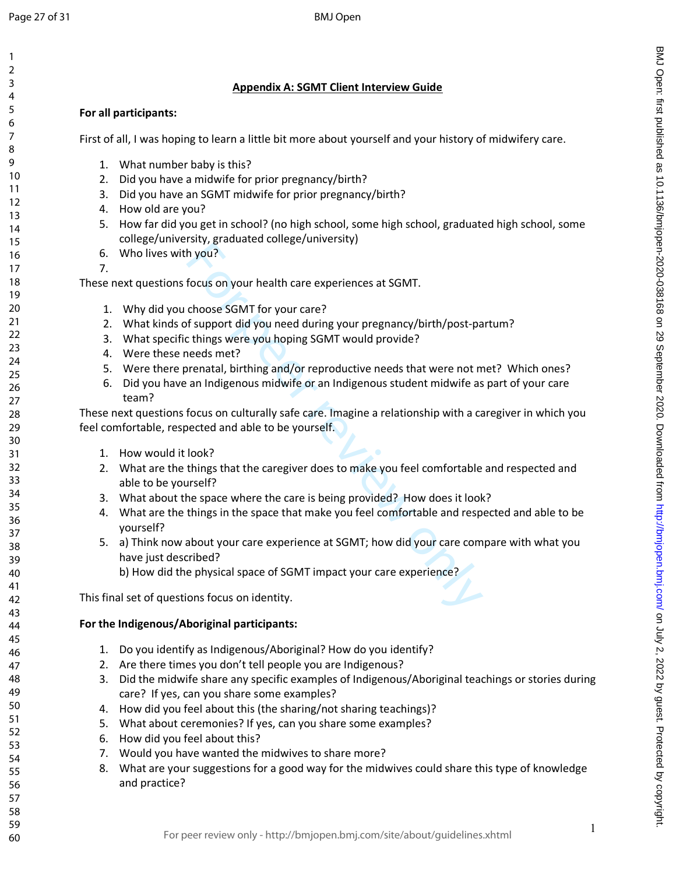| 1        |                                                                                                                                                          |
|----------|----------------------------------------------------------------------------------------------------------------------------------------------------------|
| 2        |                                                                                                                                                          |
| 3        | <b>Appendix A: SGMT Client Interview Guide</b>                                                                                                           |
| 4<br>5   | For all participants:                                                                                                                                    |
| 6        |                                                                                                                                                          |
| 7<br>8   | First of all, I was hoping to learn a little bit more about yourself and your history of midwifery care.                                                 |
| 9        | 1. What number baby is this?                                                                                                                             |
| 10       | Did you have a midwife for prior pregnancy/birth?<br>2.                                                                                                  |
| 11<br>12 | Did you have an SGMT midwife for prior pregnancy/birth?<br>3.                                                                                            |
| 13       | How old are you?<br>4.                                                                                                                                   |
| 14<br>15 | How far did you get in school? (no high school, some high school, graduated high school, some<br>5.<br>college/university, graduated college/university) |
| 16       | Who lives with you?<br>6.                                                                                                                                |
| 17       | 7.                                                                                                                                                       |
| 18<br>19 | These next questions focus on your health care experiences at SGMT.                                                                                      |
| 20       | Why did you choose SGMT for your care?<br>1.                                                                                                             |
| 21       | What kinds of support did you need during your pregnancy/birth/post-partum?<br>2.                                                                        |
| 22       | What specific things were you hoping SGMT would provide?<br>3.                                                                                           |
| 23       | Were these needs met?<br>4.                                                                                                                              |
| 24<br>25 | Were there prenatal, birthing and/or reproductive needs that were not met? Which ones?<br>5.                                                             |
| 26       | Did you have an Indigenous midwife or an Indigenous student midwife as part of your care<br>6.                                                           |
| 27       | team?                                                                                                                                                    |
| 28       | These next questions focus on culturally safe care. Imagine a relationship with a caregiver in which you                                                 |
| 29       | feel comfortable, respected and able to be yourself.                                                                                                     |
| 30       |                                                                                                                                                          |
| 31       | 1. How would it look?                                                                                                                                    |
| 32<br>33 | What are the things that the caregiver does to make you feel comfortable and respected and<br>2.                                                         |
| 34       | able to be yourself?                                                                                                                                     |
| 35       | What about the space where the care is being provided? How does it look?<br>3.                                                                           |
| 36       | What are the things in the space that make you feel comfortable and respected and able to be<br>4.                                                       |
| 37       | yourself?                                                                                                                                                |
| 38       | a) Think now about your care experience at SGMT; how did your care compare with what you                                                                 |
| 39       | have just described?<br>b) How did the physical space of SGMT impact your care experience?                                                               |
| 40<br>41 |                                                                                                                                                          |
| 42       | This final set of questions focus on identity.                                                                                                           |
| 43       |                                                                                                                                                          |
| 44       | For the Indigenous/Aboriginal participants:                                                                                                              |
| 45<br>46 | Do you identify as Indigenous/Aboriginal? How do you identify?<br>1.                                                                                     |
| 47       | 2. Are there times you don't tell people you are Indigenous?                                                                                             |
| 48       | Did the midwife share any specific examples of Indigenous/Aboriginal teachings or stories during<br>3.                                                   |
| 49       | care? If yes, can you share some examples?                                                                                                               |
| 50       | How did you feel about this (the sharing/not sharing teachings)?<br>4.                                                                                   |
| 51       | What about ceremonies? If yes, can you share some examples?<br>5.                                                                                        |
| 52       | How did you feel about this?<br>6.                                                                                                                       |
| 53       | Would you have wanted the midwives to share more?<br>7.                                                                                                  |
| 54<br>55 | What are your suggestions for a good way for the midwives could share this type of knowledge<br>8.                                                       |
| 56       | and practice?                                                                                                                                            |
| 57       |                                                                                                                                                          |
| 58       |                                                                                                                                                          |
| 59       | 1                                                                                                                                                        |
| 60       | For peer review only - http://bmjopen.bmj.com/site/about/guidelines.xhtml                                                                                |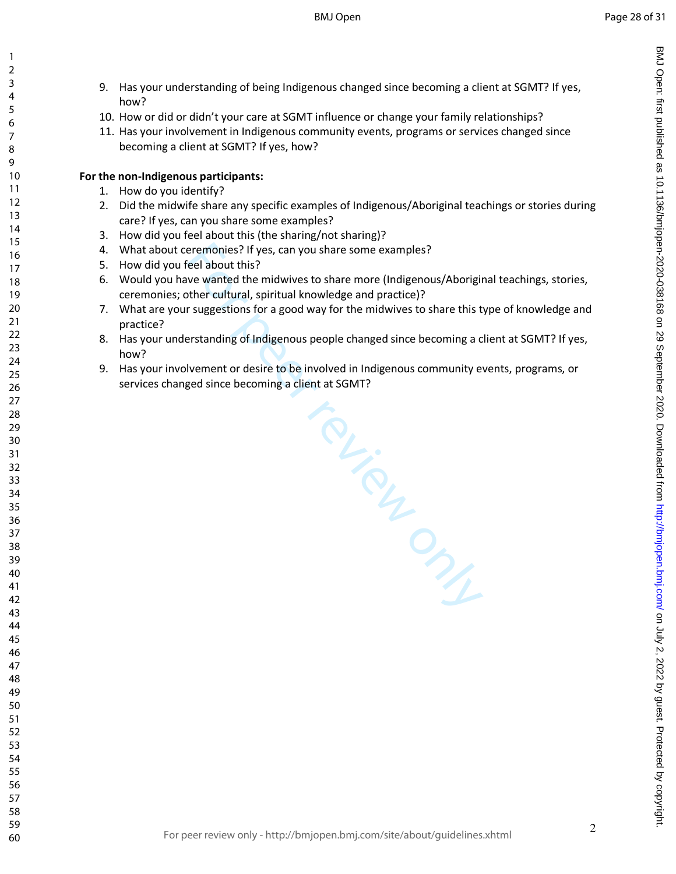- 9. Has your understanding of being Indigenous changed since becoming a client at SGMT? If yes, how?
- 10. How or did or didn't your care at SGMT influence or change your family relationships?
- 11. Has your involvement in Indigenous community events, programs or services changed since becoming a client at SGMT? If yes, how?

#### **For the non -Indigenous participants:**

- 1. How do you identify?
- 2. Did the midwife share any specific examples of Indigenous/Aboriginal teachings or stories during care? If yes, can you share some examples?
- 3. How did you feel about this (the sharing/not sharing)?
- 4. What about ceremonies? If yes, can you share some examples?
- 5. How did you feel about this?
- 6. Would you have wanted the midwives to share more (Indigenous/Aboriginal teachings, stories, ceremonies; other cultural, spiritual knowledge and practice)?
- 7. What are your suggestions for a good way for the midwives to share this type of knowledge and practice?
- 8. Has your understanding of Indigenous people changed since becoming a client at SGMT? If yes, how?
- 9. Has your involvement or desire to be involved in Indigenous community events, programs, or services changed since becoming a client at SGMT?

For Prince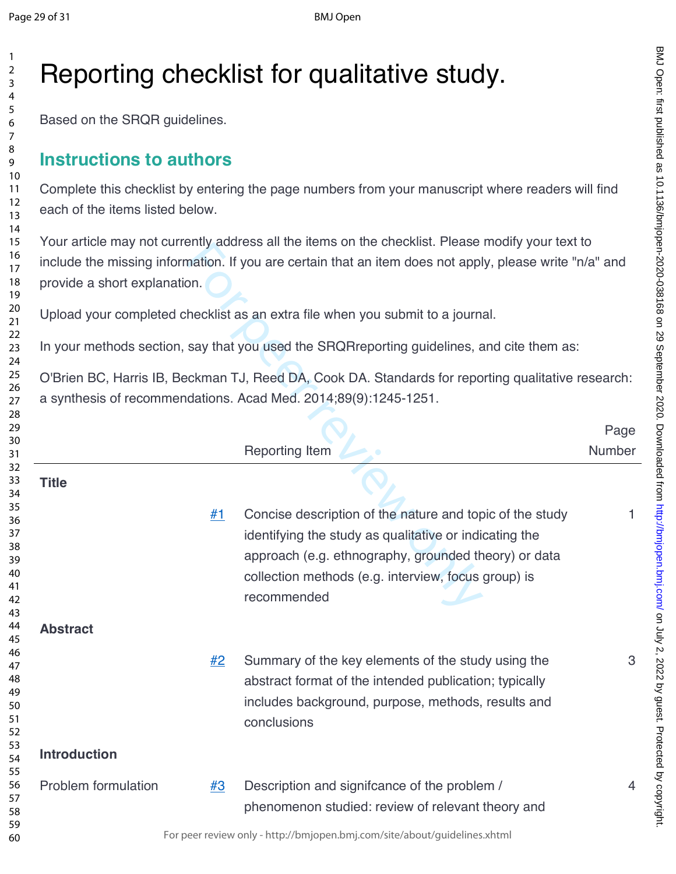## Reporting checklist for qualitative study.

Based on the SRQR guidelines.

#### **Instructions to authors**

Complete this checklist by entering the page numbers from your manuscript where readers will find each of the items listed below.

Your article may not currently address all the items on the checklist. Please modify your text to include the missing information. If you are certain that an item does not apply, please write "n/a" and provide a short explanation.

| provide a short explanation. |                                                                                | TUUT AFIICIG THAY HUL CUITOHIIY AUULOSS AILIHO ILOHIS UH IHO CHOCKIISI. THOASO HIUUHIY YUUL IOAL IU<br>include the missing information. If you are certain that an item does not apply, please write "n/a" and                                   |                |  |  |  |
|------------------------------|--------------------------------------------------------------------------------|--------------------------------------------------------------------------------------------------------------------------------------------------------------------------------------------------------------------------------------------------|----------------|--|--|--|
|                              | Upload your completed checklist as an extra file when you submit to a journal. |                                                                                                                                                                                                                                                  |                |  |  |  |
|                              |                                                                                |                                                                                                                                                                                                                                                  |                |  |  |  |
|                              |                                                                                | In your methods section, say that you used the SRQRreporting guidelines, and cite them as:                                                                                                                                                       |                |  |  |  |
|                              |                                                                                | O'Brien BC, Harris IB, Beckman TJ, Reed DA, Cook DA. Standards for reporting qualitative research:                                                                                                                                               |                |  |  |  |
|                              |                                                                                | a synthesis of recommendations. Acad Med. 2014;89(9):1245-1251.                                                                                                                                                                                  |                |  |  |  |
|                              |                                                                                |                                                                                                                                                                                                                                                  |                |  |  |  |
|                              |                                                                                |                                                                                                                                                                                                                                                  | Page           |  |  |  |
|                              |                                                                                | <b>Reporting Item</b>                                                                                                                                                                                                                            | Number         |  |  |  |
| <b>Title</b>                 |                                                                                |                                                                                                                                                                                                                                                  |                |  |  |  |
|                              | #1                                                                             | Concise description of the nature and topic of the study<br>identifying the study as qualitative or indicating the<br>approach (e.g. ethnography, grounded theory) or data<br>collection methods (e.g. interview, focus group) is<br>recommended | 1              |  |  |  |
| <b>Abstract</b>              |                                                                                |                                                                                                                                                                                                                                                  |                |  |  |  |
|                              | #2                                                                             | Summary of the key elements of the study using the<br>abstract format of the intended publication; typically<br>includes background, purpose, methods, results and<br>conclusions                                                                | 3              |  |  |  |
| <b>Introduction</b>          |                                                                                |                                                                                                                                                                                                                                                  |                |  |  |  |
| Problem formulation          | #3                                                                             | Description and significance of the problem /<br>phenomenon studied: review of relevant theory and                                                                                                                                               | $\overline{4}$ |  |  |  |
|                              |                                                                                | For peer review only - http://bmjopen.bmj.com/site/about/guidelines.xhtml                                                                                                                                                                        |                |  |  |  |
|                              |                                                                                |                                                                                                                                                                                                                                                  |                |  |  |  |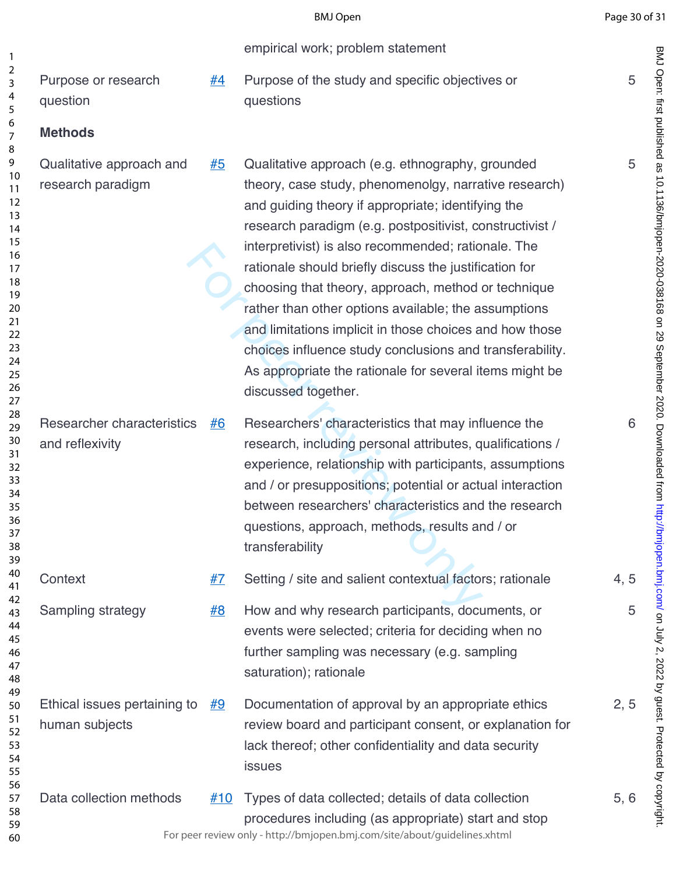#### BMJ Open

| $\mathbf{1}$                                                                                                       |                                                |           | empirical work; problem statement                                                                                                                                                                                                                                                                                                                                                                                                                                                                                                                                                                                                                                    |      |
|--------------------------------------------------------------------------------------------------------------------|------------------------------------------------|-----------|----------------------------------------------------------------------------------------------------------------------------------------------------------------------------------------------------------------------------------------------------------------------------------------------------------------------------------------------------------------------------------------------------------------------------------------------------------------------------------------------------------------------------------------------------------------------------------------------------------------------------------------------------------------------|------|
| 2<br>3<br>4<br>5                                                                                                   | Purpose or research<br>question                | #4        | Purpose of the study and specific objectives or<br>questions                                                                                                                                                                                                                                                                                                                                                                                                                                                                                                                                                                                                         | 5    |
| 6<br>$\overline{7}$                                                                                                | <b>Methods</b>                                 |           |                                                                                                                                                                                                                                                                                                                                                                                                                                                                                                                                                                                                                                                                      |      |
| 8<br>9<br>10<br>11<br>12<br>13<br>14<br>15<br>16<br>17<br>18<br>19<br>20<br>21<br>22<br>23<br>24<br>25<br>26<br>27 | Qualitative approach and<br>research paradigm  | #5        | Qualitative approach (e.g. ethnography, grounded<br>theory, case study, phenomenolgy, narrative research)<br>and guiding theory if appropriate; identifying the<br>research paradigm (e.g. postpositivist, constructivist /<br>interpretivist) is also recommended; rationale. The<br>rationale should briefly discuss the justification for<br>choosing that theory, approach, method or technique<br>rather than other options available; the assumptions<br>and limitations implicit in those choices and how those<br>choices influence study conclusions and transferability.<br>As appropriate the rationale for several items might be<br>discussed together. | 5    |
| 28<br>29<br>30<br>31<br>32<br>33<br>34<br>35<br>36<br>37<br>38<br>39                                               | Researcher characteristics<br>and reflexivity  | <u>#6</u> | Researchers' characteristics that may influence the<br>research, including personal attributes, qualifications /<br>experience, relationship with participants, assumptions<br>and / or presuppositions; potential or actual interaction<br>between researchers' characteristics and the research<br>questions, approach, methods, results and / or<br>transferability                                                                                                                                                                                                                                                                                               | 6    |
| 40<br>41                                                                                                           | Context                                        | #7        | Setting / site and salient contextual factors; rationale                                                                                                                                                                                                                                                                                                                                                                                                                                                                                                                                                                                                             | 4, 5 |
| 42<br>43<br>44<br>45<br>46<br>47<br>48                                                                             | Sampling strategy                              | #8        | How and why research participants, documents, or<br>events were selected; criteria for deciding when no<br>further sampling was necessary (e.g. sampling<br>saturation); rationale                                                                                                                                                                                                                                                                                                                                                                                                                                                                                   | 5    |
| 49<br>50<br>51<br>52<br>53<br>54<br>55                                                                             | Ethical issues pertaining to<br>human subjects | #9        | Documentation of approval by an appropriate ethics<br>review board and participant consent, or explanation for<br>lack thereof; other confidentiality and data security<br>issues                                                                                                                                                                                                                                                                                                                                                                                                                                                                                    | 2, 5 |
| 56<br>57<br>58<br>59<br>60                                                                                         | Data collection methods                        | #10       | Types of data collected; details of data collection<br>procedures including (as appropriate) start and stop<br>For peer review only - http://bmjopen.bmj.com/site/about/guidelines.xhtml                                                                                                                                                                                                                                                                                                                                                                                                                                                                             | 5, 6 |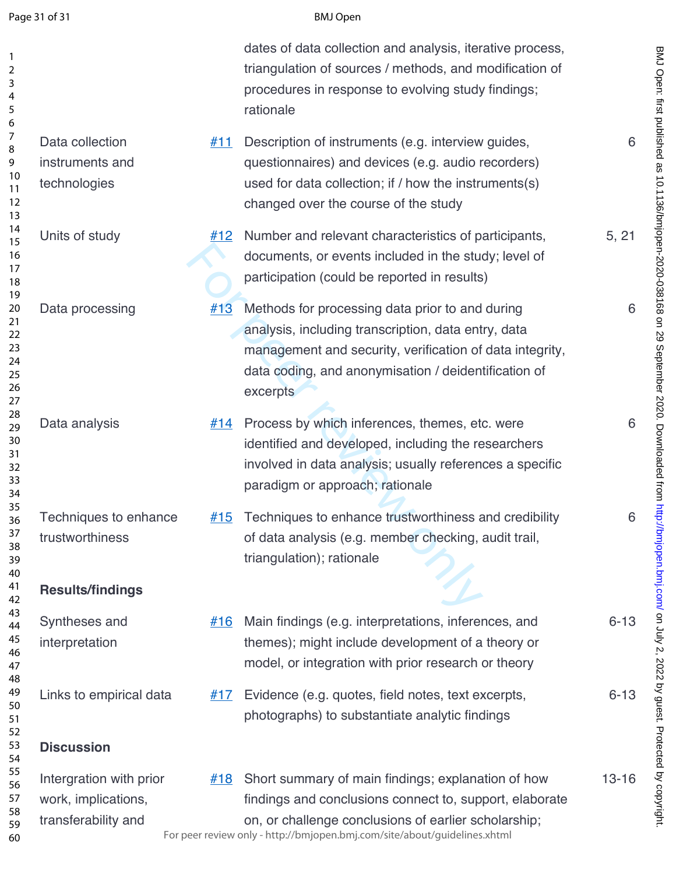| Page 31 of 31                                |                                                                       |     | <b>BMJ Open</b>                                                                                                                                                                                                                                    |           |
|----------------------------------------------|-----------------------------------------------------------------------|-----|----------------------------------------------------------------------------------------------------------------------------------------------------------------------------------------------------------------------------------------------------|-----------|
| 1<br>2<br>3<br>4<br>5<br>6                   |                                                                       |     | dates of data collection and analysis, iterative process,<br>triangulation of sources / methods, and modification of<br>procedures in response to evolving study findings;<br>rationale                                                            |           |
| 7<br>8<br>9<br>10<br>11<br>12<br>13          | Data collection<br>instruments and<br>technologies                    | #11 | Description of instruments (e.g. interview guides,<br>questionnaires) and devices (e.g. audio recorders)<br>used for data collection; if / how the instruments(s)<br>changed over the course of the study                                          | 6         |
| 14<br>15<br>16<br>17<br>18<br>19             | Units of study                                                        | #12 | Number and relevant characteristics of participants,<br>documents, or events included in the study; level of<br>participation (could be reported in results)                                                                                       | 5, 21     |
| 20<br>21<br>22<br>23<br>24<br>25<br>26<br>27 | Data processing                                                       | #13 | Methods for processing data prior to and during<br>analysis, including transcription, data entry, data<br>management and security, verification of data integrity,<br>data coding, and anonymisation / deidentification of<br>excerpts             | 6         |
| 28<br>29<br>30<br>31<br>32<br>33<br>34       | Data analysis                                                         | #14 | Process by which inferences, themes, etc. were<br>identified and developed, including the researchers<br>involved in data analysis; usually references a specific<br>paradigm or approach; rationale                                               | 6         |
| 35<br>36<br>37<br>38<br>39<br>40             | Techniques to enhance<br>trustworthiness                              | #15 | Techniques to enhance trustworthiness and credibility<br>of data analysis (e.g. member checking, audit trail,<br>triangulation); rationale                                                                                                         | 6         |
| 41<br>42                                     | <b>Results/findings</b>                                               |     |                                                                                                                                                                                                                                                    |           |
| 43<br>44<br>45<br>46<br>47                   | Syntheses and<br>interpretation                                       | #16 | Main findings (e.g. interpretations, inferences, and<br>themes); might include development of a theory or<br>model, or integration with prior research or theory                                                                                   | $6 - 13$  |
| 48<br>49<br>50<br>51<br>52                   | Links to empirical data                                               | #17 | Evidence (e.g. quotes, field notes, text excerpts,<br>photographs) to substantiate analytic findings                                                                                                                                               | $6 - 13$  |
| 53<br>54                                     | <b>Discussion</b>                                                     |     |                                                                                                                                                                                                                                                    |           |
| 55<br>56<br>57<br>58<br>59                   | Intergration with prior<br>work, implications,<br>transferability and | #18 | Short summary of main findings; explanation of how<br>findings and conclusions connect to, support, elaborate<br>on, or challenge conclusions of earlier scholarship;<br>For peer review only - http://bmjopen.bmj.com/site/about/guidelines.xhtml | $13 - 16$ |
| 60                                           |                                                                       |     |                                                                                                                                                                                                                                                    |           |